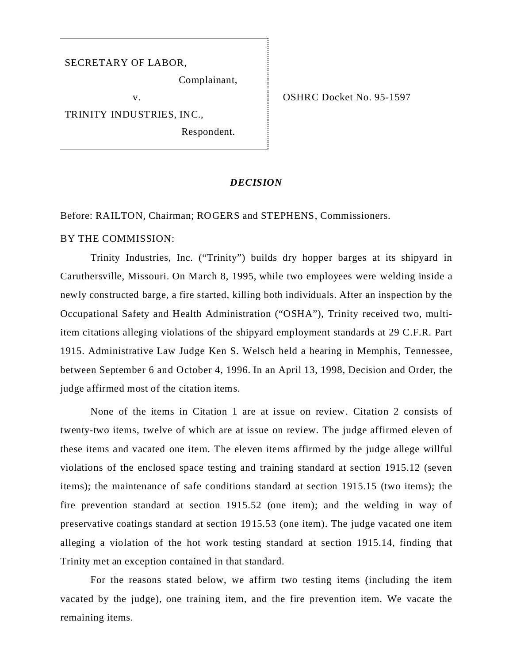#### SECRETARY OF LABOR,

Complainant,

TRINITY INDUSTRIES, INC.,

Respondent.

v. COSHRC Docket No. 95-1597

### *DECISION*

Before: RAILTON, Chairman; ROGERS and STEPHENS, Commissioners.

## BY THE COMMISSION:

Trinity Industries, Inc. ("Trinity") builds dry hopper barges at its shipyard in Caruthersville, Missouri. On March 8, 1995, while two employees were welding inside a newly constructed barge, a fire started, killing both individuals. After an inspection by the Occupational Safety and Health Administration ("OSHA"), Trinity received two, multiitem citations alleging violations of the shipyard employment standards at 29 C.F.R. Part 1915. Administrative Law Judge Ken S. Welsch held a hearing in Memphis, Tennessee, between September 6 and October 4, 1996. In an April 13, 1998, Decision and Order, the judge affirmed most of the citation items.

None of the items in Citation 1 are at issue on review. Citation 2 consists of twenty-two items, twelve of which are at issue on review. The judge affirmed eleven of these items and vacated one item. The eleven items affirmed by the judge allege willful violations of the enclosed space testing and training standard at section 1915.12 (seven items); the maintenance of safe conditions standard at section 1915.15 (two items); the fire prevention standard at section 1915.52 (one item); and the welding in way of preservative coatings standard at section 1915.53 (one item). The judge vacated one item alleging a violation of the hot work testing standard at section 1915.14, finding that Trinity met an exception contained in that standard.

For the reasons stated below, we affirm two testing items (including the item vacated by the judge), one training item, and the fire prevention item. We vacate the remaining items.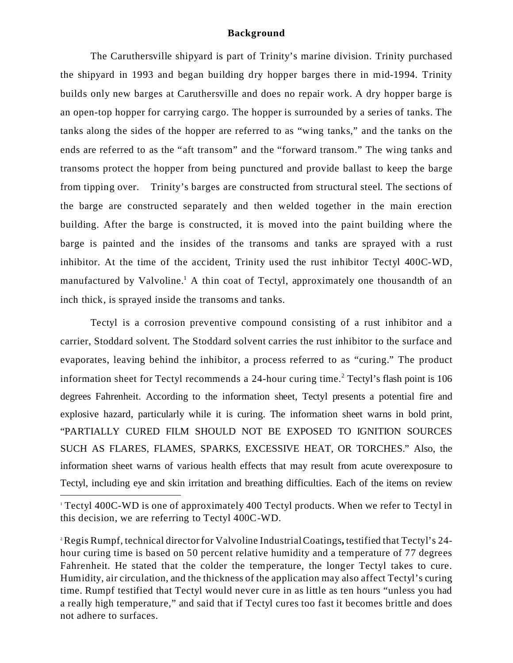#### **Background**

The Caruthersville shipyard is part of Trinity's marine division. Trinity purchased the shipyard in 1993 and began building dry hopper barges there in mid-1994. Trinity builds only new barges at Caruthersville and does no repair work. A dry hopper barge is an open-top hopper for carrying cargo. The hopper is surrounded by a series of tanks. The tanks along the sides of the hopper are referred to as "wing tanks," and the tanks on the ends are referred to as the "aft transom" and the "forward transom." The wing tanks and transoms protect the hopper from being punctured and provide ballast to keep the barge from tipping over. Trinity's barges are constructed from structural steel. The sections of the barge are constructed separately and then welded together in the main erection building. After the barge is constructed, it is moved into the paint building where the barge is painted and the insides of the transoms and tanks are sprayed with a rust inhibitor. At the time of the accident, Trinity used the rust inhibitor Tectyl 400C-WD, manufactured by Valvoline.<sup>1</sup> A thin coat of Tectyl, approximately one thousandth of an inch thick, is sprayed inside the transoms and tanks.

Tectyl is a corrosion preventive compound consisting of a rust inhibitor and a carrier, Stoddard solvent. The Stoddard solvent carries the rust inhibitor to the surface and evaporates, leaving behind the inhibitor, a process referred to as "curing." The product information sheet for Tectyl recommends a 24-hour curing time.<sup>2</sup> Tectyl's flash point is 106 degrees Fahrenheit. According to the information sheet, Tectyl presents a potential fire and explosive hazard, particularly while it is curing. The information sheet warns in bold print, "PARTIALLY CURED FILM SHOULD NOT BE EXPOSED TO IGNITION SOURCES SUCH AS FLARES, FLAMES, SPARKS, EXCESSIVE HEAT, OR TORCHES." Also, the information sheet warns of various health effects that may result from acute overexposure to Tectyl, including eye and skin irritation and breathing difficulties. Each of the items on review

<sup>1</sup> Tectyl 400C-WD is one of approximately 400 Tectyl products. When we refer to Tectyl in this decision, we are referring to Tectyl 400C-WD.

<sup>2</sup>Regis Rumpf, technical director for Valvoline Industrial Coatings**,** testified that Tectyl's 24 hour curing time is based on 50 percent relative humidity and a temperature of 77 degrees Fahrenheit. He stated that the colder the temperature, the longer Tectyl takes to cure. Humidity, air circulation, and the thickness of the application may also affect Tectyl's curing time. Rumpf testified that Tectyl would never cure in as little as ten hours "unless you had a really high temperature," and said that if Tectyl cures too fast it becomes brittle and does not adhere to surfaces.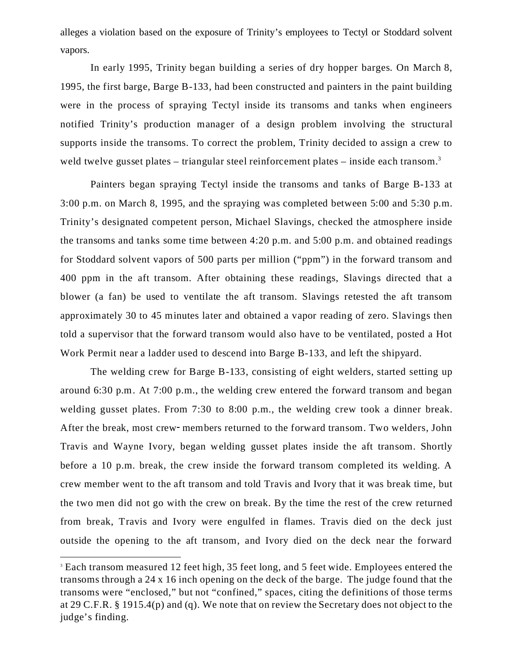alleges a violation based on the exposure of Trinity's employees to Tectyl or Stoddard solvent vapors.

In early 1995, Trinity began building a series of dry hopper barges. On March 8, 1995, the first barge, Barge B-133, had been constructed and painters in the paint building were in the process of spraying Tectyl inside its transoms and tanks when engineers notified Trinity's production manager of a design problem involving the structural supports inside the transoms. To correct the problem, Trinity decided to assign a crew to weld twelve gusset plates – triangular steel reinforcement plates – inside each transom.<sup>3</sup>

Painters began spraying Tectyl inside the transoms and tanks of Barge B-133 at 3:00 p.m. on March 8, 1995, and the spraying was completed between 5:00 and 5:30 p.m. Trinity's designated competent person, Michael Slavings, checked the atmosphere inside the transoms and tanks some time between 4:20 p.m. and 5:00 p.m. and obtained readings for Stoddard solvent vapors of 500 parts per million ("ppm") in the forward transom and 400 ppm in the aft transom. After obtaining these readings, Slavings directed that a blower (a fan) be used to ventilate the aft transom. Slavings retested the aft transom approximately 30 to 45 minutes later and obtained a vapor reading of zero. Slavings then told a supervisor that the forward transom would also have to be ventilated, posted a Hot Work Permit near a ladder used to descend into Barge B-133, and left the shipyard.

The welding crew for Barge B-133, consisting of eight welders, started setting up around 6:30 p.m. At 7:00 p.m., the welding crew entered the forward transom and began welding gusset plates. From 7:30 to 8:00 p.m., the welding crew took a dinner break. After the break, most crew-members returned to the forward transom. Two welders, John Travis and Wayne Ivory, began welding gusset plates inside the aft transom. Shortly before a 10 p.m. break, the crew inside the forward transom completed its welding. A crew member went to the aft transom and told Travis and Ivory that it was break time, but the two men did not go with the crew on break. By the time the rest of the crew returned from break, Travis and Ivory were engulfed in flames. Travis died on the deck just outside the opening to the aft transom, and Ivory died on the deck near the forward

<sup>&</sup>lt;sup>3</sup> Each transom measured 12 feet high, 35 feet long, and 5 feet wide. Employees entered the transoms through a 24 x 16 inch opening on the deck of the barge. The judge found that the transoms were "enclosed," but not "confined," spaces, citing the definitions of those terms at 29 C.F.R. § 1915.4(p) and (q). We note that on review the Secretary does not object to the judge's finding.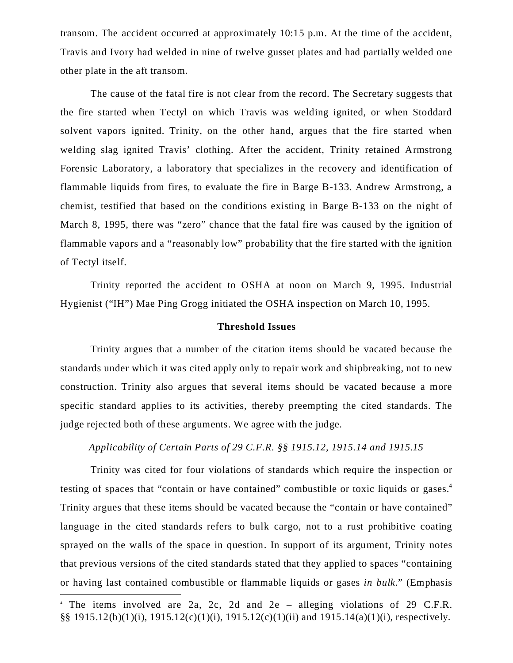transom. The accident occurred at approximately 10:15 p.m. At the time of the accident, Travis and Ivory had welded in nine of twelve gusset plates and had partially welded one other plate in the aft transom.

The cause of the fatal fire is not clear from the record. The Secretary suggests that the fire started when Tectyl on which Travis was welding ignited, or when Stoddard solvent vapors ignited. Trinity, on the other hand, argues that the fire started when welding slag ignited Travis' clothing. After the accident, Trinity retained Armstrong Forensic Laboratory, a laboratory that specializes in the recovery and identification of flammable liquids from fires, to evaluate the fire in Barge B-133. Andrew Armstrong, a chemist, testified that based on the conditions existing in Barge B-133 on the night of March 8, 1995, there was "zero" chance that the fatal fire was caused by the ignition of flammable vapors and a "reasonably low" probability that the fire started with the ignition of Tectyl itself.

Trinity reported the accident to OSHA at noon on March 9, 1995. Industrial Hygienist ("IH") Mae Ping Grogg initiated the OSHA inspection on March 10, 1995.

### **Threshold Issues**

Trinity argues that a number of the citation items should be vacated because the standards under which it was cited apply only to repair work and shipbreaking, not to new construction. Trinity also argues that several items should be vacated because a more specific standard applies to its activities, thereby preempting the cited standards. The judge rejected both of these arguments. We agree with the judge.

*Applicability of Certain Parts of 29 C.F.R. §§ 1915.12, 1915.14 and 1915.15*

Trinity was cited for four violations of standards which require the inspection or testing of spaces that "contain or have contained" combustible or toxic liquids or gases.<sup>4</sup> Trinity argues that these items should be vacated because the "contain or have contained" language in the cited standards refers to bulk cargo, not to a rust prohibitive coating sprayed on the walls of the space in question. In support of its argument, Trinity notes that previous versions of the cited standards stated that they applied to spaces "containing or having last contained combustible or flammable liquids or gases *in bulk*." (Emphasis

<sup>4</sup> The items involved are 2a, 2c, 2d and 2e – alleging violations of 29 C.F.R. §§ 1915.12(b)(1)(i), 1915.12(c)(1)(i), 1915.12(c)(1)(ii) and 1915.14(a)(1)(i), respectively.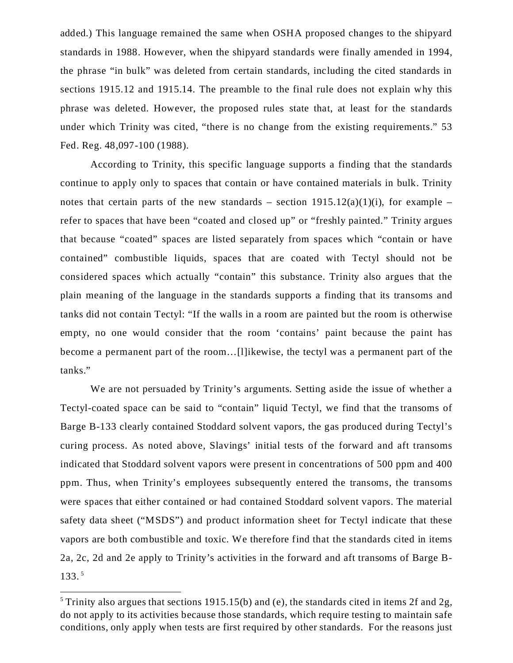added.) This language remained the same when OSHA proposed changes to the shipyard standards in 1988. However, when the shipyard standards were finally amended in 1994, the phrase "in bulk" was deleted from certain standards, including the cited standards in sections 1915.12 and 1915.14. The preamble to the final rule does not explain why this phrase was deleted. However, the proposed rules state that, at least for the standards under which Trinity was cited, "there is no change from the existing requirements." 53 Fed. Reg. 48,097-100 (1988).

According to Trinity, this specific language supports a finding that the standards continue to apply only to spaces that contain or have contained materials in bulk. Trinity notes that certain parts of the new standards – section  $1915.12(a)(1)(i)$ , for example – refer to spaces that have been "coated and closed up" or "freshly painted." Trinity argues that because "coated" spaces are listed separately from spaces which "contain or have contained" combustible liquids, spaces that are coated with Tectyl should not be considered spaces which actually "contain" this substance. Trinity also argues that the plain meaning of the language in the standards supports a finding that its transoms and tanks did not contain Tectyl: "If the walls in a room are painted but the room is otherwise empty, no one would consider that the room 'contains' paint because the paint has become a permanent part of the room…[l]ikewise, the tectyl was a permanent part of the tanks."

We are not persuaded by Trinity's arguments. Setting aside the issue of whether a Tectyl-coated space can be said to "contain" liquid Tectyl, we find that the transoms of Barge B-133 clearly contained Stoddard solvent vapors, the gas produced during Tectyl's curing process. As noted above, Slavings' initial tests of the forward and aft transoms indicated that Stoddard solvent vapors were present in concentrations of 500 ppm and 400 ppm. Thus, when Trinity's employees subsequently entered the transoms, the transoms were spaces that either contained or had contained Stoddard solvent vapors. The material safety data sheet ("MSDS") and product information sheet for Tectyl indicate that these vapors are both combustible and toxic. We therefore find that the standards cited in items 2a, 2c, 2d and 2e apply to Trinity's activities in the forward and aft transoms of Barge B-133.<sup>5</sup>

 $5$  Trinity also argues that sections 1915.15(b) and (e), the standards cited in items 2f and 2g, do not apply to its activities because those standards, which require testing to maintain safe conditions, only apply when tests are first required by other standards. For the reasons just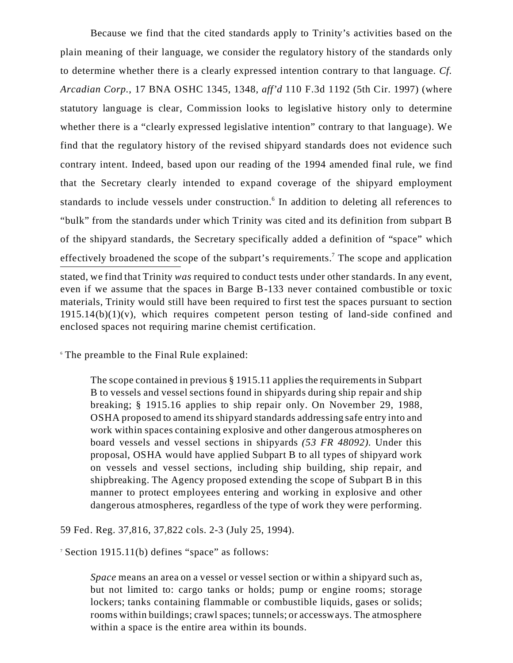stated, we find that Trinity *was* required to conduct tests under other standards. In any event, even if we assume that the spaces in Barge B-133 never contained combustible or toxic materials, Trinity would still have been required to first test the spaces pursuant to section  $1915.14(b)(1)(v)$ , which requires competent person testing of land-side confined and enclosed spaces not requiring marine chemist certification. Because we find that the cited standards apply to Trinity's activities based on the plain meaning of their language, we consider the regulatory history of the standards only to determine whether there is a clearly expressed intention contrary to that language. *Cf. Arcadian Corp.*, 17 BNA OSHC 1345, 1348, *aff'd* 110 F.3d 1192 (5th Cir. 1997) (where statutory language is clear, Commission looks to legislative history only to determine whether there is a "clearly expressed legislative intention" contrary to that language). We find that the regulatory history of the revised shipyard standards does not evidence such contrary intent. Indeed, based upon our reading of the 1994 amended final rule, we find that the Secretary clearly intended to expand coverage of the shipyard employment standards to include vessels under construction.<sup>6</sup> In addition to deleting all references to "bulk" from the standards under which Trinity was cited and its definition from subpart B of the shipyard standards, the Secretary specifically added a definition of "space" which effectively broadened the scope of the subpart's requirements.<sup>7</sup> The scope and application

<sup>6</sup> The preamble to the Final Rule explained:

The scope contained in previous § 1915.11 applies the requirements in Subpart B to vessels and vessel sections found in shipyards during ship repair and ship breaking; § 1915.16 applies to ship repair only. On November 29, 1988, OSHA proposed to amend its shipyard standards addressing safe entry into and work within spaces containing explosive and other dangerous atmospheres on board vessels and vessel sections in shipyards *(53 FR 48092)*. Under this proposal, OSHA would have applied Subpart B to all types of shipyard work on vessels and vessel sections, including ship building, ship repair, and shipbreaking. The Agency proposed extending the scope of Subpart B in this manner to protect employees entering and working in explosive and other dangerous atmospheres, regardless of the type of work they were performing.

59 Fed. Reg. 37,816, 37,822 cols. 2-3 (July 25, 1994).

<sup>7</sup> Section 1915.11(b) defines "space" as follows:

*Space* means an area on a vessel or vessel section or within a shipyard such as, but not limited to: cargo tanks or holds; pump or engine rooms; storage lockers; tanks containing flammable or combustible liquids, gases or solids; rooms within buildings; crawl spaces; tunnels; or accessways. The atmosphere within a space is the entire area within its bounds.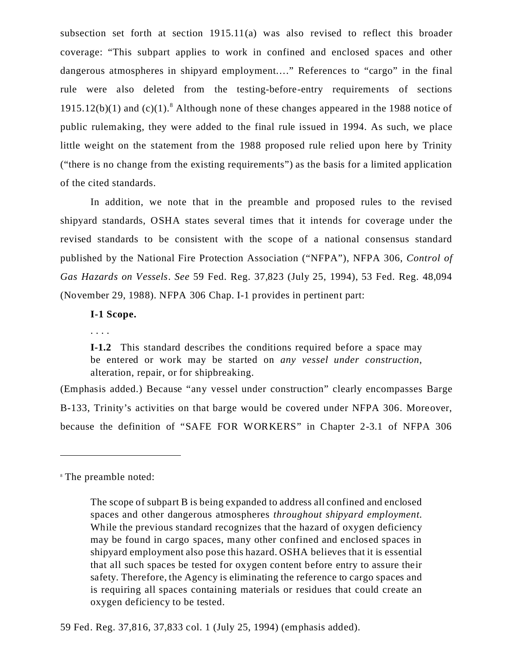subsection set forth at section 1915.11(a) was also revised to reflect this broader coverage: "This subpart applies to work in confined and enclosed spaces and other dangerous atmospheres in shipyard employment…." References to "cargo" in the final rule were also deleted from the testing-before-entry requirements of sections 1915.12(b)(1) and  $(c)(1)$ .<sup>8</sup> Although none of these changes appeared in the 1988 notice of public rulemaking, they were added to the final rule issued in 1994. As such, we place little weight on the statement from the 1988 proposed rule relied upon here by Trinity ("there is no change from the existing requirements") as the basis for a limited application of the cited standards.

In addition, we note that in the preamble and proposed rules to the revised shipyard standards, OSHA states several times that it intends for coverage under the revised standards to be consistent with the scope of a national consensus standard published by the National Fire Protection Association ("NFPA"), NFPA 306, *Control of Gas Hazards on Vessels*. *See* 59 Fed. Reg. 37,823 (July 25, 1994), 53 Fed. Reg. 48,094 (November 29, 1988). NFPA 306 Chap. I-1 provides in pertinent part:

### **I-1 Scope.**

. . . .

**I-1.2** This standard describes the conditions required before a space may be entered or work may be started on *any vessel under construction*, alteration, repair, or for shipbreaking.

(Emphasis added.) Because "any vessel under construction" clearly encompasses Barge B-133, Trinity's activities on that barge would be covered under NFPA 306. Moreover, because the definition of "SAFE FOR WORKERS" in Chapter 2-3.1 of NFPA 306

<sup>8</sup> The preamble noted:

The scope of subpart B is being expanded to address all confined and enclosed spaces and other dangerous atmospheres *throughout shipyard employment*. While the previous standard recognizes that the hazard of oxygen deficiency may be found in cargo spaces, many other confined and enclosed spaces in shipyard employment also pose this hazard. OSHA believes that it is essential that all such spaces be tested for oxygen content before entry to assure their safety. Therefore, the Agency is eliminating the reference to cargo spaces and is requiring all spaces containing materials or residues that could create an oxygen deficiency to be tested.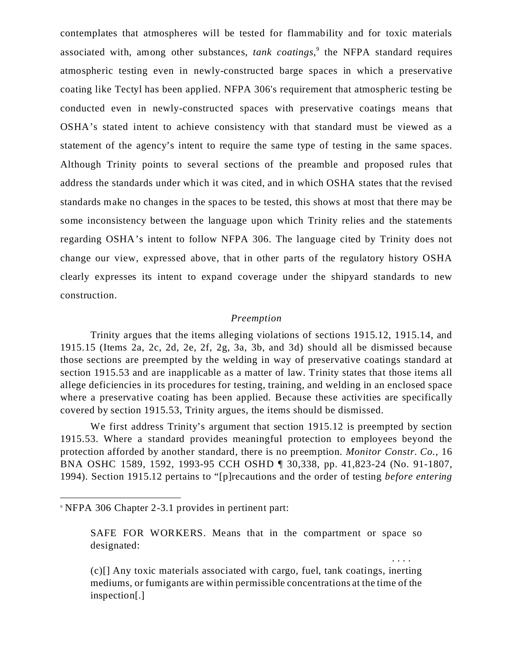contemplates that atmospheres will be tested for flammability and for toxic materials associated with, among other substances, *tank coatings*, 9 the NFPA standard requires atmospheric testing even in newly-constructed barge spaces in which a preservative coating like Tectyl has been applied. NFPA 306's requirement that atmospheric testing be conducted even in newly-constructed spaces with preservative coatings means that OSHA's stated intent to achieve consistency with that standard must be viewed as a statement of the agency's intent to require the same type of testing in the same spaces. Although Trinity points to several sections of the preamble and proposed rules that address the standards under which it was cited, and in which OSHA states that the revised standards make no changes in the spaces to be tested, this shows at most that there may be some inconsistency between the language upon which Trinity relies and the statements regarding OSHA's intent to follow NFPA 306. The language cited by Trinity does not change our view, expressed above, that in other parts of the regulatory history OSHA clearly expresses its intent to expand coverage under the shipyard standards to new construction.

### *Preemption*

Trinity argues that the items alleging violations of sections 1915.12, 1915.14, and 1915.15 (Items 2a, 2c, 2d, 2e, 2f, 2g, 3a, 3b, and 3d) should all be dismissed because those sections are preempted by the welding in way of preservative coatings standard at section 1915.53 and are inapplicable as a matter of law. Trinity states that those items all allege deficiencies in its procedures for testing, training, and welding in an enclosed space where a preservative coating has been applied. Because these activities are specifically covered by section 1915.53, Trinity argues, the items should be dismissed.

We first address Trinity's argument that section 1915.12 is preempted by section 1915.53. Where a standard provides meaningful protection to employees beyond the protection afforded by another standard, there is no preemption. *Monitor Constr. Co.*, 16 BNA OSHC 1589, 1592, 1993-95 CCH OSHD ¶ 30,338, pp. 41,823-24 (No. 91-1807, 1994). Section 1915.12 pertains to "[p]recautions and the order of testing *before entering*

SAFE FOR WORKERS. Means that in the compartment or space so designated:

. . . .

(c)[] Any toxic materials associated with cargo, fuel, tank coatings, inerting mediums, or fumigants are within permissible concentrations at the time of the inspection[.]

<sup>9</sup> NFPA 306 Chapter 2-3.1 provides in pertinent part: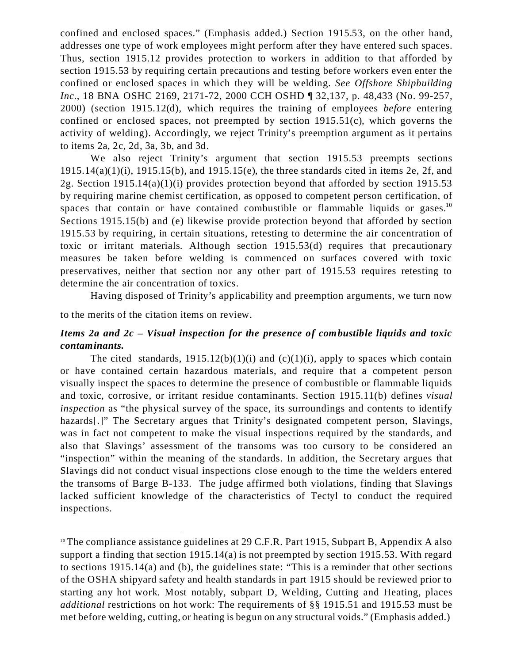confined and enclosed spaces." (Emphasis added.) Section 1915.53, on the other hand, addresses one type of work employees might perform after they have entered such spaces. Thus, section 1915.12 provides protection to workers in addition to that afforded by section 1915.53 by requiring certain precautions and testing before workers even enter the confined or enclosed spaces in which they will be welding. *See Offshore Shipbuilding Inc.*, 18 BNA OSHC 2169, 2171-72, 2000 CCH OSHD ¶ 32,137, p. 48,433 (No. 99-257, 2000) (section 1915.12(d), which requires the training of employees *before* entering confined or enclosed spaces, not preempted by section  $1915.51(c)$ , which governs the activity of welding). Accordingly, we reject Trinity's preemption argument as it pertains to items 2a, 2c, 2d, 3a, 3b, and 3d.

We also reject Trinity's argument that section 1915.53 preempts sections  $1915.14(a)(1)(i)$ ,  $1915.15(b)$ , and  $1915.15(e)$ , the three standards cited in items 2e, 2f, and 2g. Section 1915.14(a)(1)(i) provides protection beyond that afforded by section 1915.53 by requiring marine chemist certification, as opposed to competent person certification, of spaces that contain or have contained combustible or flammable liquids or gases.<sup>10</sup> Sections 1915.15(b) and (e) likewise provide protection beyond that afforded by section 1915.53 by requiring, in certain situations, retesting to determine the air concentration of toxic or irritant materials. Although section 1915.53(d) requires that precautionary measures be taken before welding is commenced on surfaces covered with toxic preservatives, neither that section nor any other part of 1915.53 requires retesting to determine the air concentration of toxics.

Having disposed of Trinity's applicability and preemption arguments, we turn now

to the merits of the citation items on review.

# *Items 2a and 2c* **–** *Visual inspection for the presence of combustible liquids and toxic contaminants.*

The cited standards,  $1915.12(b)(1)(i)$  and  $(c)(1)(i)$ , apply to spaces which contain or have contained certain hazardous materials, and require that a competent person visually inspect the spaces to determine the presence of combustible or flammable liquids and toxic, corrosive, or irritant residue contaminants. Section 1915.11(b) defines *visual inspection* as "the physical survey of the space, its surroundings and contents to identify hazards[.]" The Secretary argues that Trinity's designated competent person, Slavings, was in fact not competent to make the visual inspections required by the standards, and also that Slavings' assessment of the transoms was too cursory to be considered an "inspection" within the meaning of the standards. In addition, the Secretary argues that Slavings did not conduct visual inspections close enough to the time the welders entered the transoms of Barge B-133. The judge affirmed both violations, finding that Slavings lacked sufficient knowledge of the characteristics of Tectyl to conduct the required inspections.

<sup>&</sup>lt;sup>10</sup> The compliance assistance guidelines at 29 C.F.R. Part 1915, Subpart B, Appendix A also support a finding that section 1915.14(a) is not preempted by section 1915.53. With regard to sections 1915.14(a) and (b), the guidelines state: "This is a reminder that other sections of the OSHA shipyard safety and health standards in part 1915 should be reviewed prior to starting any hot work. Most notably, subpart D, Welding, Cutting and Heating, places *additional* restrictions on hot work: The requirements of §§ 1915.51 and 1915.53 must be met before welding, cutting, or heating is begun on any structural voids." (Emphasis added.)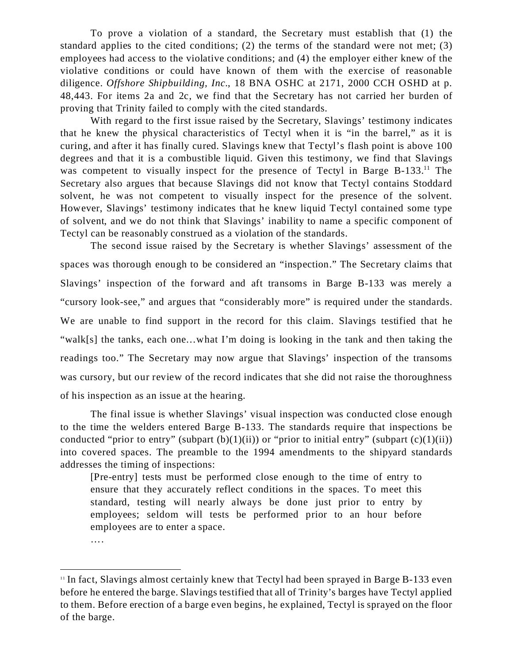To prove a violation of a standard, the Secretary must establish that (1) the standard applies to the cited conditions; (2) the terms of the standard were not met; (3) employees had access to the violative conditions; and (4) the employer either knew of the violative conditions or could have known of them with the exercise of reasonable diligence. *Offshore Shipbuilding, Inc.*, 18 BNA OSHC at 2171, 2000 CCH OSHD at p. 48,443. For items 2a and 2c, we find that the Secretary has not carried her burden of proving that Trinity failed to comply with the cited standards.

With regard to the first issue raised by the Secretary, Slavings' testimony indicates that he knew the physical characteristics of Tectyl when it is "in the barrel," as it is curing, and after it has finally cured. Slavings knew that Tectyl's flash point is above 100 degrees and that it is a combustible liquid. Given this testimony, we find that Slavings was competent to visually inspect for the presence of Tectyl in Barge B-133.<sup>11</sup> The Secretary also argues that because Slavings did not know that Tectyl contains Stoddard solvent, he was not competent to visually inspect for the presence of the solvent. However, Slavings' testimony indicates that he knew liquid Tectyl contained some type of solvent, and we do not think that Slavings' inability to name a specific component of Tectyl can be reasonably construed as a violation of the standards.

The second issue raised by the Secretary is whether Slavings' assessment of the spaces was thorough enough to be considered an "inspection." The Secretary claims that Slavings' inspection of the forward and aft transoms in Barge B-133 was merely a "cursory look-see," and argues that "considerably more" is required under the standards. We are unable to find support in the record for this claim. Slavings testified that he "walk[s] the tanks, each one…what I'm doing is looking in the tank and then taking the readings too." The Secretary may now argue that Slavings' inspection of the transoms was cursory, but our review of the record indicates that she did not raise the thoroughness of his inspection as an issue at the hearing.

The final issue is whether Slavings' visual inspection was conducted close enough to the time the welders entered Barge B-133. The standards require that inspections be conducted "prior to entry" (subpart  $(b)(1)(ii)$ ) or "prior to initial entry" (subpart  $(c)(1)(ii)$ ) into covered spaces. The preamble to the 1994 amendments to the shipyard standards addresses the timing of inspections:

[Pre-entry] tests must be performed close enough to the time of entry to ensure that they accurately reflect conditions in the spaces. To meet this standard, testing will nearly always be done just prior to entry by employees; seldom will tests be performed prior to an hour before employees are to enter a space.

….

<sup>&</sup>lt;sup>11</sup> In fact, Slavings almost certainly knew that Tectyl had been sprayed in Barge B-133 even before he entered the barge. Slavings testified that all of Trinity's barges have Tectyl applied to them. Before erection of a barge even begins, he explained, Tectyl is sprayed on the floor of the barge.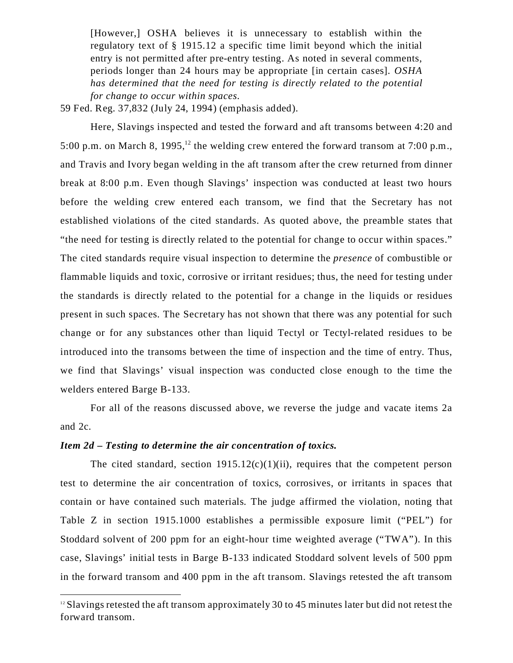[However,] OSHA believes it is unnecessary to establish within the regulatory text of § 1915.12 a specific time limit beyond which the initial entry is not permitted after pre-entry testing. As noted in several comments, periods longer than 24 hours may be appropriate [in certain cases]. *OSHA has determined that the need for testing is directly related to the potential for change to occur within spaces.*

59 Fed. Reg. 37,832 (July 24, 1994) (emphasis added).

Here, Slavings inspected and tested the forward and aft transoms between 4:20 and 5:00 p.m. on March 8, 1995,<sup>12</sup> the welding crew entered the forward transom at 7:00 p.m., and Travis and Ivory began welding in the aft transom after the crew returned from dinner break at 8:00 p.m. Even though Slavings' inspection was conducted at least two hours before the welding crew entered each transom, we find that the Secretary has not established violations of the cited standards. As quoted above, the preamble states that "the need for testing is directly related to the potential for change to occur within spaces." The cited standards require visual inspection to determine the *presence* of combustible or flammable liquids and toxic, corrosive or irritant residues; thus, the need for testing under the standards is directly related to the potential for a change in the liquids or residues present in such spaces. The Secretary has not shown that there was any potential for such change or for any substances other than liquid Tectyl or Tectyl-related residues to be introduced into the transoms between the time of inspection and the time of entry. Thus, we find that Slavings' visual inspection was conducted close enough to the time the welders entered Barge B-133.

For all of the reasons discussed above, we reverse the judge and vacate items 2a and 2c.

#### *Item 2d* **–** *Testing to determine the air concentration of toxics.*

The cited standard, section  $1915.12(c)(1)(ii)$ , requires that the competent person test to determine the air concentration of toxics, corrosives, or irritants in spaces that contain or have contained such materials. The judge affirmed the violation, noting that Table Z in section 1915.1000 establishes a permissible exposure limit ("PEL") for Stoddard solvent of 200 ppm for an eight-hour time weighted average ("TWA"). In this case, Slavings' initial tests in Barge B-133 indicated Stoddard solvent levels of 500 ppm in the forward transom and 400 ppm in the aft transom. Slavings retested the aft transom

 $12$  Slavings retested the aft transom approximately 30 to 45 minutes later but did not retest the forward transom.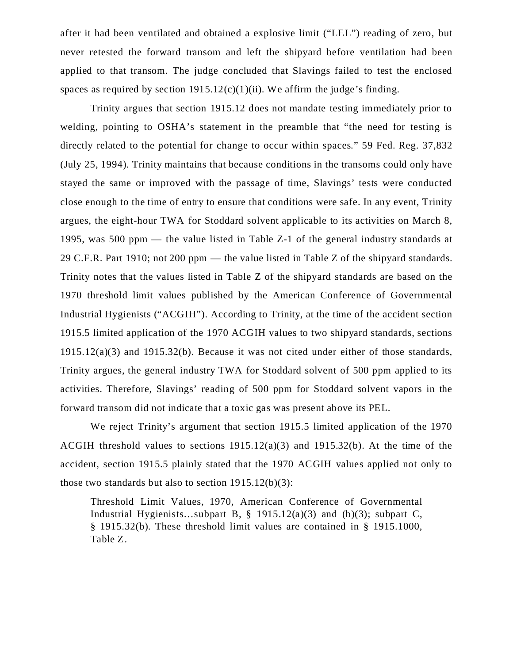after it had been ventilated and obtained a explosive limit ("LEL") reading of zero, but never retested the forward transom and left the shipyard before ventilation had been applied to that transom. The judge concluded that Slavings failed to test the enclosed spaces as required by section  $1915.12(c)(1)(ii)$ . We affirm the judge's finding.

Trinity argues that section 1915.12 does not mandate testing immediately prior to welding, pointing to OSHA's statement in the preamble that "the need for testing is directly related to the potential for change to occur within spaces." 59 Fed. Reg. 37,832 (July 25, 1994). Trinity maintains that because conditions in the transoms could only have stayed the same or improved with the passage of time, Slavings' tests were conducted close enough to the time of entry to ensure that conditions were safe. In any event, Trinity argues, the eight-hour TWA for Stoddard solvent applicable to its activities on March 8, 1995, was 500 ppm — the value listed in Table Z-1 of the general industry standards at 29 C.F.R. Part 1910; not 200 ppm — the value listed in Table Z of the shipyard standards. Trinity notes that the values listed in Table Z of the shipyard standards are based on the 1970 threshold limit values published by the American Conference of Governmental Industrial Hygienists ("ACGIH"). According to Trinity, at the time of the accident section 1915.5 limited application of the 1970 ACGIH values to two shipyard standards, sections 1915.12(a)(3) and 1915.32(b). Because it was not cited under either of those standards, Trinity argues, the general industry TWA for Stoddard solvent of 500 ppm applied to its activities. Therefore, Slavings' reading of 500 ppm for Stoddard solvent vapors in the forward transom did not indicate that a toxic gas was present above its PEL.

We reject Trinity's argument that section 1915.5 limited application of the 1970 ACGIH threshold values to sections 1915.12(a)(3) and 1915.32(b). At the time of the accident, section 1915.5 plainly stated that the 1970 ACGIH values applied not only to those two standards but also to section  $1915.12(b)(3)$ :

Threshold Limit Values, 1970, American Conference of Governmental Industrial Hygienists...subpart B,  $\S$  1915.12(a)(3) and (b)(3); subpart C, § 1915.32(b). These threshold limit values are contained in § 1915.1000, Table Z.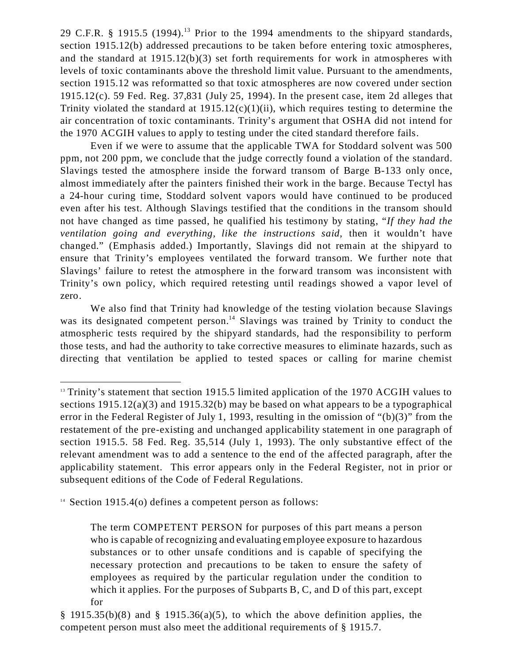29 C.F.R.  $\S$  1915.5 (1994).<sup>13</sup> Prior to the 1994 amendments to the shipyard standards, section 1915.12(b) addressed precautions to be taken before entering toxic atmospheres, and the standard at 1915.12(b)(3) set forth requirements for work in atmospheres with levels of toxic contaminants above the threshold limit value. Pursuant to the amendments, section 1915.12 was reformatted so that toxic atmospheres are now covered under section 1915.12(c). 59 Fed. Reg. 37,831 (July 25, 1994). In the present case, item 2d alleges that Trinity violated the standard at  $1915.12(c)(1)(ii)$ , which requires testing to determine the air concentration of toxic contaminants. Trinity's argument that OSHA did not intend for the 1970 ACGIH values to apply to testing under the cited standard therefore fails.

 Even if we were to assume that the applicable TWA for Stoddard solvent was 500 ppm, not 200 ppm, we conclude that the judge correctly found a violation of the standard. Slavings tested the atmosphere inside the forward transom of Barge B-133 only once, almost immediately after the painters finished their work in the barge. Because Tectyl has a 24-hour curing time, Stoddard solvent vapors would have continued to be produced even after his test. Although Slavings testified that the conditions in the transom should not have changed as time passed, he qualified his testimony by stating, "*If they had the ventilation going and everything, like the instructions said*, then it wouldn't have changed." (Emphasis added.) Importantly, Slavings did not remain at the shipyard to ensure that Trinity's employees ventilated the forward transom. We further note that Slavings' failure to retest the atmosphere in the forward transom was inconsistent with Trinity's own policy, which required retesting until readings showed a vapor level of zero.

We also find that Trinity had knowledge of the testing violation because Slavings was its designated competent person.<sup>14</sup> Slavings was trained by Trinity to conduct the atmospheric tests required by the shipyard standards, had the responsibility to perform those tests, and had the authority to take corrective measures to eliminate hazards, such as directing that ventilation be applied to tested spaces or calling for marine chemist

<sup>14</sup> Section 1915.4(o) defines a competent person as follows:

<sup>&</sup>lt;sup>13</sup> Trinity's statement that section 1915.5 limited application of the 1970 ACGIH values to sections 1915.12(a)(3) and 1915.32(b) may be based on what appears to be a typographical error in the Federal Register of July 1, 1993, resulting in the omission of "(b)(3)" from the restatement of the pre-existing and unchanged applicability statement in one paragraph of section 1915.5. 58 Fed. Reg. 35,514 (July 1, 1993). The only substantive effect of the relevant amendment was to add a sentence to the end of the affected paragraph, after the applicability statement. This error appears only in the Federal Register, not in prior or subsequent editions of the Code of Federal Regulations.

The term COMPETENT PERSON for purposes of this part means a person who is capable of recognizing and evaluating employee exposure to hazardous substances or to other unsafe conditions and is capable of specifying the necessary protection and precautions to be taken to ensure the safety of employees as required by the particular regulation under the condition to which it applies. For the purposes of Subparts B, C, and D of this part, except for

<sup>§ 1915.35(</sup>b)(8) and § 1915.36(a)(5), to which the above definition applies, the competent person must also meet the additional requirements of § 1915.7.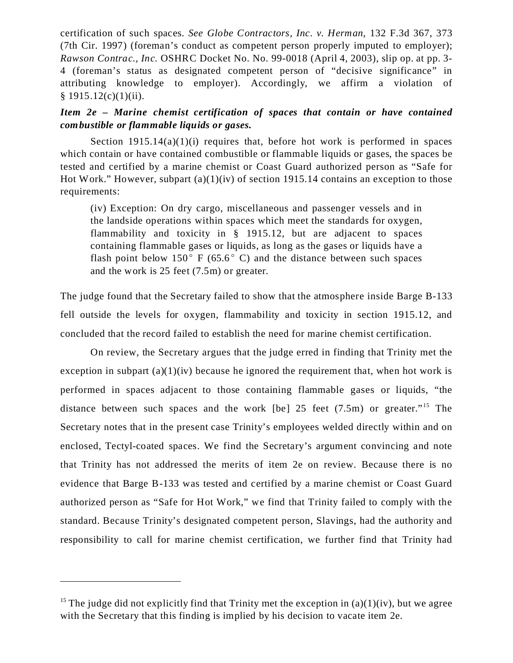certification of such spaces. *See Globe Contractors, Inc. v. Herman,* 132 F.3d 367, 373 (7th Cir. 1997) (foreman's conduct as competent person properly imputed to employer); *Rawson Contrac., Inc.* OSHRC Docket No. No. 99-0018 (April 4, 2003), slip op. at pp. 3-4 (foreman's status as designated competent person of "decisive significance" in attributing knowledge to employer). Accordingly, we affirm a violation of  $§ 1915.12(c)(1)(ii).$ 

# *Item 2e – Marine chemist certification of spaces that contain or have contained combustible or flammable liquids or gases.*

Section  $1915.14(a)(1)(i)$  requires that, before hot work is performed in spaces which contain or have contained combustible or flammable liquids or gases, the spaces be tested and certified by a marine chemist or Coast Guard authorized person as "Safe for Hot Work." However, subpart (a)(1)(iv) of section 1915.14 contains an exception to those requirements:

(iv) Exception: On dry cargo, miscellaneous and passenger vessels and in the landside operations within spaces which meet the standards for oxygen, flammability and toxicity in § 1915.12, but are adjacent to spaces containing flammable gases or liquids, as long as the gases or liquids have a flash point below  $150^{\circ}$  F (65.6<sup>o</sup> C) and the distance between such spaces and the work is 25 feet (7.5m) or greater.

The judge found that the Secretary failed to show that the atmosphere inside Barge B-133 fell outside the levels for oxygen, flammability and toxicity in section 1915.12, and concluded that the record failed to establish the need for marine chemist certification.

On review, the Secretary argues that the judge erred in finding that Trinity met the exception in subpart  $(a)(1)(iv)$  because he ignored the requirement that, when hot work is performed in spaces adjacent to those containing flammable gases or liquids, "the distance between such spaces and the work  $[be]$  25 feet (7.5m) or greater.<sup>"15</sup> The Secretary notes that in the present case Trinity's employees welded directly within and on enclosed, Tectyl-coated spaces. We find the Secretary's argument convincing and note that Trinity has not addressed the merits of item 2e on review. Because there is no evidence that Barge B-133 was tested and certified by a marine chemist or Coast Guard authorized person as "Safe for Hot Work," we find that Trinity failed to comply with the standard. Because Trinity's designated competent person, Slavings, had the authority and responsibility to call for marine chemist certification, we further find that Trinity had

<sup>&</sup>lt;sup>15</sup> The judge did not explicitly find that Trinity met the exception in  $(a)(1)(iv)$ , but we agree with the Secretary that this finding is implied by his decision to vacate item 2e.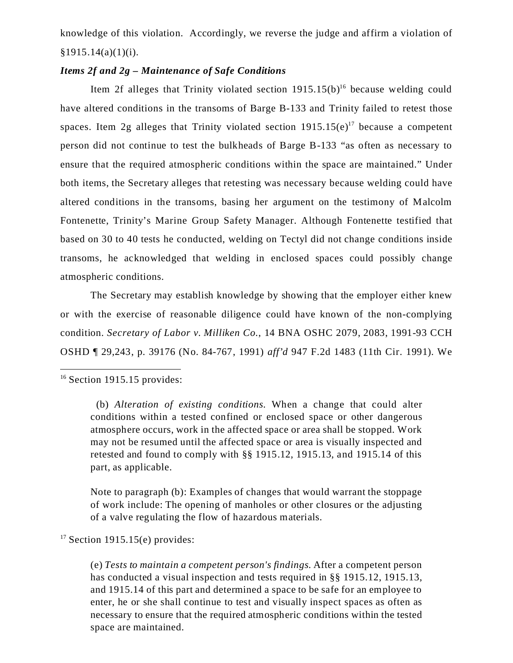knowledge of this violation. Accordingly, we reverse the judge and affirm a violation of  $§1915.14(a)(1)(i).$ 

# *Items 2f and 2g – Maintenance of Safe Conditions*

Item 2f alleges that Trinity violated section  $1915.15(b)^{16}$  because welding could have altered conditions in the transoms of Barge B-133 and Trinity failed to retest those spaces. Item 2g alleges that Trinity violated section  $1915.15(e)^{17}$  because a competent person did not continue to test the bulkheads of Barge B-133 "as often as necessary to ensure that the required atmospheric conditions within the space are maintained." Under both items, the Secretary alleges that retesting was necessary because welding could have altered conditions in the transoms, basing her argument on the testimony of Malcolm Fontenette, Trinity's Marine Group Safety Manager. Although Fontenette testified that based on 30 to 40 tests he conducted, welding on Tectyl did not change conditions inside transoms, he acknowledged that welding in enclosed spaces could possibly change atmospheric conditions.

The Secretary may establish knowledge by showing that the employer either knew or with the exercise of reasonable diligence could have known of the non-complying condition. *Secretary of Labor v. Milliken Co.*, 14 BNA OSHC 2079, 2083, 1991-93 CCH OSHD ¶ 29,243, p. 39176 (No. 84-767, 1991) *aff'd* 947 F.2d 1483 (11th Cir. 1991). We

Note to paragraph (b): Examples of changes that would warrant the stoppage of work include: The opening of manholes or other closures or the adjusting of a valve regulating the flow of hazardous materials.

 $17$  Section 1915.15(e) provides:

(e) *Tests to maintain a competent person's findings*. After a competent person has conducted a visual inspection and tests required in §§ 1915.12, 1915.13, and 1915.14 of this part and determined a space to be safe for an employee to enter, he or she shall continue to test and visually inspect spaces as often as necessary to ensure that the required atmospheric conditions within the tested space are maintained.

 $16$  Section 1915.15 provides:

<sup>(</sup>b) *Alteration of existing conditions*. When a change that could alter conditions within a tested confined or enclosed space or other dangerous atmosphere occurs, work in the affected space or area shall be stopped. Work may not be resumed until the affected space or area is visually inspected and retested and found to comply with §§ 1915.12, 1915.13, and 1915.14 of this part, as applicable.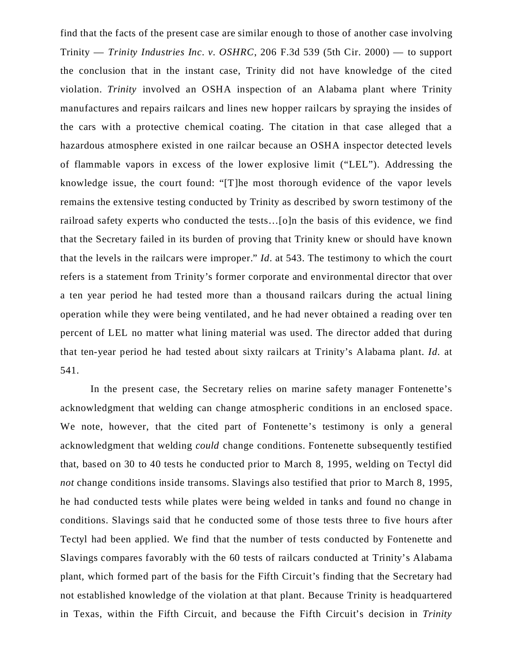find that the facts of the present case are similar enough to those of another case involving Trinity — *Trinity Industries Inc. v. OSHRC*, 206 F.3d 539 (5th Cir. 2000) — to support the conclusion that in the instant case, Trinity did not have knowledge of the cited violation. *Trinity* involved an OSHA inspection of an Alabama plant where Trinity manufactures and repairs railcars and lines new hopper railcars by spraying the insides of the cars with a protective chemical coating. The citation in that case alleged that a hazardous atmosphere existed in one railcar because an OSHA inspector detected levels of flammable vapors in excess of the lower explosive limit ("LEL"). Addressing the knowledge issue, the court found: "[T]he most thorough evidence of the vapor levels remains the extensive testing conducted by Trinity as described by sworn testimony of the railroad safety experts who conducted the tests…[o]n the basis of this evidence, we find that the Secretary failed in its burden of proving that Trinity knew or should have known that the levels in the railcars were improper." *Id*. at 543. The testimony to which the court refers is a statement from Trinity's former corporate and environmental director that over a ten year period he had tested more than a thousand railcars during the actual lining operation while they were being ventilated, and he had never obtained a reading over ten percent of LEL no matter what lining material was used. The director added that during that ten-year period he had tested about sixty railcars at Trinity's Alabama plant. *Id.* at 541.

In the present case, the Secretary relies on marine safety manager Fontenette's acknowledgment that welding can change atmospheric conditions in an enclosed space. We note, however, that the cited part of Fontenette's testimony is only a general acknowledgment that welding *could* change conditions. Fontenette subsequently testified that, based on 30 to 40 tests he conducted prior to March 8, 1995, welding on Tectyl did *not* change conditions inside transoms. Slavings also testified that prior to March 8, 1995, he had conducted tests while plates were being welded in tanks and found no change in conditions. Slavings said that he conducted some of those tests three to five hours after Tectyl had been applied. We find that the number of tests conducted by Fontenette and Slavings compares favorably with the 60 tests of railcars conducted at Trinity's Alabama plant, which formed part of the basis for the Fifth Circuit's finding that the Secretary had not established knowledge of the violation at that plant. Because Trinity is headquartered in Texas, within the Fifth Circuit, and because the Fifth Circuit's decision in *Trinity*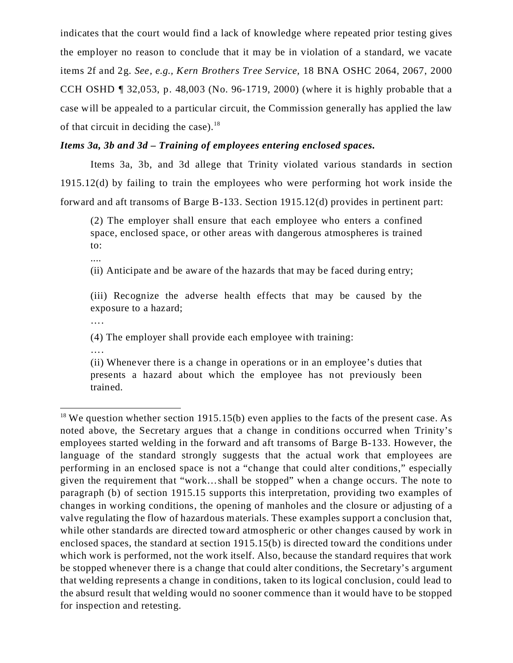indicates that the court would find a lack of knowledge where repeated prior testing gives the employer no reason to conclude that it may be in violation of a standard, we vacate items 2f and 2g. *See, e.g., Kern Brothers Tree Service,* 18 BNA OSHC 2064, 2067, 2000 CCH OSHD ¶ 32,053, p. 48,003 (No. 96-1719, 2000) (where it is highly probable that a case will be appealed to a particular circuit, the Commission generally has applied the law of that circuit in deciding the case). $18$ 

## *Items 3a, 3b and 3d – Training of employees entering enclosed spaces.*

Items 3a, 3b, and 3d allege that Trinity violated various standards in section 1915.12(d) by failing to train the employees who were performing hot work inside the forward and aft transoms of Barge B-133. Section 1915.12(d) provides in pertinent part:

(2) The employer shall ensure that each employee who enters a confined space, enclosed space, or other areas with dangerous atmospheres is trained to:

....

(ii) Anticipate and be aware of the hazards that may be faced during entry;

(iii) Recognize the adverse health effects that may be caused by the exposure to a hazard;

….

(4) The employer shall provide each employee with training:

….

(ii) Whenever there is a change in operations or in an employee's duties that presents a hazard about which the employee has not previously been trained.

<sup>&</sup>lt;sup>18</sup> We question whether section 1915.15(b) even applies to the facts of the present case. As noted above, the Secretary argues that a change in conditions occurred when Trinity's employees started welding in the forward and aft transoms of Barge B-133. However, the language of the standard strongly suggests that the actual work that employees are performing in an enclosed space is not a "change that could alter conditions," especially given the requirement that "work…shall be stopped" when a change occurs. The note to paragraph (b) of section 1915.15 supports this interpretation, providing two examples of changes in working conditions, the opening of manholes and the closure or adjusting of a valve regulating the flow of hazardous materials. These examples support a conclusion that, while other standards are directed toward atmospheric or other changes caused by work in enclosed spaces, the standard at section 1915.15(b) is directed toward the conditions under which work is performed, not the work itself. Also, because the standard requires that work be stopped whenever there is a change that could alter conditions, the Secretary's argument that welding represents a change in conditions, taken to its logical conclusion, could lead to the absurd result that welding would no sooner commence than it would have to be stopped for inspection and retesting.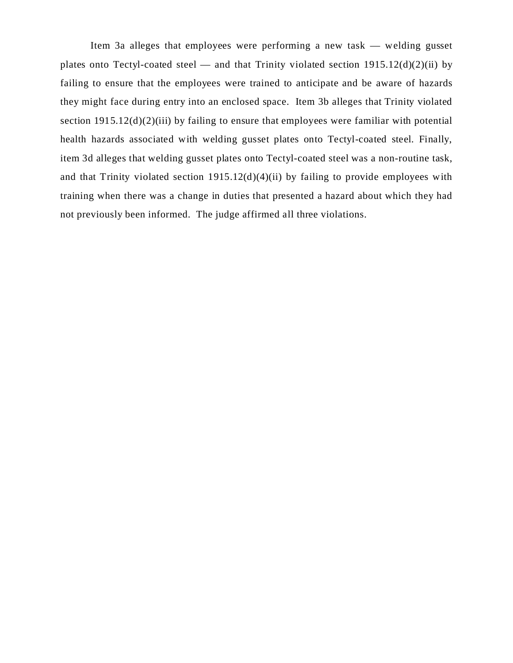Item 3a alleges that employees were performing a new task — welding gusset plates onto Tectyl-coated steel — and that Trinity violated section  $1915.12(d)(2)(ii)$  by failing to ensure that the employees were trained to anticipate and be aware of hazards they might face during entry into an enclosed space. Item 3b alleges that Trinity violated section  $1915.12(d)(2)(iii)$  by failing to ensure that employees were familiar with potential health hazards associated with welding gusset plates onto Tectyl-coated steel. Finally, item 3d alleges that welding gusset plates onto Tectyl-coated steel was a non-routine task, and that Trinity violated section  $1915.12(d)(4)(ii)$  by failing to provide employees with training when there was a change in duties that presented a hazard about which they had not previously been informed. The judge affirmed all three violations.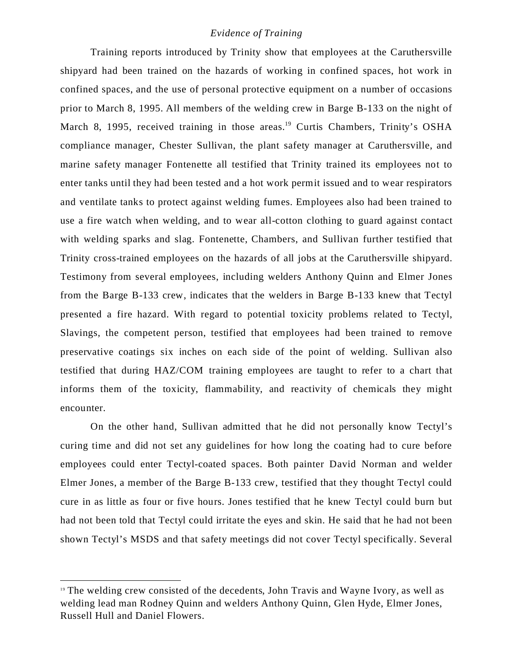## *Evidence of Training*

Training reports introduced by Trinity show that employees at the Caruthersville shipyard had been trained on the hazards of working in confined spaces, hot work in confined spaces, and the use of personal protective equipment on a number of occasions prior to March 8, 1995. All members of the welding crew in Barge B-133 on the night of March 8, 1995, received training in those areas.<sup>19</sup> Curtis Chambers, Trinity's OSHA compliance manager, Chester Sullivan, the plant safety manager at Caruthersville, and marine safety manager Fontenette all testified that Trinity trained its employees not to enter tanks until they had been tested and a hot work permit issued and to wear respirators and ventilate tanks to protect against welding fumes. Employees also had been trained to use a fire watch when welding, and to wear all-cotton clothing to guard against contact with welding sparks and slag. Fontenette, Chambers, and Sullivan further testified that Trinity cross-trained employees on the hazards of all jobs at the Caruthersville shipyard. Testimony from several employees, including welders Anthony Quinn and Elmer Jones from the Barge B-133 crew, indicates that the welders in Barge B-133 knew that Tectyl presented a fire hazard. With regard to potential toxicity problems related to Tectyl, Slavings, the competent person, testified that employees had been trained to remove preservative coatings six inches on each side of the point of welding. Sullivan also testified that during HAZ/COM training employees are taught to refer to a chart that informs them of the toxicity, flammability, and reactivity of chemicals they might encounter.

On the other hand, Sullivan admitted that he did not personally know Tectyl's curing time and did not set any guidelines for how long the coating had to cure before employees could enter Tectyl-coated spaces. Both painter David Norman and welder Elmer Jones, a member of the Barge B-133 crew, testified that they thought Tectyl could cure in as little as four or five hours. Jones testified that he knew Tectyl could burn but had not been told that Tectyl could irritate the eyes and skin. He said that he had not been shown Tectyl's MSDS and that safety meetings did not cover Tectyl specifically. Several

<sup>&</sup>lt;sup>19</sup> The welding crew consisted of the decedents, John Travis and Wayne Ivory, as well as welding lead man Rodney Quinn and welders Anthony Quinn, Glen Hyde, Elmer Jones, Russell Hull and Daniel Flowers.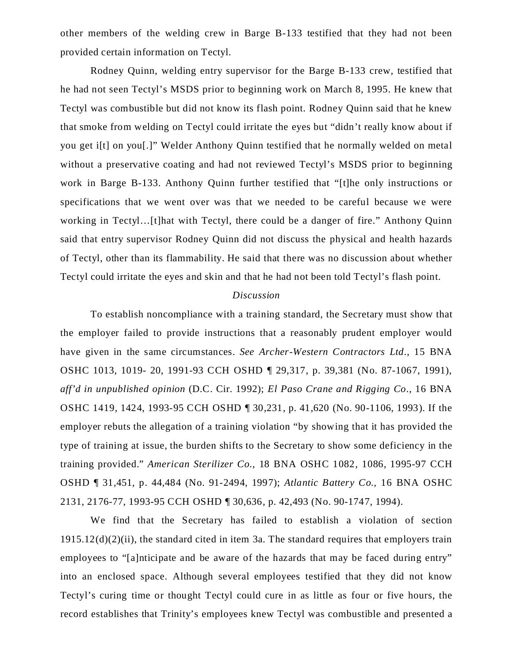other members of the welding crew in Barge B-133 testified that they had not been provided certain information on Tectyl.

Rodney Quinn, welding entry supervisor for the Barge B-133 crew, testified that he had not seen Tectyl's MSDS prior to beginning work on March 8, 1995. He knew that Tectyl was combustible but did not know its flash point. Rodney Quinn said that he knew that smoke from welding on Tectyl could irritate the eyes but "didn't really know about if you get i[t] on you[.]" Welder Anthony Quinn testified that he normally welded on metal without a preservative coating and had not reviewed Tectyl's MSDS prior to beginning work in Barge B-133. Anthony Quinn further testified that "[t]he only instructions or specifications that we went over was that we needed to be careful because we were working in Tectyl…[t]hat with Tectyl, there could be a danger of fire." Anthony Quinn said that entry supervisor Rodney Quinn did not discuss the physical and health hazards of Tectyl, other than its flammability. He said that there was no discussion about whether Tectyl could irritate the eyes and skin and that he had not been told Tectyl's flash point.

# *Discussion*

To establish noncompliance with a training standard, the Secretary must show that the employer failed to provide instructions that a reasonably prudent employer would have given in the same circumstances. *See Archer-Western Contractors Ltd.,* 15 BNA OSHC 1013, 1019- 20, 1991-93 CCH OSHD ¶ 29,317, p. 39,381 (No. 87-1067, 1991), *aff'd in unpublished opinion* (D.C. Cir. 1992); *El Paso Crane and Rigging Co.,* 16 BNA OSHC 1419, 1424, 1993-95 CCH OSHD ¶ 30,231, p. 41,620 (No. 90-1106, 1993). If the employer rebuts the allegation of a training violation "by showing that it has provided the type of training at issue, the burden shifts to the Secretary to show some deficiency in the training provided." *American Sterilizer Co.*, 18 BNA OSHC 1082, 1086, 1995-97 CCH OSHD ¶ 31,451, p. 44,484 (No. 91-2494, 1997); *Atlantic Battery Co.,* 16 BNA OSHC 2131, 2176-77, 1993-95 CCH OSHD ¶ 30,636, p. 42,493 (No. 90-1747, 1994).

We find that the Secretary has failed to establish a violation of section  $1915.12(d)(2)(ii)$ , the standard cited in item 3a. The standard requires that employers train employees to "alnticipate and be aware of the hazards that may be faced during entry" into an enclosed space. Although several employees testified that they did not know Tectyl's curing time or thought Tectyl could cure in as little as four or five hours, the record establishes that Trinity's employees knew Tectyl was combustible and presented a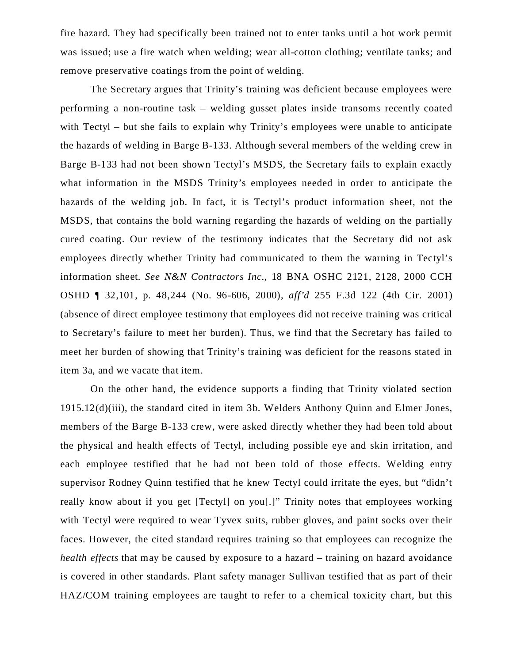fire hazard. They had specifically been trained not to enter tanks until a hot work permit was issued; use a fire watch when welding; wear all-cotton clothing; ventilate tanks; and remove preservative coatings from the point of welding.

The Secretary argues that Trinity's training was deficient because employees were performing a non-routine task – welding gusset plates inside transoms recently coated with Tectyl – but she fails to explain why Trinity's employees were unable to anticipate the hazards of welding in Barge B-133. Although several members of the welding crew in Barge B-133 had not been shown Tectyl's MSDS, the Secretary fails to explain exactly what information in the MSDS Trinity's employees needed in order to anticipate the hazards of the welding job. In fact, it is Tectyl's product information sheet, not the MSDS, that contains the bold warning regarding the hazards of welding on the partially cured coating. Our review of the testimony indicates that the Secretary did not ask employees directly whether Trinity had communicated to them the warning in Tectyl's information sheet. *See N&N Contractors Inc.*, 18 BNA OSHC 2121, 2128, 2000 CCH OSHD ¶ 32,101, p. 48,244 (No. 96-606, 2000), *aff'd* 255 F.3d 122 (4th Cir. 2001) (absence of direct employee testimony that employees did not receive training was critical to Secretary's failure to meet her burden). Thus, we find that the Secretary has failed to meet her burden of showing that Trinity's training was deficient for the reasons stated in item 3a, and we vacate that item.

On the other hand, the evidence supports a finding that Trinity violated section 1915.12(d)(iii), the standard cited in item 3b. Welders Anthony Quinn and Elmer Jones, members of the Barge B-133 crew, were asked directly whether they had been told about the physical and health effects of Tectyl, including possible eye and skin irritation, and each employee testified that he had not been told of those effects. Welding entry supervisor Rodney Quinn testified that he knew Tectyl could irritate the eyes, but "didn't really know about if you get [Tectyl] on you[.]" Trinity notes that employees working with Tectyl were required to wear Tyvex suits, rubber gloves, and paint socks over their faces. However, the cited standard requires training so that employees can recognize the *health effects* that may be caused by exposure to a hazard – training on hazard avoidance is covered in other standards. Plant safety manager Sullivan testified that as part of their HAZ/COM training employees are taught to refer to a chemical toxicity chart, but this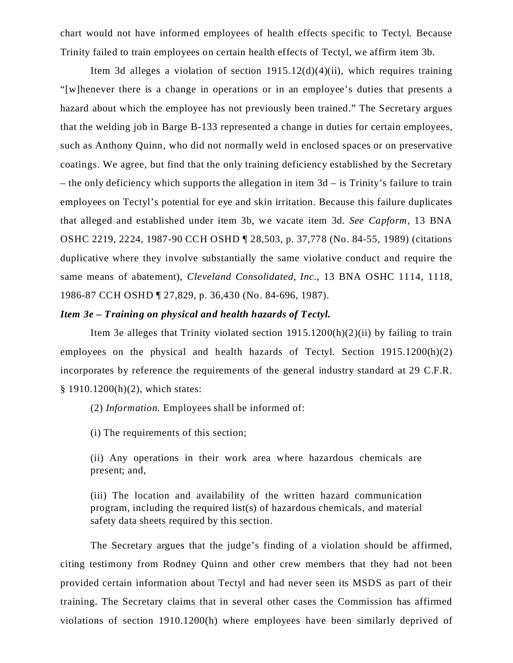chart would not have informed employees of health effects specific to Tectyl. Because Trinity failed to train employees on certain health effects of Tectyl, we affirm item 3b.

Item 3d alleges a violation of section 1915.12(d)(4)(ii), which requires training "[w]henever there is a change in operations or in an employee's duties that presents a hazard about which the employee has not previously been trained." The Secretary argues that the welding job in Barge B-133 represented a change in duties for certain employees, such as Anthony Quinn, who did not normally weld in enclosed spaces or on preservative coatings. We agree, but find that the only training deficiency established by the Secretary – the only deficiency which supports the allegation in item 3d – is Trinity's failure to train employees on Tectyl's potential for eye and skin irritation. Because this failure duplicates that alleged and established under item 3b, we vacate item 3d. *See Capform,* 13 BNA OSHC 2219, 2224, 1987-90 CCH OSHD ¶ 28,503, p. 37,778 (No. 84-55, 1989) (citations duplicative where they involve substantially the same violative conduct and require the same means of abatement), *Cleveland Consolidated, Inc.*, 13 BNA OSHC 1114, 1118, 1986-87 CCH OSHD ¶ 27,829, p. 36,430 (No. 84-696, 1987).

## *Item 3e – Training on physical and health hazards of Tectyl.*

Item 3e alleges that Trinity violated section  $1915.1200(h)(2)(ii)$  by failing to train employees on the physical and health hazards of Tectyl. Section 1915.1200(h)(2) incorporates by reference the requirements of the general industry standard at 29 C.F.R. § 1910.1200(h)(2), which states:

(2) *Information.* Employees shall be informed of:

(i) The requirements of this section;

(ii) Any operations in their work area where hazardous chemicals are present; and,

(iii) The location and availability of the written hazard communication program, including the required list(s) of hazardous chemicals, and material safety data sheets required by this section.

The Secretary argues that the judge's finding of a violation should be affirmed, citing testimony from Rodney Quinn and other crew members that they had not been provided certain information about Tectyl and had never seen its MSDS as part of their training. The Secretary claims that in several other cases the Commission has affirmed violations of section 1910.1200(h) where employees have been similarly deprived of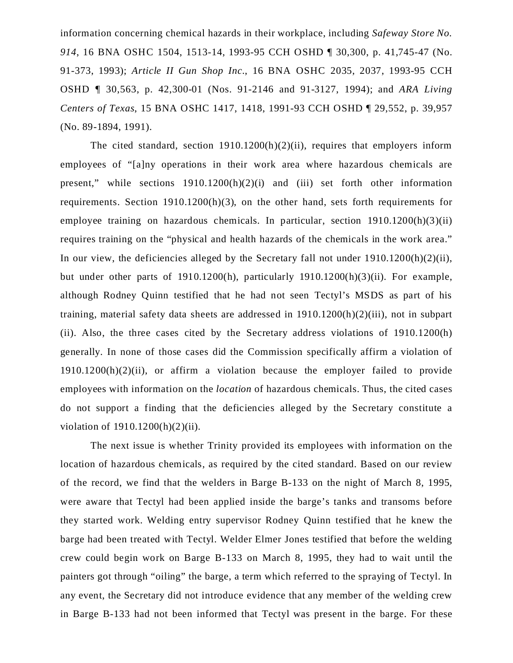information concerning chemical hazards in their workplace, including *Safeway Store No. 914*, 16 BNA OSHC 1504, 1513-14, 1993-95 CCH OSHD ¶ 30,300, p. 41,745-47 (No. 91-373, 1993); *Article II Gun Shop Inc.*, 16 BNA OSHC 2035, 2037, 1993-95 CCH OSHD ¶ 30,563, p. 42,300-01 (Nos. 91-2146 and 91-3127, 1994); and *ARA Living Centers of Texas*, 15 BNA OSHC 1417, 1418, 1991-93 CCH OSHD ¶ 29,552, p. 39,957 (No. 89-1894, 1991).

The cited standard, section 1910.1200(h)(2)(ii), requires that employers inform employees of "[a]ny operations in their work area where hazardous chemicals are present," while sections 1910.1200(h)(2)(i) and (iii) set forth other information requirements. Section 1910.1200(h)(3), on the other hand, sets forth requirements for employee training on hazardous chemicals. In particular, section 1910.1200(h)(3)(ii) requires training on the "physical and health hazards of the chemicals in the work area." In our view, the deficiencies alleged by the Secretary fall not under 1910.1200(h)(2)(ii), but under other parts of 1910.1200(h), particularly 1910.1200(h)(3)(ii). For example, although Rodney Quinn testified that he had not seen Tectyl's MSDS as part of his training, material safety data sheets are addressed in 1910.1200(h)(2)(iii), not in subpart (ii). Also, the three cases cited by the Secretary address violations of 1910.1200(h) generally. In none of those cases did the Commission specifically affirm a violation of 1910.1200(h)(2)(ii), or affirm a violation because the employer failed to provide employees with information on the *location* of hazardous chemicals. Thus, the cited cases do not support a finding that the deficiencies alleged by the Secretary constitute a violation of 1910.1200(h)(2)(ii).

The next issue is whether Trinity provided its employees with information on the location of hazardous chemicals, as required by the cited standard. Based on our review of the record, we find that the welders in Barge B-133 on the night of March 8, 1995, were aware that Tectyl had been applied inside the barge's tanks and transoms before they started work. Welding entry supervisor Rodney Quinn testified that he knew the barge had been treated with Tectyl. Welder Elmer Jones testified that before the welding crew could begin work on Barge B-133 on March 8, 1995, they had to wait until the painters got through "oiling" the barge, a term which referred to the spraying of Tectyl. In any event, the Secretary did not introduce evidence that any member of the welding crew in Barge B-133 had not been informed that Tectyl was present in the barge. For these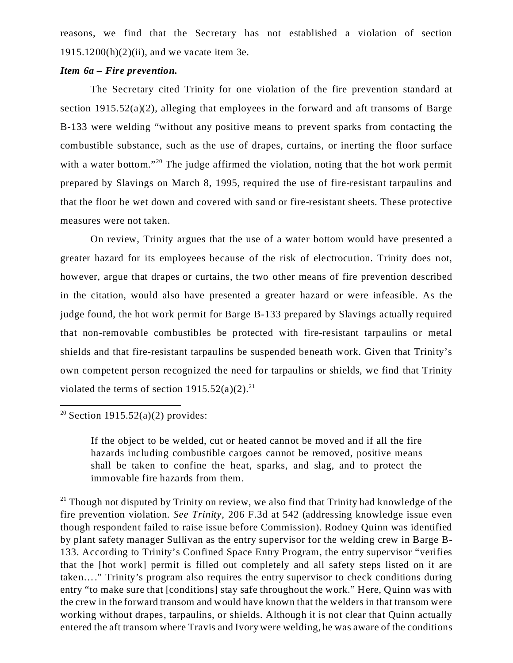reasons, we find that the Secretary has not established a violation of section 1915.1200(h)(2)(ii), and we vacate item 3e.

## *Item 6a – Fire prevention.*

The Secretary cited Trinity for one violation of the fire prevention standard at section 1915.52(a)(2), alleging that employees in the forward and aft transoms of Barge B-133 were welding "without any positive means to prevent sparks from contacting the combustible substance, such as the use of drapes, curtains, or inerting the floor surface with a water bottom."<sup>20</sup> The judge affirmed the violation, noting that the hot work permit prepared by Slavings on March 8, 1995, required the use of fire-resistant tarpaulins and that the floor be wet down and covered with sand or fire-resistant sheets. These protective measures were not taken.

On review, Trinity argues that the use of a water bottom would have presented a greater hazard for its employees because of the risk of electrocution. Trinity does not, however, argue that drapes or curtains, the two other means of fire prevention described in the citation, would also have presented a greater hazard or were infeasible. As the judge found, the hot work permit for Barge B-133 prepared by Slavings actually required that non-removable combustibles be protected with fire-resistant tarpaulins or metal shields and that fire-resistant tarpaulins be suspended beneath work. Given that Trinity's own competent person recognized the need for tarpaulins or shields, we find that Trinity violated the terms of section  $1915.52(a)(2).^{21}$ 

<sup>20</sup> Section 1915.52(a)(2) provides:

If the object to be welded, cut or heated cannot be moved and if all the fire hazards including combustible cargoes cannot be removed, positive means shall be taken to confine the heat, sparks, and slag, and to protect the immovable fire hazards from them.

 $21$  Though not disputed by Trinity on review, we also find that Trinity had knowledge of the fire prevention violation. *See Trinity*, 206 F.3d at 542 (addressing knowledge issue even though respondent failed to raise issue before Commission). Rodney Quinn was identified by plant safety manager Sullivan as the entry supervisor for the welding crew in Barge B-133. According to Trinity's Confined Space Entry Program, the entry supervisor "verifies that the [hot work] permit is filled out completely and all safety steps listed on it are taken…." Trinity's program also requires the entry supervisor to check conditions during entry "to make sure that [conditions] stay safe throughout the work." Here, Quinn was with the crew in the forward transom and would have known that the welders in that transom were working without drapes, tarpaulins, or shields. Although it is not clear that Quinn actually entered the aft transom where Travis and Ivory were welding, he was aware of the conditions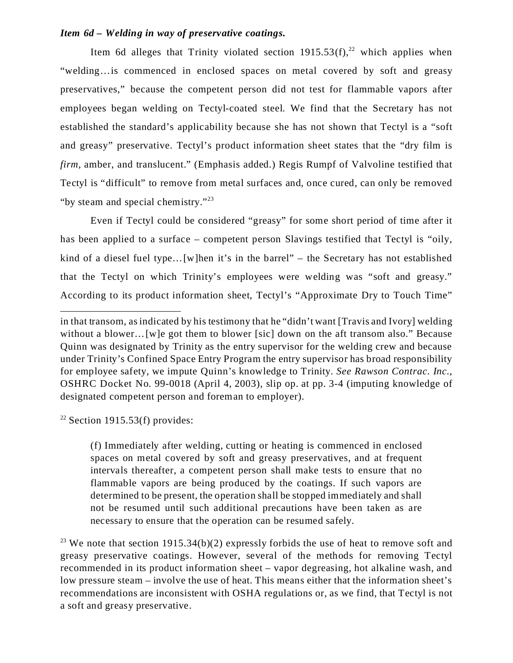## *Item 6d – Welding in way of preservative coatings.*

Item 6d alleges that Trinity violated section  $1915.53(f)$ ,<sup>22</sup> which applies when "welding…is commenced in enclosed spaces on metal covered by soft and greasy preservatives," because the competent person did not test for flammable vapors after employees began welding on Tectyl-coated steel. We find that the Secretary has not established the standard's applicability because she has not shown that Tectyl is a "soft and greasy" preservative. Tectyl's product information sheet states that the "dry film is *firm*, amber, and translucent." (Emphasis added.) Regis Rumpf of Valvoline testified that Tectyl is "difficult" to remove from metal surfaces and, once cured, can only be removed "by steam and special chemistry."<sup>23</sup>

Even if Tectyl could be considered "greasy" for some short period of time after it has been applied to a surface – competent person Slavings testified that Tectyl is "oily, kind of a diesel fuel type…[w]hen it's in the barrel" – the Secretary has not established that the Tectyl on which Trinity's employees were welding was "soft and greasy." According to its product information sheet, Tectyl's "Approximate Dry to Touch Time"

<sup>22</sup> Section 1915.53(f) provides:

(f) Immediately after welding, cutting or heating is commenced in enclosed spaces on metal covered by soft and greasy preservatives, and at frequent intervals thereafter, a competent person shall make tests to ensure that no flammable vapors are being produced by the coatings. If such vapors are determined to be present, the operation shall be stopped immediately and shall not be resumed until such additional precautions have been taken as are necessary to ensure that the operation can be resumed safely.

<sup>23</sup> We note that section 1915.34(b)(2) expressly forbids the use of heat to remove soft and greasy preservative coatings. However, several of the methods for removing Tectyl recommended in its product information sheet – vapor degreasing, hot alkaline wash, and low pressure steam – involve the use of heat. This means either that the information sheet's recommendations are inconsistent with OSHA regulations or, as we find, that Tectyl is not a soft and greasy preservative.

in that transom, as indicated by his testimony that he "didn't want [Travis and Ivory] welding without a blower... [w]e got them to blower [sic] down on the aft transom also." Because Quinn was designated by Trinity as the entry supervisor for the welding crew and because under Trinity's Confined Space Entry Program the entry supervisor has broad responsibility for employee safety, we impute Quinn's knowledge to Trinity. *See Rawson Contrac. Inc.*, OSHRC Docket No. 99-0018 (April 4, 2003), slip op. at pp. 3-4 (imputing knowledge of designated competent person and foreman to employer).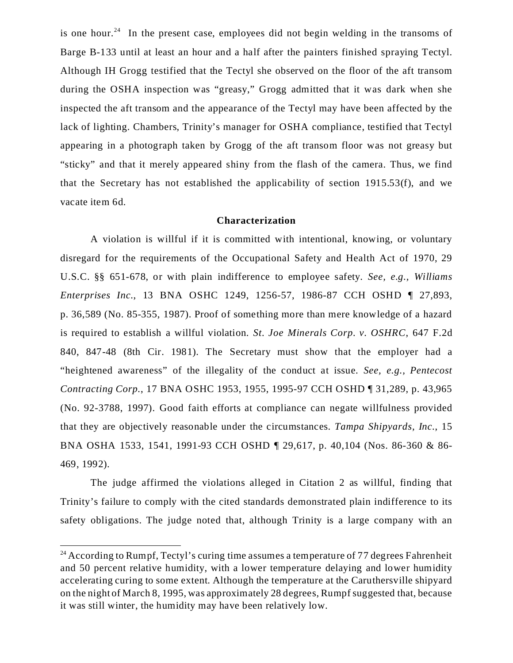is one hour.<sup>24</sup> In the present case, employees did not begin welding in the transoms of Barge B-133 until at least an hour and a half after the painters finished spraying Tectyl. Although IH Grogg testified that the Tectyl she observed on the floor of the aft transom during the OSHA inspection was "greasy," Grogg admitted that it was dark when she inspected the aft transom and the appearance of the Tectyl may have been affected by the lack of lighting. Chambers, Trinity's manager for OSHA compliance, testified that Tectyl appearing in a photograph taken by Grogg of the aft transom floor was not greasy but "sticky" and that it merely appeared shiny from the flash of the camera. Thus, we find that the Secretary has not established the applicability of section 1915.53(f), and we vacate item 6d.

#### **Characterization**

A violation is willful if it is committed with intentional, knowing, or voluntary disregard for the requirements of the Occupational Safety and Health Act of 1970, 29 U.S.C. §§ 651-678, or with plain indifference to employee safety. *See, e.g., Williams Enterprises Inc.*, 13 BNA OSHC 1249, 1256-57, 1986-87 CCH OSHD ¶ 27,893, p. 36,589 (No. 85-355, 1987). Proof of something more than mere knowledge of a hazard is required to establish a willful violation. *St. Joe Minerals Corp. v. OSHRC*, 647 F.2d 840, 847-48 (8th Cir. 1981). The Secretary must show that the employer had a "heightened awareness" of the illegality of the conduct at issue. *See, e.g., Pentecost Contracting Corp.*, 17 BNA OSHC 1953, 1955, 1995-97 CCH OSHD ¶ 31,289, p. 43,965 (No. 92-3788, 1997). Good faith efforts at compliance can negate willfulness provided that they are objectively reasonable under the circumstances. *Tampa Shipyards, Inc.*, 15 BNA OSHA 1533, 1541, 1991-93 CCH OSHD ¶ 29,617, p. 40,104 (Nos. 86-360 & 86- 469, 1992).

The judge affirmed the violations alleged in Citation 2 as willful, finding that Trinity's failure to comply with the cited standards demonstrated plain indifference to its safety obligations. The judge noted that, although Trinity is a large company with an

 $24$  According to Rumpf, Tectyl's curing time assumes a temperature of 77 degrees Fahrenheit and 50 percent relative humidity, with a lower temperature delaying and lower humidity accelerating curing to some extent. Although the temperature at the Caruthersville shipyard on the night of March 8, 1995, was approximately 28 degrees, Rumpf suggested that, because it was still winter, the humidity may have been relatively low.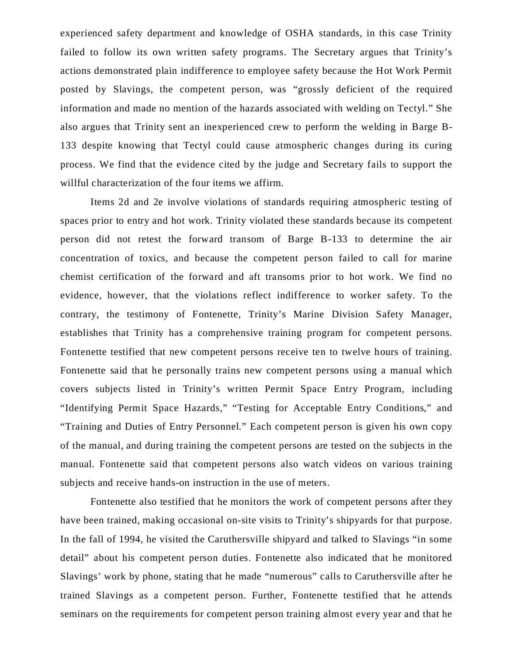experienced safety department and knowledge of OSHA standards, in this case Trinity failed to follow its own written safety programs. The Secretary argues that Trinity's actions demonstrated plain indifference to employee safety because the Hot Work Permit posted by Slavings, the competent person, was "grossly deficient of the required information and made no mention of the hazards associated with welding on Tectyl." She also argues that Trinity sent an inexperienced crew to perform the welding in Barge B-133 despite knowing that Tectyl could cause atmospheric changes during its curing process. We find that the evidence cited by the judge and Secretary fails to support the willful characterization of the four items we affirm.

Items 2d and 2e involve violations of standards requiring atmospheric testing of spaces prior to entry and hot work. Trinity violated these standards because its competent person did not retest the forward transom of Barge B-133 to determine the air concentration of toxics, and because the competent person failed to call for marine chemist certification of the forward and aft transoms prior to hot work. We find no evidence, however, that the violations reflect indifference to worker safety. To the contrary, the testimony of Fontenette, Trinity's Marine Division Safety Manager, establishes that Trinity has a comprehensive training program for competent persons. Fontenette testified that new competent persons receive ten to twelve hours of training. Fontenette said that he personally trains new competent persons using a manual which covers subjects listed in Trinity's written Permit Space Entry Program, including "Identifying Permit Space Hazards," "Testing for Acceptable Entry Conditions," and "Training and Duties of Entry Personnel." Each competent person is given his own copy of the manual, and during training the competent persons are tested on the subjects in the manual. Fontenette said that competent persons also watch videos on various training subjects and receive hands-on instruction in the use of meters.

Fontenette also testified that he monitors the work of competent persons after they have been trained, making occasional on-site visits to Trinity's shipyards for that purpose. In the fall of 1994, he visited the Caruthersville shipyard and talked to Slavings "in some detail" about his competent person duties. Fontenette also indicated that he monitored Slavings' work by phone, stating that he made "numerous" calls to Caruthersville after he trained Slavings as a competent person. Further, Fontenette testified that he attends seminars on the requirements for competent person training almost every year and that he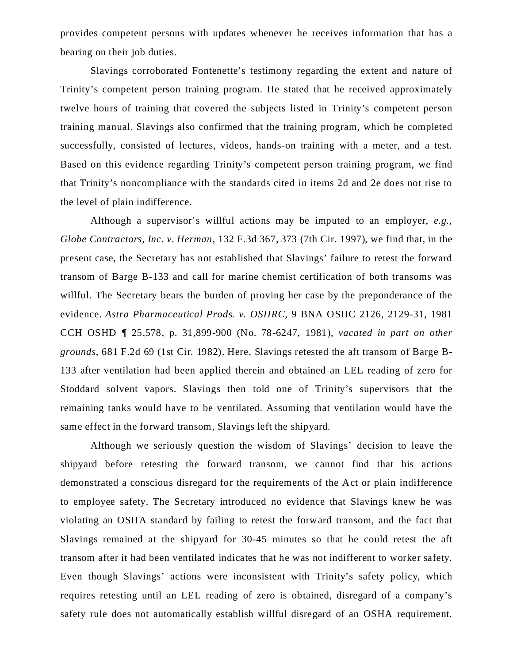provides competent persons with updates whenever he receives information that has a bearing on their job duties.

Slavings corroborated Fontenette's testimony regarding the extent and nature of Trinity's competent person training program. He stated that he received approximately twelve hours of training that covered the subjects listed in Trinity's competent person training manual. Slavings also confirmed that the training program, which he completed successfully, consisted of lectures, videos, hands-on training with a meter, and a test. Based on this evidence regarding Trinity's competent person training program, we find that Trinity's noncompliance with the standards cited in items 2d and 2e does not rise to the level of plain indifference.

Although a supervisor's willful actions may be imputed to an employer, *e.g., Globe Contractors, Inc. v. Herman*, 132 F.3d 367, 373 (7th Cir. 1997), we find that, in the present case, the Secretary has not established that Slavings' failure to retest the forward transom of Barge B-133 and call for marine chemist certification of both transoms was willful. The Secretary bears the burden of proving her case by the preponderance of the evidence. *Astra Pharmaceutical Prods. v. OSHRC*, 9 BNA OSHC 2126, 2129-31, 1981 CCH OSHD ¶ 25,578, p. 31,899-900 (No. 78-6247, 1981), *vacated in part on other grounds*, 681 F.2d 69 (1st Cir. 1982). Here, Slavings retested the aft transom of Barge B-133 after ventilation had been applied therein and obtained an LEL reading of zero for Stoddard solvent vapors. Slavings then told one of Trinity's supervisors that the remaining tanks would have to be ventilated. Assuming that ventilation would have the same effect in the forward transom, Slavings left the shipyard.

Although we seriously question the wisdom of Slavings' decision to leave the shipyard before retesting the forward transom, we cannot find that his actions demonstrated a conscious disregard for the requirements of the Act or plain indifference to employee safety. The Secretary introduced no evidence that Slavings knew he was violating an OSHA standard by failing to retest the forward transom, and the fact that Slavings remained at the shipyard for 30-45 minutes so that he could retest the aft transom after it had been ventilated indicates that he was not indifferent to worker safety. Even though Slavings' actions were inconsistent with Trinity's safety policy, which requires retesting until an LEL reading of zero is obtained, disregard of a company's safety rule does not automatically establish willful disregard of an OSHA requirement.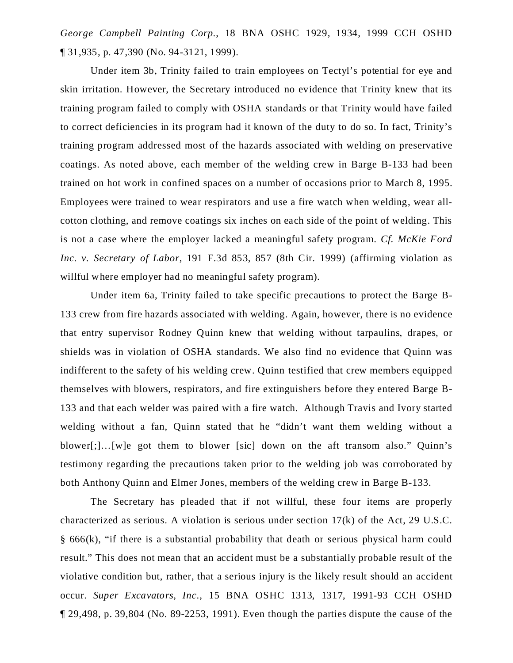*George Campbell Painting Corp.*, 18 BNA OSHC 1929, 1934, 1999 CCH OSHD ¶ 31,935, p. 47,390 (No. 94-3121, 1999).

Under item 3b, Trinity failed to train employees on Tectyl's potential for eye and skin irritation. However, the Secretary introduced no evidence that Trinity knew that its training program failed to comply with OSHA standards or that Trinity would have failed to correct deficiencies in its program had it known of the duty to do so. In fact, Trinity's training program addressed most of the hazards associated with welding on preservative coatings. As noted above, each member of the welding crew in Barge B-133 had been trained on hot work in confined spaces on a number of occasions prior to March 8, 1995. Employees were trained to wear respirators and use a fire watch when welding, wear allcotton clothing, and remove coatings six inches on each side of the point of welding. This is not a case where the employer lacked a meaningful safety program. *Cf. McKie Ford Inc. v. Secretary of Labor*, 191 F.3d 853, 857 (8th Cir. 1999) (affirming violation as willful where employer had no meaningful safety program).

Under item 6a, Trinity failed to take specific precautions to protect the Barge B-133 crew from fire hazards associated with welding. Again, however, there is no evidence that entry supervisor Rodney Quinn knew that welding without tarpaulins, drapes, or shields was in violation of OSHA standards. We also find no evidence that Quinn was indifferent to the safety of his welding crew. Quinn testified that crew members equipped themselves with blowers, respirators, and fire extinguishers before they entered Barge B-133 and that each welder was paired with a fire watch. Although Travis and Ivory started welding without a fan, Quinn stated that he "didn't want them welding without a blower[;]…[w]e got them to blower [sic] down on the aft transom also." Quinn's testimony regarding the precautions taken prior to the welding job was corroborated by both Anthony Quinn and Elmer Jones, members of the welding crew in Barge B-133.

The Secretary has pleaded that if not willful, these four items are properly characterized as serious. A violation is serious under section 17(k) of the Act, 29 U.S.C. § 666(k), "if there is a substantial probability that death or serious physical harm could result." This does not mean that an accident must be a substantially probable result of the violative condition but, rather, that a serious injury is the likely result should an accident occur. *Super Excavators, Inc.*, 15 BNA OSHC 1313, 1317, 1991-93 CCH OSHD ¶ 29,498, p. 39,804 (No. 89-2253, 1991). Even though the parties dispute the cause of the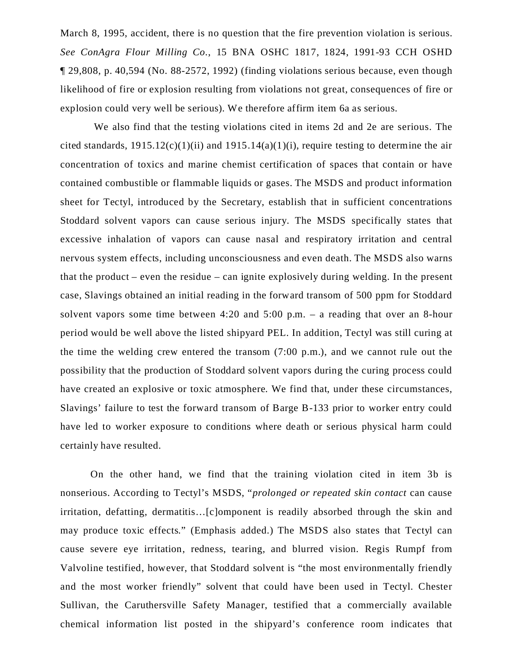March 8, 1995, accident, there is no question that the fire prevention violation is serious. *See ConAgra Flour Milling Co.*, 15 BNA OSHC 1817, 1824, 1991-93 CCH OSHD ¶ 29,808, p. 40,594 (No. 88-2572, 1992) (finding violations serious because, even though likelihood of fire or explosion resulting from violations not great, consequences of fire or explosion could very well be serious). We therefore affirm item 6a as serious.

 We also find that the testing violations cited in items 2d and 2e are serious. The cited standards,  $1915.12(c)(1)(ii)$  and  $1915.14(a)(1)(i)$ , require testing to determine the air concentration of toxics and marine chemist certification of spaces that contain or have contained combustible or flammable liquids or gases. The MSDS and product information sheet for Tectyl, introduced by the Secretary, establish that in sufficient concentrations Stoddard solvent vapors can cause serious injury. The MSDS specifically states that excessive inhalation of vapors can cause nasal and respiratory irritation and central nervous system effects, including unconsciousness and even death. The MSDS also warns that the product – even the residue – can ignite explosively during welding. In the present case, Slavings obtained an initial reading in the forward transom of 500 ppm for Stoddard solvent vapors some time between 4:20 and 5:00 p.m. – a reading that over an 8-hour period would be well above the listed shipyard PEL. In addition, Tectyl was still curing at the time the welding crew entered the transom (7:00 p.m.), and we cannot rule out the possibility that the production of Stoddard solvent vapors during the curing process could have created an explosive or toxic atmosphere. We find that, under these circumstances, Slavings' failure to test the forward transom of Barge B-133 prior to worker entry could have led to worker exposure to conditions where death or serious physical harm could certainly have resulted.

On the other hand, we find that the training violation cited in item 3b is nonserious. According to Tectyl's MSDS, "*prolonged or repeated skin contact* can cause irritation, defatting, dermatitis…[c]omponent is readily absorbed through the skin and may produce toxic effects." (Emphasis added.) The MSDS also states that Tectyl can cause severe eye irritation, redness, tearing, and blurred vision. Regis Rumpf from Valvoline testified, however, that Stoddard solvent is "the most environmentally friendly and the most worker friendly" solvent that could have been used in Tectyl. Chester Sullivan, the Caruthersville Safety Manager, testified that a commercially available chemical information list posted in the shipyard's conference room indicates that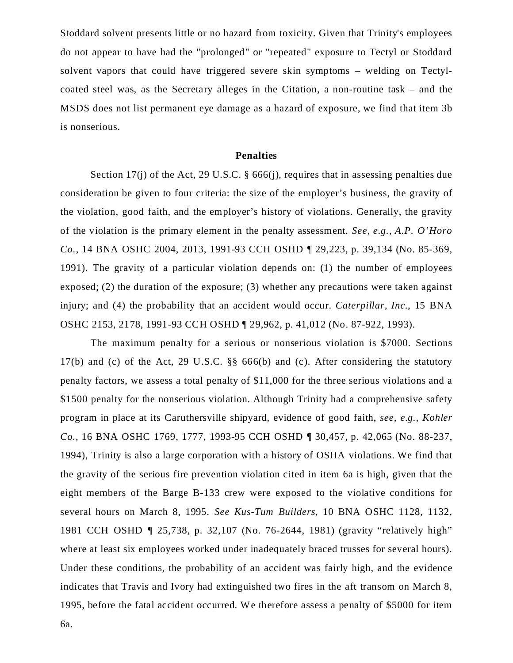Stoddard solvent presents little or no hazard from toxicity. Given that Trinity's employees do not appear to have had the "prolonged" or "repeated" exposure to Tectyl or Stoddard solvent vapors that could have triggered severe skin symptoms – welding on Tectylcoated steel was, as the Secretary alleges in the Citation, a non-routine task – and the MSDS does not list permanent eye damage as a hazard of exposure, we find that item 3b is nonserious.

#### **Penalties**

Section 17(j) of the Act, 29 U.S.C. § 666(j), requires that in assessing penalties due consideration be given to four criteria: the size of the employer's business, the gravity of the violation, good faith, and the employer's history of violations. Generally, the gravity of the violation is the primary element in the penalty assessment. *See, e.g., A.P. O'Horo Co.*, 14 BNA OSHC 2004, 2013, 1991-93 CCH OSHD ¶ 29,223, p. 39,134 (No. 85-369, 1991). The gravity of a particular violation depends on: (1) the number of employees exposed; (2) the duration of the exposure; (3) whether any precautions were taken against injury; and (4) the probability that an accident would occur. *Caterpillar, Inc.*, 15 BNA OSHC 2153, 2178, 1991-93 CCH OSHD ¶ 29,962, p. 41,012 (No. 87-922, 1993).

The maximum penalty for a serious or nonserious violation is \$7000. Sections 17(b) and (c) of the Act, 29 U.S.C. §§ 666(b) and (c). After considering the statutory penalty factors, we assess a total penalty of \$11,000 for the three serious violations and a \$1500 penalty for the nonserious violation. Although Trinity had a comprehensive safety program in place at its Caruthersville shipyard, evidence of good faith, *see, e.g., Kohler Co.*, 16 BNA OSHC 1769, 1777, 1993-95 CCH OSHD ¶ 30,457, p. 42,065 (No. 88-237, 1994), Trinity is also a large corporation with a history of OSHA violations. We find that the gravity of the serious fire prevention violation cited in item 6a is high, given that the eight members of the Barge B-133 crew were exposed to the violative conditions for several hours on March 8, 1995. *See Kus-Tum Builders*, 10 BNA OSHC 1128, 1132, 1981 CCH OSHD ¶ 25,738, p. 32,107 (No. 76-2644, 1981) (gravity "relatively high" where at least six employees worked under inadequately braced trusses for several hours). Under these conditions, the probability of an accident was fairly high, and the evidence indicates that Travis and Ivory had extinguished two fires in the aft transom on March 8, 1995, before the fatal accident occurred. We therefore assess a penalty of \$5000 for item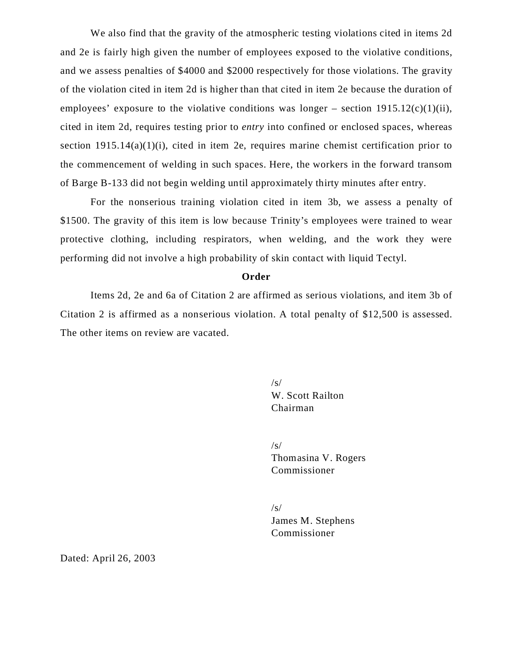We also find that the gravity of the atmospheric testing violations cited in items 2d and 2e is fairly high given the number of employees exposed to the violative conditions, and we assess penalties of \$4000 and \$2000 respectively for those violations. The gravity of the violation cited in item 2d is higher than that cited in item 2e because the duration of employees' exposure to the violative conditions was longer – section  $1915.12(c)(1)(ii)$ , cited in item 2d, requires testing prior to *entry* into confined or enclosed spaces, whereas section  $1915.14(a)(1)(i)$ , cited in item 2e, requires marine chemist certification prior to the commencement of welding in such spaces. Here, the workers in the forward transom of Barge B-133 did not begin welding until approximately thirty minutes after entry.

For the nonserious training violation cited in item 3b, we assess a penalty of \$1500. The gravity of this item is low because Trinity's employees were trained to wear protective clothing, including respirators, when welding, and the work they were performing did not involve a high probability of skin contact with liquid Tectyl.

#### **Order**

Items 2d, 2e and 6a of Citation 2 are affirmed as serious violations, and item 3b of Citation 2 is affirmed as a nonserious violation. A total penalty of \$12,500 is assessed. The other items on review are vacated.

> $\sqrt{s}$ W. Scott Railton Chairman

/s/ Thomasina V. Rogers Commissioner

 $\sqrt{s}$ James M. Stephens Commissioner

Dated: April 26, 2003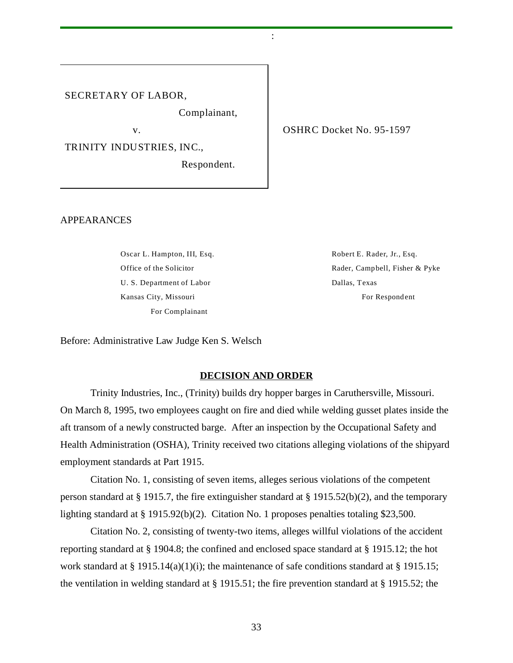#### SECRETARY OF LABOR,

Complainant,

the contract of the contract of the contract of the contract of the contract of the contract of the contract of

TRINITY INDUSTRIES, INC.,

Respondent.

v. SHRC Docket No. 95-1597

#### APPEARANCES

Oscar L. Hampton, III, Esq.  $\blacksquare$  Robert E. Rader, Jr., Esq. U. S. Department of Labor Dallas, Texas Kansas City, Missouri **For Respondent** For Respondent For Complainant

Office of the Solicitor **Rader, Campbell, Fisher & Pyke** 

Before: Administrative Law Judge Ken S. Welsch

#### **DECISION AND ORDER**

Trinity Industries, Inc., (Trinity) builds dry hopper barges in Caruthersville, Missouri. On March 8, 1995, two employees caught on fire and died while welding gusset plates inside the aft transom of a newly constructed barge. After an inspection by the Occupational Safety and Health Administration (OSHA), Trinity received two citations alleging violations of the shipyard employment standards at Part 1915.

Citation No. 1, consisting of seven items, alleges serious violations of the competent person standard at § 1915.7, the fire extinguisher standard at § 1915.52(b)(2), and the temporary lighting standard at § 1915.92(b)(2). Citation No. 1 proposes penalties totaling \$23,500.

Citation No. 2, consisting of twenty-two items, alleges willful violations of the accident reporting standard at § 1904.8; the confined and enclosed space standard at § 1915.12; the hot work standard at § 1915.14(a)(1)(i); the maintenance of safe conditions standard at § 1915.15; the ventilation in welding standard at § 1915.51; the fire prevention standard at § 1915.52; the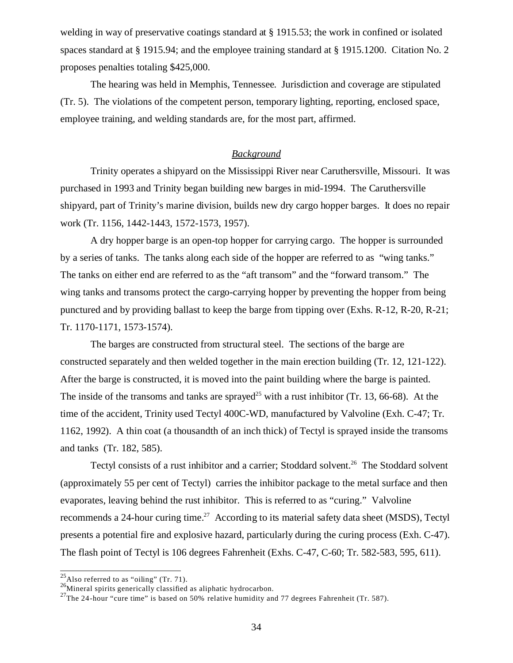welding in way of preservative coatings standard at § 1915.53; the work in confined or isolated spaces standard at § 1915.94; and the employee training standard at § 1915.1200. Citation No. 2 proposes penalties totaling \$425,000.

The hearing was held in Memphis, Tennessee. Jurisdiction and coverage are stipulated (Tr. 5). The violations of the competent person, temporary lighting, reporting, enclosed space, employee training, and welding standards are, for the most part, affirmed.

## *Background*

Trinity operates a shipyard on the Mississippi River near Caruthersville, Missouri. It was purchased in 1993 and Trinity began building new barges in mid-1994. The Caruthersville shipyard, part of Trinity's marine division, builds new dry cargo hopper barges. It does no repair work (Tr. 1156, 1442-1443, 1572-1573, 1957).

A dry hopper barge is an open-top hopper for carrying cargo. The hopper is surrounded by a series of tanks. The tanks along each side of the hopper are referred to as "wing tanks." The tanks on either end are referred to as the "aft transom" and the "forward transom." The wing tanks and transoms protect the cargo-carrying hopper by preventing the hopper from being punctured and by providing ballast to keep the barge from tipping over (Exhs. R-12, R-20, R-21; Tr. 1170-1171, 1573-1574).

The barges are constructed from structural steel. The sections of the barge are constructed separately and then welded together in the main erection building (Tr. 12, 121-122). After the barge is constructed, it is moved into the paint building where the barge is painted. The inside of the transoms and tanks are sprayed<sup>25</sup> with a rust inhibitor (Tr. 13, 66-68). At the time of the accident, Trinity used Tectyl 400C-WD, manufactured by Valvoline (Exh. C-47; Tr. 1162, 1992). A thin coat (a thousandth of an inch thick) of Tectyl is sprayed inside the transoms and tanks (Tr. 182, 585).

Tectyl consists of a rust inhibitor and a carrier; Stoddard solvent.<sup>26</sup> The Stoddard solvent (approximately 55 per cent of Tectyl) carries the inhibitor package to the metal surface and then evaporates, leaving behind the rust inhibitor. This is referred to as "curing." Valvoline recommends a 24-hour curing time.<sup>27</sup> According to its material safety data sheet (MSDS), Tectyl presents a potential fire and explosive hazard, particularly during the curing process (Exh. C-47). The flash point of Tectyl is 106 degrees Fahrenheit (Exhs. C-47, C-60; Tr. 582-583, 595, 611).

 $^{25}$ Also referred to as "oiling" (Tr. 71).

 $^{26}$ Mineral spirits generically classified as aliphatic hydrocarbon.

<sup>&</sup>lt;sup>27</sup>The 24-hour "cure time" is based on 50% relative humidity and 77 degrees Fahrenheit (Tr. 587).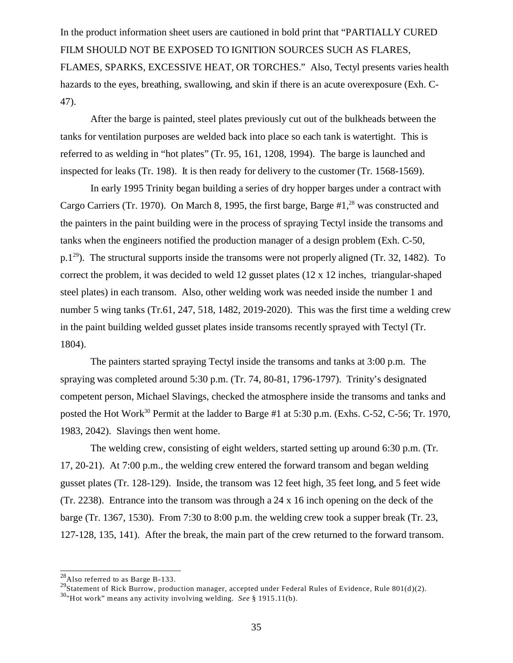In the product information sheet users are cautioned in bold print that "PARTIALLY CURED FILM SHOULD NOT BE EXPOSED TO IGNITION SOURCES SUCH AS FLARES, FLAMES, SPARKS, EXCESSIVE HEAT, OR TORCHES." Also, Tectyl presents varies health hazards to the eyes, breathing, swallowing, and skin if there is an acute overexposure (Exh. C-47).

After the barge is painted, steel plates previously cut out of the bulkheads between the tanks for ventilation purposes are welded back into place so each tank is watertight. This is referred to as welding in "hot plates" (Tr. 95, 161, 1208, 1994). The barge is launched and inspected for leaks (Tr. 198). It is then ready for delivery to the customer (Tr. 1568-1569).

In early 1995 Trinity began building a series of dry hopper barges under a contract with Cargo Carriers (Tr. 1970). On March 8, 1995, the first barge, Barge #1,<sup>28</sup> was constructed and the painters in the paint building were in the process of spraying Tectyl inside the transoms and tanks when the engineers notified the production manager of a design problem (Exh. C-50, p.1<sup>29</sup>). The structural supports inside the transoms were not properly aligned (Tr. 32, 1482). To correct the problem, it was decided to weld 12 gusset plates (12 x 12 inches, triangular-shaped steel plates) in each transom. Also, other welding work was needed inside the number 1 and number 5 wing tanks (Tr.61, 247, 518, 1482, 2019-2020). This was the first time a welding crew in the paint building welded gusset plates inside transoms recently sprayed with Tectyl (Tr. 1804).

The painters started spraying Tectyl inside the transoms and tanks at 3:00 p.m. The spraying was completed around 5:30 p.m. (Tr. 74, 80-81, 1796-1797). Trinity's designated competent person, Michael Slavings, checked the atmosphere inside the transoms and tanks and posted the Hot Work<sup>30</sup> Permit at the ladder to Barge #1 at 5:30 p.m. (Exhs. C-52, C-56; Tr. 1970, 1983, 2042). Slavings then went home.

The welding crew, consisting of eight welders, started setting up around 6:30 p.m. (Tr. 17, 20-21). At 7:00 p.m., the welding crew entered the forward transom and began welding gusset plates (Tr. 128-129). Inside, the transom was 12 feet high, 35 feet long, and 5 feet wide (Tr. 2238). Entrance into the transom was through a 24 x 16 inch opening on the deck of the barge (Tr. 1367, 1530). From 7:30 to 8:00 p.m. the welding crew took a supper break (Tr. 23, 127-128, 135, 141). After the break, the main part of the crew returned to the forward transom.

 $^{28}$ Also referred to as Barge B-133.

<sup>&</sup>lt;sup>29</sup>Statement of Rick Burrow, production manager, accepted under Federal Rules of Evidence, Rule 801(d)(2).

<sup>30</sup>"Hot work" means any activity involving welding. *See* § 1915.11(b).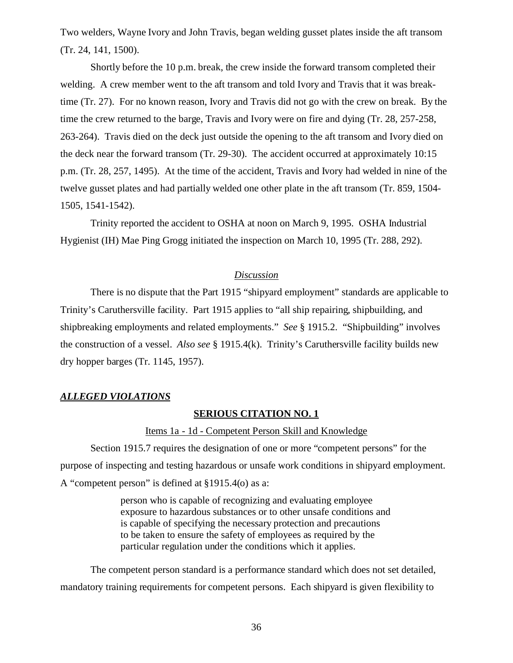Two welders, Wayne Ivory and John Travis, began welding gusset plates inside the aft transom (Tr. 24, 141, 1500).

Shortly before the 10 p.m. break, the crew inside the forward transom completed their welding. A crew member went to the aft transom and told Ivory and Travis that it was breaktime (Tr. 27). For no known reason, Ivory and Travis did not go with the crew on break. By the time the crew returned to the barge, Travis and Ivory were on fire and dying (Tr. 28, 257-258, 263-264). Travis died on the deck just outside the opening to the aft transom and Ivory died on the deck near the forward transom (Tr. 29-30). The accident occurred at approximately 10:15 p.m. (Tr. 28, 257, 1495). At the time of the accident, Travis and Ivory had welded in nine of the twelve gusset plates and had partially welded one other plate in the aft transom (Tr. 859, 1504- 1505, 1541-1542).

Trinity reported the accident to OSHA at noon on March 9, 1995. OSHA Industrial Hygienist (IH) Mae Ping Grogg initiated the inspection on March 10, 1995 (Tr. 288, 292).

### *Discussion*

There is no dispute that the Part 1915 "shipyard employment" standards are applicable to Trinity's Caruthersville facility. Part 1915 applies to "all ship repairing, shipbuilding, and shipbreaking employments and related employments." *See* § 1915.2. "Shipbuilding" involves the construction of a vessel. *Also see* § 1915.4(k). Trinity's Caruthersville facility builds new dry hopper barges (Tr. 1145, 1957).

### *ALLEGED VIOLATIONS*

#### **SERIOUS CITATION NO. 1**

#### Items 1a - 1d - Competent Person Skill and Knowledge

Section 1915.7 requires the designation of one or more "competent persons" for the purpose of inspecting and testing hazardous or unsafe work conditions in shipyard employment. A "competent person" is defined at §1915.4(o) as a:

> person who is capable of recognizing and evaluating employee exposure to hazardous substances or to other unsafe conditions and is capable of specifying the necessary protection and precautions to be taken to ensure the safety of employees as required by the particular regulation under the conditions which it applies.

The competent person standard is a performance standard which does not set detailed, mandatory training requirements for competent persons. Each shipyard is given flexibility to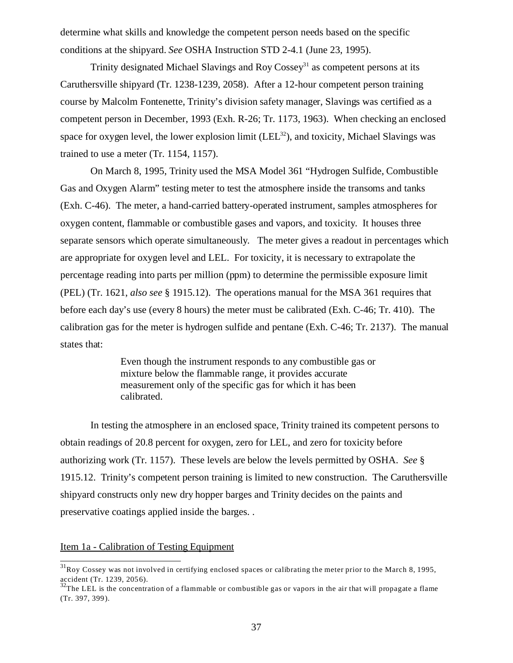determine what skills and knowledge the competent person needs based on the specific conditions at the shipyard. *See* OSHA Instruction STD 2-4.1 (June 23, 1995).

Trinity designated Michael Slavings and Roy  $\cos$ sey<sup>31</sup> as competent persons at its Caruthersville shipyard (Tr. 1238-1239, 2058). After a 12-hour competent person training course by Malcolm Fontenette, Trinity's division safety manager, Slavings was certified as a competent person in December, 1993 (Exh. R-26; Tr. 1173, 1963). When checking an enclosed space for oxygen level, the lower explosion limit  $(LEL<sup>32</sup>)$ , and toxicity, Michael Slavings was trained to use a meter (Tr. 1154, 1157).

On March 8, 1995, Trinity used the MSA Model 361 "Hydrogen Sulfide, Combustible Gas and Oxygen Alarm" testing meter to test the atmosphere inside the transoms and tanks (Exh. C-46). The meter, a hand-carried battery-operated instrument, samples atmospheres for oxygen content, flammable or combustible gases and vapors, and toxicity. It houses three separate sensors which operate simultaneously. The meter gives a readout in percentages which are appropriate for oxygen level and LEL. For toxicity, it is necessary to extrapolate the percentage reading into parts per million (ppm) to determine the permissible exposure limit (PEL) (Tr. 1621, *also see* § 1915.12). The operations manual for the MSA 361 requires that before each day's use (every 8 hours) the meter must be calibrated (Exh. C-46; Tr. 410). The calibration gas for the meter is hydrogen sulfide and pentane (Exh. C-46; Tr. 2137). The manual states that:

> Even though the instrument responds to any combustible gas or mixture below the flammable range, it provides accurate measurement only of the specific gas for which it has been calibrated.

In testing the atmosphere in an enclosed space, Trinity trained its competent persons to obtain readings of 20.8 percent for oxygen, zero for LEL, and zero for toxicity before authorizing work (Tr. 1157). These levels are below the levels permitted by OSHA. *See* § 1915.12. Trinity's competent person training is limited to new construction. The Caruthersville shipyard constructs only new dry hopper barges and Trinity decides on the paints and preservative coatings applied inside the barges. .

#### Item 1a - Calibration of Testing Equipment

 $31$ Roy Cossey was not involved in certifying enclosed spaces or calibrating the meter prior to the March 8, 1995, accident (Tr. 1239, 2056).

 $32$ The LEL is the concentration of a flammable or combustible gas or vapors in the air that will propagate a flame (Tr. 397, 399).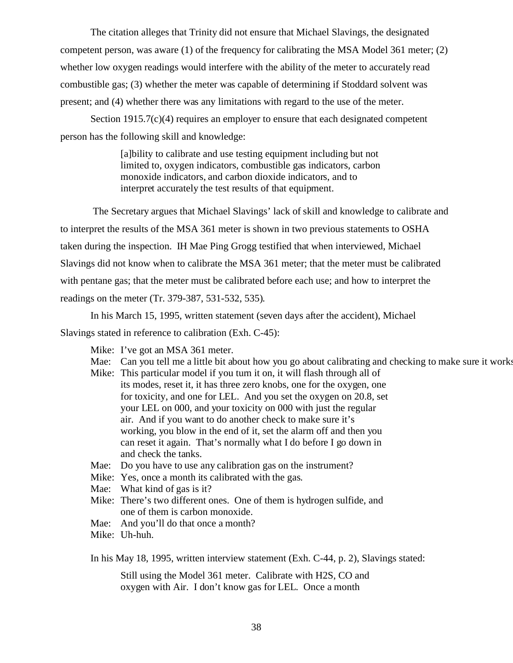The citation alleges that Trinity did not ensure that Michael Slavings, the designated competent person, was aware (1) of the frequency for calibrating the MSA Model 361 meter; (2) whether low oxygen readings would interfere with the ability of the meter to accurately read combustible gas; (3) whether the meter was capable of determining if Stoddard solvent was present; and (4) whether there was any limitations with regard to the use of the meter.

Section 1915.7(c)(4) requires an employer to ensure that each designated competent person has the following skill and knowledge:

> [a]bility to calibrate and use testing equipment including but not limited to, oxygen indicators, combustible gas indicators, carbon monoxide indicators, and carbon dioxide indicators, and to interpret accurately the test results of that equipment.

 The Secretary argues that Michael Slavings' lack of skill and knowledge to calibrate and to interpret the results of the MSA 361 meter is shown in two previous statements to OSHA taken during the inspection. IH Mae Ping Grogg testified that when interviewed, Michael Slavings did not know when to calibrate the MSA 361 meter; that the meter must be calibrated with pentane gas; that the meter must be calibrated before each use; and how to interpret the readings on the meter (Tr. 379-387, 531-532, 535).

In his March 15, 1995, written statement (seven days after the accident), Michael Slavings stated in reference to calibration (Exh. C-45):

- Mike: I've got an MSA 361 meter.
- Mae: Can you tell me a little bit about how you go about calibrating and checking to make sure it works
- Mike: This particular model if you turn it on, it will flash through all of its modes, reset it, it has three zero knobs, one for the oxygen, one for toxicity, and one for LEL. And you set the oxygen on 20.8, set your LEL on 000, and your toxicity on 000 with just the regular air. And if you want to do another check to make sure it's working, you blow in the end of it, set the alarm off and then you can reset it again. That's normally what I do before I go down in and check the tanks.
- Mae: Do you have to use any calibration gas on the instrument?
- Mike: Yes, once a month its calibrated with the gas.
- Mae: What kind of gas is it?
- Mike: There's two different ones. One of them is hydrogen sulfide, and one of them is carbon monoxide.
- Mae: And you'll do that once a month?
- Mike: Uh-huh.

In his May 18, 1995, written interview statement (Exh. C-44, p. 2), Slavings stated:

Still using the Model 361 meter. Calibrate with H2S, CO and oxygen with Air. I don't know gas for LEL. Once a month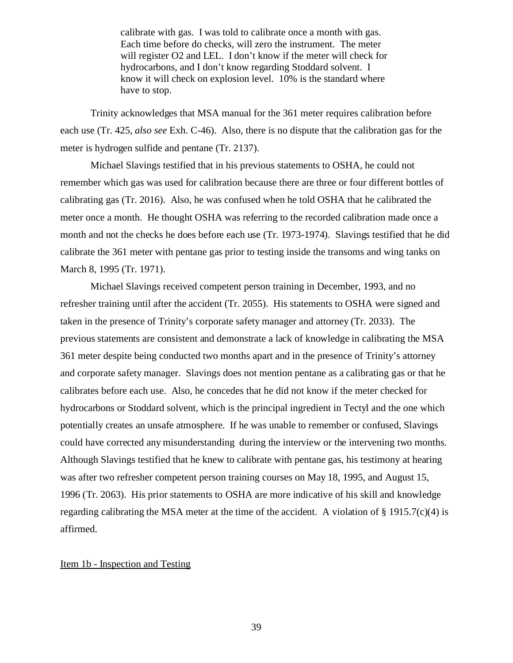calibrate with gas. I was told to calibrate once a month with gas. Each time before do checks, will zero the instrument. The meter will register O2 and LEL. I don't know if the meter will check for hydrocarbons, and I don't know regarding Stoddard solvent. I know it will check on explosion level. 10% is the standard where have to stop.

Trinity acknowledges that MSA manual for the 361 meter requires calibration before each use (Tr. 425, *also see* Exh. C-46). Also, there is no dispute that the calibration gas for the meter is hydrogen sulfide and pentane (Tr. 2137).

Michael Slavings testified that in his previous statements to OSHA, he could not remember which gas was used for calibration because there are three or four different bottles of calibrating gas (Tr. 2016). Also, he was confused when he told OSHA that he calibrated the meter once a month. He thought OSHA was referring to the recorded calibration made once a month and not the checks he does before each use (Tr. 1973-1974). Slavings testified that he did calibrate the 361 meter with pentane gas prior to testing inside the transoms and wing tanks on March 8, 1995 (Tr. 1971).

Michael Slavings received competent person training in December, 1993, and no refresher training until after the accident (Tr. 2055). His statements to OSHA were signed and taken in the presence of Trinity's corporate safety manager and attorney (Tr. 2033). The previous statements are consistent and demonstrate a lack of knowledge in calibrating the MSA 361 meter despite being conducted two months apart and in the presence of Trinity's attorney and corporate safety manager. Slavings does not mention pentane as a calibrating gas or that he calibrates before each use. Also, he concedes that he did not know if the meter checked for hydrocarbons or Stoddard solvent, which is the principal ingredient in Tectyl and the one which potentially creates an unsafe atmosphere. If he was unable to remember or confused, Slavings could have corrected any misunderstanding during the interview or the intervening two months. Although Slavings testified that he knew to calibrate with pentane gas, his testimony at hearing was after two refresher competent person training courses on May 18, 1995, and August 15, 1996 (Tr. 2063). His prior statements to OSHA are more indicative of his skill and knowledge regarding calibrating the MSA meter at the time of the accident. A violation of § 1915.7(c)(4) is affirmed.

### Item 1b - Inspection and Testing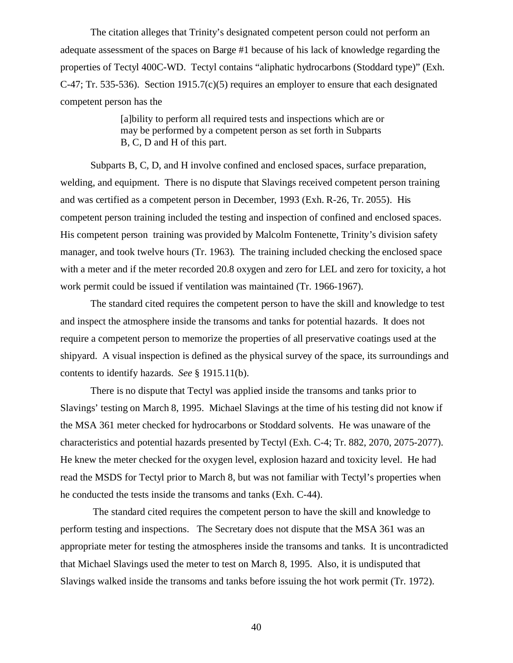The citation alleges that Trinity's designated competent person could not perform an adequate assessment of the spaces on Barge #1 because of his lack of knowledge regarding the properties of Tectyl 400C-WD. Tectyl contains "aliphatic hydrocarbons (Stoddard type)" (Exh. C-47; Tr. 535-536). Section 1915.7(c)(5) requires an employer to ensure that each designated competent person has the

> [a]bility to perform all required tests and inspections which are or may be performed by a competent person as set forth in Subparts B, C, D and H of this part.

Subparts B, C, D, and H involve confined and enclosed spaces, surface preparation, welding, and equipment. There is no dispute that Slavings received competent person training and was certified as a competent person in December, 1993 (Exh. R-26, Tr. 2055). His competent person training included the testing and inspection of confined and enclosed spaces. His competent person training was provided by Malcolm Fontenette, Trinity's division safety manager, and took twelve hours (Tr. 1963). The training included checking the enclosed space with a meter and if the meter recorded 20.8 oxygen and zero for LEL and zero for toxicity, a hot work permit could be issued if ventilation was maintained (Tr. 1966-1967).

The standard cited requires the competent person to have the skill and knowledge to test and inspect the atmosphere inside the transoms and tanks for potential hazards. It does not require a competent person to memorize the properties of all preservative coatings used at the shipyard. A visual inspection is defined as the physical survey of the space, its surroundings and contents to identify hazards. *See* § 1915.11(b).

There is no dispute that Tectyl was applied inside the transoms and tanks prior to Slavings' testing on March 8, 1995. Michael Slavings at the time of his testing did not know if the MSA 361 meter checked for hydrocarbons or Stoddard solvents. He was unaware of the characteristics and potential hazards presented by Tectyl (Exh. C-4; Tr. 882, 2070, 2075-2077). He knew the meter checked for the oxygen level, explosion hazard and toxicity level. He had read the MSDS for Tectyl prior to March 8, but was not familiar with Tectyl's properties when he conducted the tests inside the transoms and tanks (Exh. C-44).

 The standard cited requires the competent person to have the skill and knowledge to perform testing and inspections. The Secretary does not dispute that the MSA 361 was an appropriate meter for testing the atmospheres inside the transoms and tanks. It is uncontradicted that Michael Slavings used the meter to test on March 8, 1995. Also, it is undisputed that Slavings walked inside the transoms and tanks before issuing the hot work permit (Tr. 1972).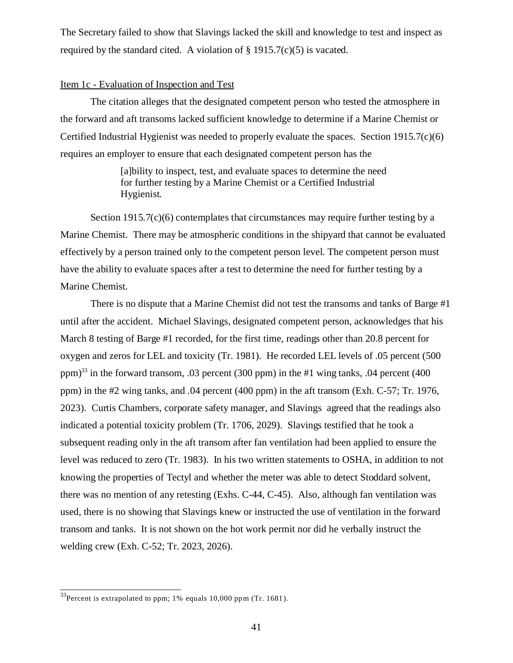The Secretary failed to show that Slavings lacked the skill and knowledge to test and inspect as required by the standard cited. A violation of  $\S$  1915.7(c)(5) is vacated.

### Item 1c - Evaluation of Inspection and Test

The citation alleges that the designated competent person who tested the atmosphere in the forward and aft transoms lacked sufficient knowledge to determine if a Marine Chemist or Certified Industrial Hygienist was needed to properly evaluate the spaces. Section  $1915.7(c)(6)$ requires an employer to ensure that each designated competent person has the

> [a]bility to inspect, test, and evaluate spaces to determine the need for further testing by a Marine Chemist or a Certified Industrial Hygienist.

Section  $1915.7(c)(6)$  contemplates that circumstances may require further testing by a Marine Chemist. There may be atmospheric conditions in the shipyard that cannot be evaluated effectively by a person trained only to the competent person level. The competent person must have the ability to evaluate spaces after a test to determine the need for further testing by a Marine Chemist.

There is no dispute that a Marine Chemist did not test the transoms and tanks of Barge #1 until after the accident. Michael Slavings, designated competent person, acknowledges that his March 8 testing of Barge #1 recorded, for the first time, readings other than 20.8 percent for oxygen and zeros for LEL and toxicity (Tr. 1981). He recorded LEL levels of .05 percent (500 ppm)<sup>33</sup> in the forward transom, .03 percent (300 ppm) in the #1 wing tanks, .04 percent (400 ppm) in the #2 wing tanks, and .04 percent (400 ppm) in the aft transom (Exh. C-57; Tr. 1976, 2023). Curtis Chambers, corporate safety manager, and Slavings agreed that the readings also indicated a potential toxicity problem (Tr. 1706, 2029). Slavings testified that he took a subsequent reading only in the aft transom after fan ventilation had been applied to ensure the level was reduced to zero (Tr. 1983). In his two written statements to OSHA, in addition to not knowing the properties of Tectyl and whether the meter was able to detect Stoddard solvent, there was no mention of any retesting (Exhs. C-44, C-45). Also, although fan ventilation was used, there is no showing that Slavings knew or instructed the use of ventilation in the forward transom and tanks. It is not shown on the hot work permit nor did he verbally instruct the welding crew (Exh. C-52; Tr. 2023, 2026).

<sup>&</sup>lt;sup>33</sup>Percent is extrapolated to ppm; 1% equals 10,000 ppm (Tr. 1681).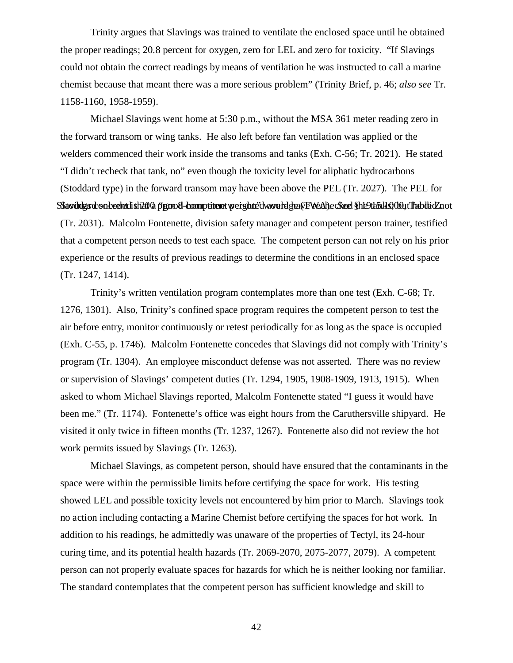Trinity argues that Slavings was trained to ventilate the enclosed space until he obtained the proper readings; 20.8 percent for oxygen, zero for LEL and zero for toxicity. "If Slavings could not obtain the correct readings by means of ventilation he was instructed to call a marine chemist because that meant there was a more serious problem" (Trinity Brief, p. 46; *also see* Tr. 1158-1160, 1958-1959).

Michael Slavings went home at 5:30 p.m., without the MSA 361 meter reading zero in the forward transom or wing tanks. He also left before fan ventilation was applied or the welders commenced their work inside the transoms and tanks (Exh. C-56; Tr. 2021). He stated "I didn't recheck that tank, no" even though the toxicity level for aliphatic hydrocarbons (Stoddard type) in the forward transom may have been above the PEL (Tr. 2027). The PEL for SStavings conceded that a "ppm 8-hompetent weighted would grave Real) ecs and § 1190 halo 100, the blick not (Tr. 2031). Malcolm Fontenette, division safety manager and competent person trainer, testified that a competent person needs to test each space. The competent person can not rely on his prior experience or the results of previous readings to determine the conditions in an enclosed space (Tr. 1247, 1414).

Trinity's written ventilation program contemplates more than one test (Exh. C-68; Tr. 1276, 1301). Also, Trinity's confined space program requires the competent person to test the air before entry, monitor continuously or retest periodically for as long as the space is occupied (Exh. C-55, p. 1746). Malcolm Fontenette concedes that Slavings did not comply with Trinity's program (Tr. 1304). An employee misconduct defense was not asserted. There was no review or supervision of Slavings' competent duties (Tr. 1294, 1905, 1908-1909, 1913, 1915). When asked to whom Michael Slavings reported, Malcolm Fontenette stated "I guess it would have been me." (Tr. 1174). Fontenette's office was eight hours from the Caruthersville shipyard. He visited it only twice in fifteen months (Tr. 1237, 1267). Fontenette also did not review the hot work permits issued by Slavings (Tr. 1263).

Michael Slavings, as competent person, should have ensured that the contaminants in the space were within the permissible limits before certifying the space for work. His testing showed LEL and possible toxicity levels not encountered by him prior to March. Slavings took no action including contacting a Marine Chemist before certifying the spaces for hot work. In addition to his readings, he admittedly was unaware of the properties of Tectyl, its 24-hour curing time, and its potential health hazards (Tr. 2069-2070, 2075-2077, 2079). A competent person can not properly evaluate spaces for hazards for which he is neither looking nor familiar. The standard contemplates that the competent person has sufficient knowledge and skill to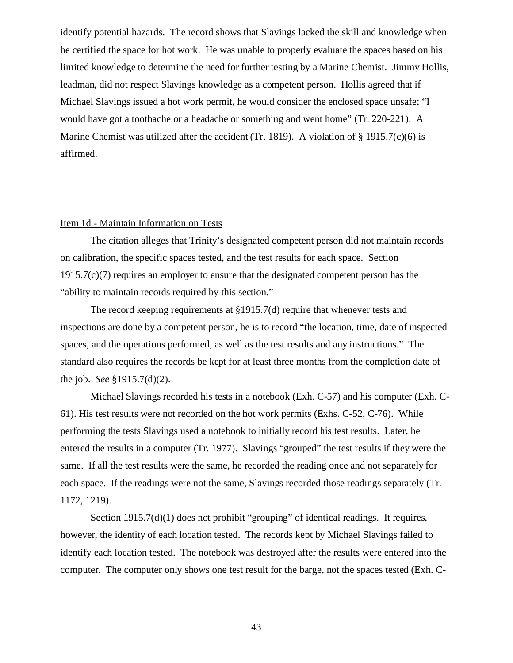identify potential hazards. The record shows that Slavings lacked the skill and knowledge when he certified the space for hot work. He was unable to properly evaluate the spaces based on his limited knowledge to determine the need for further testing by a Marine Chemist. Jimmy Hollis, leadman, did not respect Slavings knowledge as a competent person. Hollis agreed that if Michael Slavings issued a hot work permit, he would consider the enclosed space unsafe; "I would have got a toothache or a headache or something and went home" (Tr. 220-221). A Marine Chemist was utilized after the accident (Tr. 1819). A violation of § 1915.7(c)(6) is affirmed.

#### Item 1d - Maintain Information on Tests

The citation alleges that Trinity's designated competent person did not maintain records on calibration, the specific spaces tested, and the test results for each space. Section 1915.7(c)(7) requires an employer to ensure that the designated competent person has the "ability to maintain records required by this section."

The record keeping requirements at §1915.7(d) require that whenever tests and inspections are done by a competent person, he is to record "the location, time, date of inspected spaces, and the operations performed, as well as the test results and any instructions." The standard also requires the records be kept for at least three months from the completion date of the job. *See* §1915.7(d)(2).

Michael Slavings recorded his tests in a notebook (Exh. C-57) and his computer (Exh. C-61). His test results were not recorded on the hot work permits (Exhs. C-52, C-76). While performing the tests Slavings used a notebook to initially record his test results. Later, he entered the results in a computer (Tr. 1977). Slavings "grouped" the test results if they were the same. If all the test results were the same, he recorded the reading once and not separately for each space. If the readings were not the same, Slavings recorded those readings separately (Tr. 1172, 1219).

Section 1915.7(d)(1) does not prohibit "grouping" of identical readings. It requires, however, the identity of each location tested. The records kept by Michael Slavings failed to identify each location tested. The notebook was destroyed after the results were entered into the computer. The computer only shows one test result for the barge, not the spaces tested (Exh. C-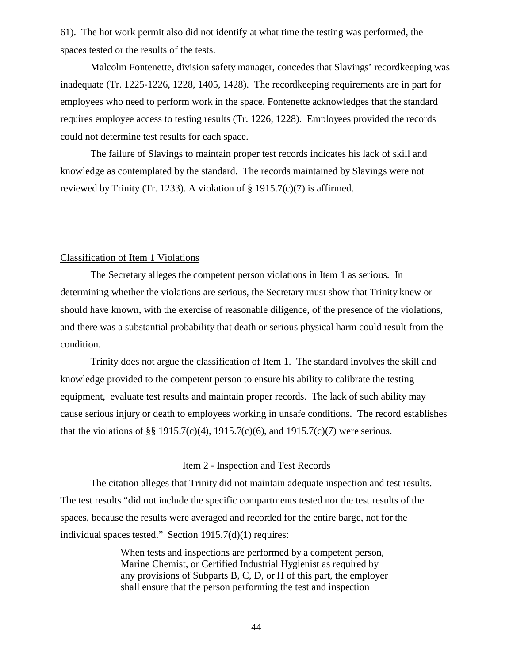61). The hot work permit also did not identify at what time the testing was performed, the spaces tested or the results of the tests.

Malcolm Fontenette, division safety manager, concedes that Slavings' recordkeeping was inadequate (Tr. 1225-1226, 1228, 1405, 1428). The recordkeeping requirements are in part for employees who need to perform work in the space. Fontenette acknowledges that the standard requires employee access to testing results (Tr. 1226, 1228). Employees provided the records could not determine test results for each space.

The failure of Slavings to maintain proper test records indicates his lack of skill and knowledge as contemplated by the standard. The records maintained by Slavings were not reviewed by Trinity (Tr. 1233). A violation of  $\S$  1915.7(c)(7) is affirmed.

# Classification of Item 1 Violations

The Secretary alleges the competent person violations in Item 1 as serious. In determining whether the violations are serious, the Secretary must show that Trinity knew or should have known, with the exercise of reasonable diligence, of the presence of the violations, and there was a substantial probability that death or serious physical harm could result from the condition.

Trinity does not argue the classification of Item 1. The standard involves the skill and knowledge provided to the competent person to ensure his ability to calibrate the testing equipment, evaluate test results and maintain proper records. The lack of such ability may cause serious injury or death to employees working in unsafe conditions. The record establishes that the violations of §§ 1915.7(c)(4), 1915.7(c)(6), and 1915.7(c)(7) were serious.

# Item 2 - Inspection and Test Records

The citation alleges that Trinity did not maintain adequate inspection and test results. The test results "did not include the specific compartments tested nor the test results of the spaces, because the results were averaged and recorded for the entire barge, not for the individual spaces tested." Section 1915.7(d)(1) requires:

> When tests and inspections are performed by a competent person, Marine Chemist, or Certified Industrial Hygienist as required by any provisions of Subparts B, C, D, or H of this part, the employer shall ensure that the person performing the test and inspection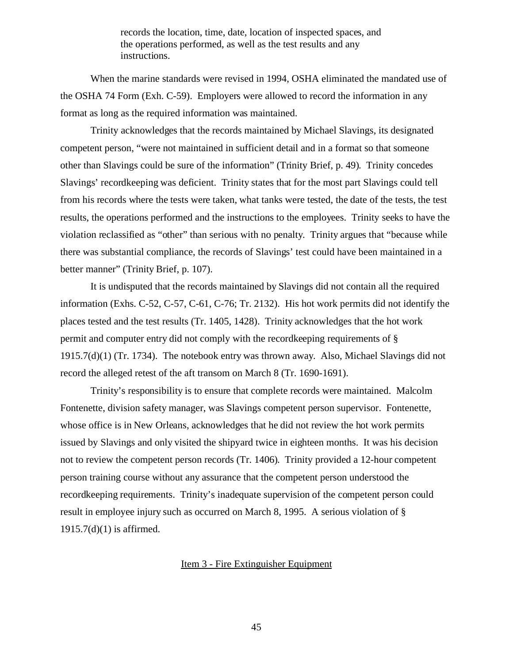records the location, time, date, location of inspected spaces, and the operations performed, as well as the test results and any instructions.

When the marine standards were revised in 1994, OSHA eliminated the mandated use of the OSHA 74 Form (Exh. C-59). Employers were allowed to record the information in any format as long as the required information was maintained.

Trinity acknowledges that the records maintained by Michael Slavings, its designated competent person, "were not maintained in sufficient detail and in a format so that someone other than Slavings could be sure of the information" (Trinity Brief, p. 49). Trinity concedes Slavings' recordkeeping was deficient. Trinity states that for the most part Slavings could tell from his records where the tests were taken, what tanks were tested, the date of the tests, the test results, the operations performed and the instructions to the employees. Trinity seeks to have the violation reclassified as "other" than serious with no penalty. Trinity argues that "because while there was substantial compliance, the records of Slavings' test could have been maintained in a better manner" (Trinity Brief, p. 107).

It is undisputed that the records maintained by Slavings did not contain all the required information (Exhs. C-52, C-57, C-61, C-76; Tr. 2132). His hot work permits did not identify the places tested and the test results (Tr. 1405, 1428). Trinity acknowledges that the hot work permit and computer entry did not comply with the recordkeeping requirements of § 1915.7(d)(1) (Tr. 1734). The notebook entry was thrown away. Also, Michael Slavings did not record the alleged retest of the aft transom on March 8 (Tr. 1690-1691).

Trinity's responsibility is to ensure that complete records were maintained. Malcolm Fontenette, division safety manager, was Slavings competent person supervisor. Fontenette, whose office is in New Orleans, acknowledges that he did not review the hot work permits issued by Slavings and only visited the shipyard twice in eighteen months. It was his decision not to review the competent person records (Tr. 1406). Trinity provided a 12-hour competent person training course without any assurance that the competent person understood the recordkeeping requirements. Trinity's inadequate supervision of the competent person could result in employee injury such as occurred on March 8, 1995. A serious violation of § 1915.7(d)(1) is affirmed.

Item 3 - Fire Extinguisher Equipment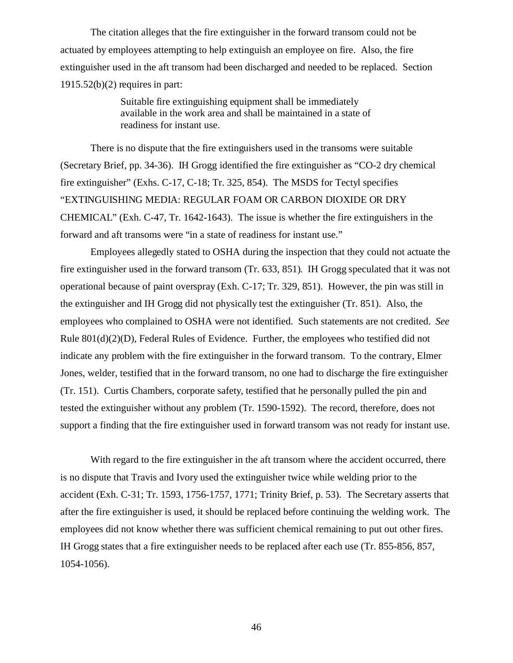The citation alleges that the fire extinguisher in the forward transom could not be actuated by employees attempting to help extinguish an employee on fire. Also, the fire extinguisher used in the aft transom had been discharged and needed to be replaced. Section  $1915.52(b)(2)$  requires in part:

> Suitable fire extinguishing equipment shall be immediately available in the work area and shall be maintained in a state of readiness for instant use.

There is no dispute that the fire extinguishers used in the transoms were suitable (Secretary Brief, pp. 34-36). IH Grogg identified the fire extinguisher as "CO-2 dry chemical fire extinguisher" (Exhs. C-17, C-18; Tr. 325, 854). The MSDS for Tectyl specifies "EXTINGUISHING MEDIA: REGULAR FOAM OR CARBON DIOXIDE OR DRY CHEMICAL" (Exh. C-47, Tr. 1642-1643). The issue is whether the fire extinguishers in the forward and aft transoms were "in a state of readiness for instant use."

Employees allegedly stated to OSHA during the inspection that they could not actuate the fire extinguisher used in the forward transom (Tr. 633, 851). IH Grogg speculated that it was not operational because of paint overspray (Exh. C-17; Tr. 329, 851). However, the pin was still in the extinguisher and IH Grogg did not physically test the extinguisher (Tr. 851). Also, the employees who complained to OSHA were not identified. Such statements are not credited. *See* Rule 801(d)(2)(D), Federal Rules of Evidence. Further, the employees who testified did not indicate any problem with the fire extinguisher in the forward transom. To the contrary, Elmer Jones, welder, testified that in the forward transom, no one had to discharge the fire extinguisher (Tr. 151). Curtis Chambers, corporate safety, testified that he personally pulled the pin and tested the extinguisher without any problem (Tr. 1590-1592). The record, therefore, does not support a finding that the fire extinguisher used in forward transom was not ready for instant use.

With regard to the fire extinguisher in the aft transom where the accident occurred, there is no dispute that Travis and Ivory used the extinguisher twice while welding prior to the accident (Exh. C-31; Tr. 1593, 1756-1757, 1771; Trinity Brief, p. 53). The Secretary asserts that after the fire extinguisher is used, it should be replaced before continuing the welding work. The employees did not know whether there was sufficient chemical remaining to put out other fires. IH Grogg states that a fire extinguisher needs to be replaced after each use (Tr. 855-856, 857, 1054-1056).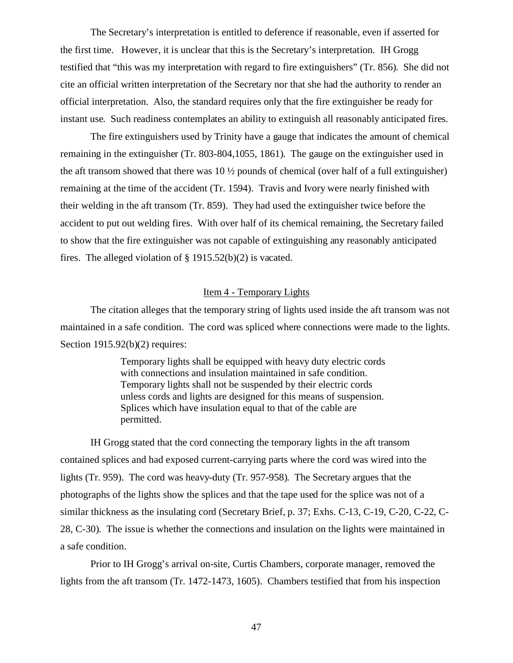The Secretary's interpretation is entitled to deference if reasonable, even if asserted for the first time. However, it is unclear that this is the Secretary's interpretation. IH Grogg testified that "this was my interpretation with regard to fire extinguishers" (Tr. 856). She did not cite an official written interpretation of the Secretary nor that she had the authority to render an official interpretation. Also, the standard requires only that the fire extinguisher be ready for instant use. Such readiness contemplates an ability to extinguish all reasonably anticipated fires.

The fire extinguishers used by Trinity have a gauge that indicates the amount of chemical remaining in the extinguisher (Tr. 803-804,1055, 1861). The gauge on the extinguisher used in the aft transom showed that there was 10 ½ pounds of chemical (over half of a full extinguisher) remaining at the time of the accident (Tr. 1594). Travis and Ivory were nearly finished with their welding in the aft transom (Tr. 859). They had used the extinguisher twice before the accident to put out welding fires. With over half of its chemical remaining, the Secretary failed to show that the fire extinguisher was not capable of extinguishing any reasonably anticipated fires. The alleged violation of § 1915.52(b)(2) is vacated.

### Item 4 - Temporary Lights

The citation alleges that the temporary string of lights used inside the aft transom was not maintained in a safe condition. The cord was spliced where connections were made to the lights. Section 1915.92(b)(2) requires:

> Temporary lights shall be equipped with heavy duty electric cords with connections and insulation maintained in safe condition. Temporary lights shall not be suspended by their electric cords unless cords and lights are designed for this means of suspension. Splices which have insulation equal to that of the cable are permitted.

IH Grogg stated that the cord connecting the temporary lights in the aft transom contained splices and had exposed current-carrying parts where the cord was wired into the lights (Tr. 959). The cord was heavy-duty (Tr. 957-958). The Secretary argues that the photographs of the lights show the splices and that the tape used for the splice was not of a similar thickness as the insulating cord (Secretary Brief, p. 37; Exhs. C-13, C-19, C-20, C-22, C-28, C-30). The issue is whether the connections and insulation on the lights were maintained in a safe condition.

Prior to IH Grogg's arrival on-site, Curtis Chambers, corporate manager, removed the lights from the aft transom (Tr. 1472-1473, 1605). Chambers testified that from his inspection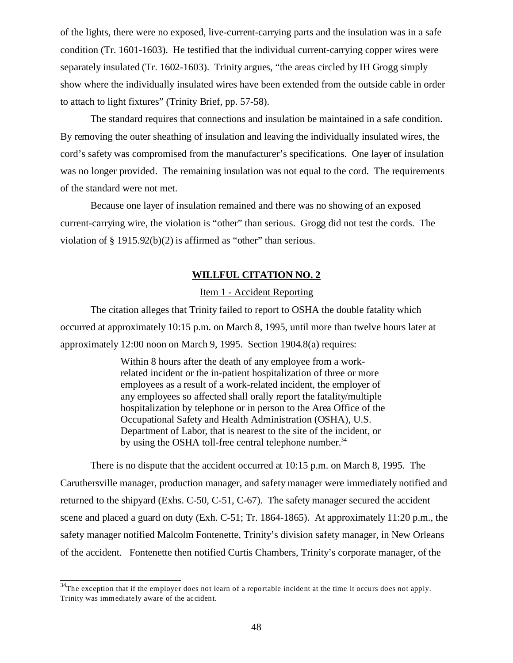of the lights, there were no exposed, live-current-carrying parts and the insulation was in a safe condition (Tr. 1601-1603). He testified that the individual current-carrying copper wires were separately insulated (Tr. 1602-1603). Trinity argues, "the areas circled by IH Grogg simply show where the individually insulated wires have been extended from the outside cable in order to attach to light fixtures" (Trinity Brief, pp. 57-58).

The standard requires that connections and insulation be maintained in a safe condition. By removing the outer sheathing of insulation and leaving the individually insulated wires, the cord's safety was compromised from the manufacturer's specifications. One layer of insulation was no longer provided. The remaining insulation was not equal to the cord. The requirements of the standard were not met.

Because one layer of insulation remained and there was no showing of an exposed current-carrying wire, the violation is "other" than serious. Grogg did not test the cords. The violation of § 1915.92(b)(2) is affirmed as "other" than serious.

### **WILLFUL CITATION NO. 2**

# Item 1 - Accident Reporting

The citation alleges that Trinity failed to report to OSHA the double fatality which occurred at approximately 10:15 p.m. on March 8, 1995, until more than twelve hours later at approximately 12:00 noon on March 9, 1995. Section 1904.8(a) requires:

> Within 8 hours after the death of any employee from a workrelated incident or the in-patient hospitalization of three or more employees as a result of a work-related incident, the employer of any employees so affected shall orally report the fatality/multiple hospitalization by telephone or in person to the Area Office of the Occupational Safety and Health Administration (OSHA), U.S. Department of Labor, that is nearest to the site of the incident, or by using the OSHA toll-free central telephone number.<sup>34</sup>

There is no dispute that the accident occurred at 10:15 p.m. on March 8, 1995. The Caruthersville manager, production manager, and safety manager were immediately notified and returned to the shipyard (Exhs. C-50, C-51, C-67). The safety manager secured the accident scene and placed a guard on duty (Exh. C-51; Tr. 1864-1865). At approximately 11:20 p.m., the safety manager notified Malcolm Fontenette, Trinity's division safety manager, in New Orleans of the accident. Fontenette then notified Curtis Chambers, Trinity's corporate manager, of the

 $34$ The exception that if the employer does not learn of a reportable incident at the time it occurs does not apply. Trinity was immediately aware of the accident.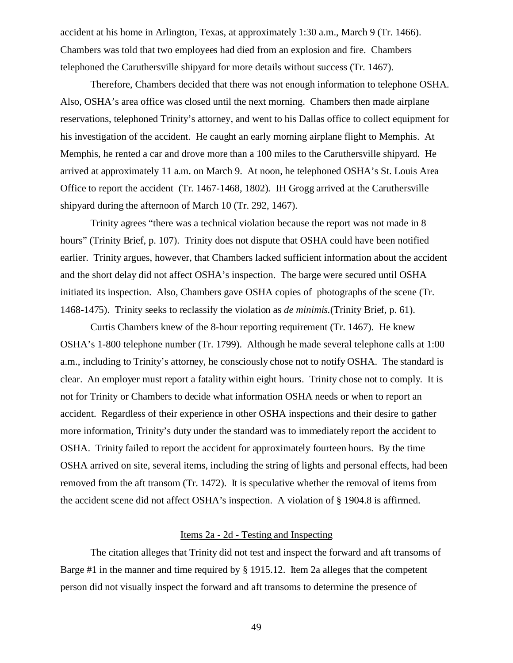accident at his home in Arlington, Texas, at approximately 1:30 a.m., March 9 (Tr. 1466). Chambers was told that two employees had died from an explosion and fire. Chambers telephoned the Caruthersville shipyard for more details without success (Tr. 1467).

Therefore, Chambers decided that there was not enough information to telephone OSHA. Also, OSHA's area office was closed until the next morning. Chambers then made airplane reservations, telephoned Trinity's attorney, and went to his Dallas office to collect equipment for his investigation of the accident. He caught an early morning airplane flight to Memphis. At Memphis, he rented a car and drove more than a 100 miles to the Caruthersville shipyard. He arrived at approximately 11 a.m. on March 9. At noon, he telephoned OSHA's St. Louis Area Office to report the accident (Tr. 1467-1468, 1802). IH Grogg arrived at the Caruthersville shipyard during the afternoon of March 10 (Tr. 292, 1467).

Trinity agrees "there was a technical violation because the report was not made in 8 hours" (Trinity Brief, p. 107). Trinity does not dispute that OSHA could have been notified earlier. Trinity argues, however, that Chambers lacked sufficient information about the accident and the short delay did not affect OSHA's inspection. The barge were secured until OSHA initiated its inspection. Also, Chambers gave OSHA copies of photographs of the scene (Tr. 1468-1475). Trinity seeks to reclassify the violation as *de minimis.*(Trinity Brief, p. 61).

Curtis Chambers knew of the 8-hour reporting requirement (Tr. 1467). He knew OSHA's 1-800 telephone number (Tr. 1799). Although he made several telephone calls at 1:00 a.m., including to Trinity's attorney, he consciously chose not to notify OSHA. The standard is clear. An employer must report a fatality within eight hours. Trinity chose not to comply. It is not for Trinity or Chambers to decide what information OSHA needs or when to report an accident. Regardless of their experience in other OSHA inspections and their desire to gather more information, Trinity's duty under the standard was to immediately report the accident to OSHA. Trinity failed to report the accident for approximately fourteen hours. By the time OSHA arrived on site, several items, including the string of lights and personal effects, had been removed from the aft transom (Tr. 1472). It is speculative whether the removal of items from the accident scene did not affect OSHA's inspection. A violation of § 1904.8 is affirmed.

# Items 2a - 2d - Testing and Inspecting

The citation alleges that Trinity did not test and inspect the forward and aft transoms of Barge #1 in the manner and time required by § 1915.12. Item 2a alleges that the competent person did not visually inspect the forward and aft transoms to determine the presence of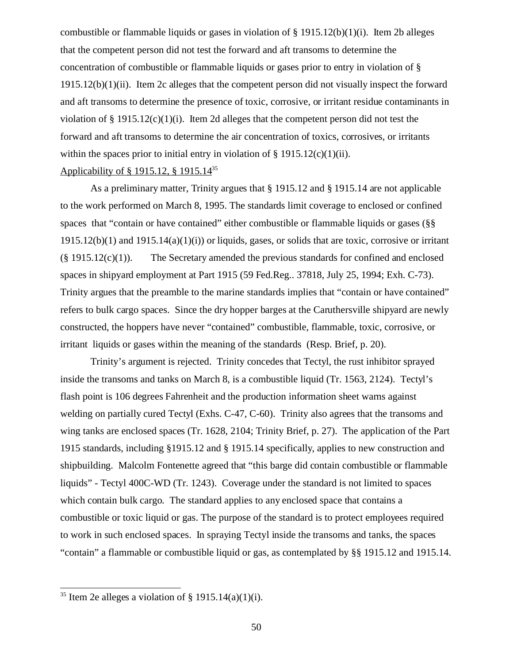combustible or flammable liquids or gases in violation of  $\S$  1915.12(b)(1)(i). Item 2b alleges that the competent person did not test the forward and aft transoms to determine the concentration of combustible or flammable liquids or gases prior to entry in violation of § 1915.12(b)(1)(ii). Item 2c alleges that the competent person did not visually inspect the forward and aft transoms to determine the presence of toxic, corrosive, or irritant residue contaminants in violation of  $\S 1915.12(c)(1)(i)$ . Item 2d alleges that the competent person did not test the forward and aft transoms to determine the air concentration of toxics, corrosives, or irritants within the spaces prior to initial entry in violation of  $\S$  1915.12(c)(1)(ii).

# Applicability of § 1915.12, § 1915.14<sup>35</sup>

As a preliminary matter, Trinity argues that § 1915.12 and § 1915.14 are not applicable to the work performed on March 8, 1995. The standards limit coverage to enclosed or confined spaces that "contain or have contained" either combustible or flammable liquids or gases (§§  $1915.12(b)(1)$  and  $1915.14(a)(1)(i)$  or liquids, gases, or solids that are toxic, corrosive or irritant  $(\S 1915.12(c)(1))$ . The Secretary amended the previous standards for confined and enclosed spaces in shipyard employment at Part 1915 (59 Fed.Reg.. 37818, July 25, 1994; Exh. C-73). Trinity argues that the preamble to the marine standards implies that "contain or have contained" refers to bulk cargo spaces. Since the dry hopper barges at the Caruthersville shipyard are newly constructed, the hoppers have never "contained" combustible, flammable, toxic, corrosive, or irritant liquids or gases within the meaning of the standards (Resp. Brief, p. 20).

Trinity's argument is rejected. Trinity concedes that Tectyl, the rust inhibitor sprayed inside the transoms and tanks on March 8, is a combustible liquid (Tr. 1563, 2124). Tectyl's flash point is 106 degrees Fahrenheit and the production information sheet warns against welding on partially cured Tectyl (Exhs. C-47, C-60). Trinity also agrees that the transoms and wing tanks are enclosed spaces (Tr. 1628, 2104; Trinity Brief, p. 27). The application of the Part 1915 standards, including §1915.12 and § 1915.14 specifically, applies to new construction and shipbuilding. Malcolm Fontenette agreed that "this barge did contain combustible or flammable liquids" - Tectyl 400C-WD (Tr. 1243). Coverage under the standard is not limited to spaces which contain bulk cargo. The standard applies to any enclosed space that contains a combustible or toxic liquid or gas. The purpose of the standard is to protect employees required to work in such enclosed spaces. In spraying Tectyl inside the transoms and tanks, the spaces "contain" a flammable or combustible liquid or gas, as contemplated by §§ 1915.12 and 1915.14.

<sup>&</sup>lt;sup>35</sup> Item 2e alleges a violation of  $\S$  1915.14(a)(1)(i).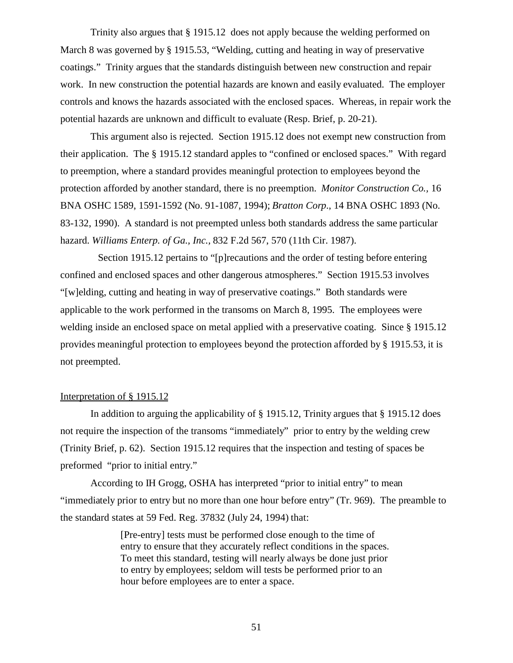Trinity also argues that § 1915.12 does not apply because the welding performed on March 8 was governed by § 1915.53, "Welding, cutting and heating in way of preservative coatings." Trinity argues that the standards distinguish between new construction and repair work. In new construction the potential hazards are known and easily evaluated. The employer controls and knows the hazards associated with the enclosed spaces. Whereas, in repair work the potential hazards are unknown and difficult to evaluate (Resp. Brief, p. 20-21).

This argument also is rejected. Section 1915.12 does not exempt new construction from their application. The § 1915.12 standard apples to "confined or enclosed spaces." With regard to preemption, where a standard provides meaningful protection to employees beyond the protection afforded by another standard, there is no preemption. *Monitor Construction Co.,* 16 BNA OSHC 1589, 1591-1592 (No. 91-1087, 1994); *Bratton Corp*., 14 BNA OSHC 1893 (No. 83-132, 1990). A standard is not preempted unless both standards address the same particular hazard. *Williams Enterp. of Ga., Inc.,* 832 F.2d 567, 570 (11th Cir. 1987).

 Section 1915.12 pertains to "[p]recautions and the order of testing before entering confined and enclosed spaces and other dangerous atmospheres." Section 1915.53 involves "[w]elding, cutting and heating in way of preservative coatings." Both standards were applicable to the work performed in the transoms on March 8, 1995. The employees were welding inside an enclosed space on metal applied with a preservative coating. Since § 1915.12 provides meaningful protection to employees beyond the protection afforded by § 1915.53, it is not preempted.

# Interpretation of § 1915.12

In addition to arguing the applicability of § 1915.12, Trinity argues that § 1915.12 does not require the inspection of the transoms "immediately" prior to entry by the welding crew (Trinity Brief, p. 62). Section 1915.12 requires that the inspection and testing of spaces be preformed "prior to initial entry."

According to IH Grogg, OSHA has interpreted "prior to initial entry" to mean "immediately prior to entry but no more than one hour before entry" (Tr. 969). The preamble to the standard states at 59 Fed. Reg. 37832 (July 24, 1994) that:

> [Pre-entry] tests must be performed close enough to the time of entry to ensure that they accurately reflect conditions in the spaces. To meet this standard, testing will nearly always be done just prior to entry by employees; seldom will tests be performed prior to an hour before employees are to enter a space.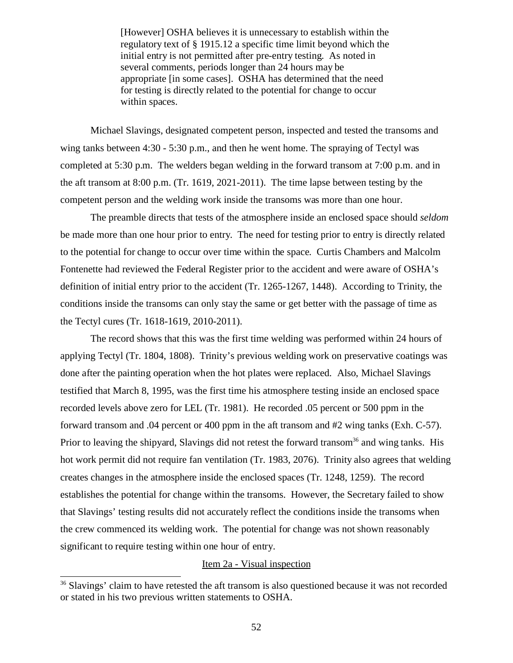[However] OSHA believes it is unnecessary to establish within the regulatory text of § 1915.12 a specific time limit beyond which the initial entry is not permitted after pre-entry testing. As noted in several comments, periods longer than 24 hours may be appropriate [in some cases]. OSHA has determined that the need for testing is directly related to the potential for change to occur within spaces.

Michael Slavings, designated competent person, inspected and tested the transoms and wing tanks between 4:30 - 5:30 p.m., and then he went home. The spraying of Tectyl was completed at 5:30 p.m. The welders began welding in the forward transom at 7:00 p.m. and in the aft transom at 8:00 p.m. (Tr. 1619, 2021-2011). The time lapse between testing by the competent person and the welding work inside the transoms was more than one hour.

The preamble directs that tests of the atmosphere inside an enclosed space should *seldom* be made more than one hour prior to entry. The need for testing prior to entry is directly related to the potential for change to occur over time within the space. Curtis Chambers and Malcolm Fontenette had reviewed the Federal Register prior to the accident and were aware of OSHA's definition of initial entry prior to the accident (Tr. 1265-1267, 1448). According to Trinity, the conditions inside the transoms can only stay the same or get better with the passage of time as the Tectyl cures (Tr. 1618-1619, 2010-2011).

The record shows that this was the first time welding was performed within 24 hours of applying Tectyl (Tr. 1804, 1808). Trinity's previous welding work on preservative coatings was done after the painting operation when the hot plates were replaced. Also, Michael Slavings testified that March 8, 1995, was the first time his atmosphere testing inside an enclosed space recorded levels above zero for LEL (Tr. 1981). He recorded .05 percent or 500 ppm in the forward transom and .04 percent or 400 ppm in the aft transom and #2 wing tanks (Exh. C-57). Prior to leaving the shipyard, Slavings did not retest the forward transom<sup>36</sup> and wing tanks. His hot work permit did not require fan ventilation (Tr. 1983, 2076). Trinity also agrees that welding creates changes in the atmosphere inside the enclosed spaces (Tr. 1248, 1259). The record establishes the potential for change within the transoms. However, the Secretary failed to show that Slavings' testing results did not accurately reflect the conditions inside the transoms when the crew commenced its welding work. The potential for change was not shown reasonably significant to require testing within one hour of entry.

### Item 2a - Visual inspection

<sup>&</sup>lt;sup>36</sup> Slavings' claim to have retested the aft transom is also questioned because it was not recorded or stated in his two previous written statements to OSHA.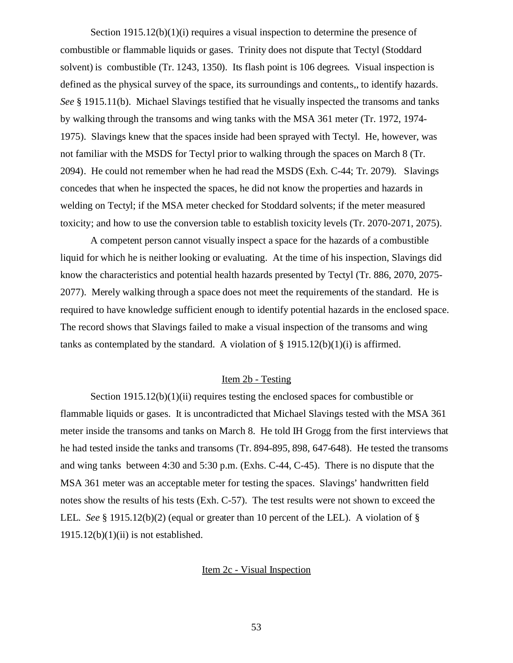Section  $1915.12(b)(1)(i)$  requires a visual inspection to determine the presence of combustible or flammable liquids or gases. Trinity does not dispute that Tectyl (Stoddard solvent) is combustible (Tr. 1243, 1350). Its flash point is 106 degrees. Visual inspection is defined as the physical survey of the space, its surroundings and contents,, to identify hazards. *See* § 1915.11(b). Michael Slavings testified that he visually inspected the transoms and tanks by walking through the transoms and wing tanks with the MSA 361 meter (Tr. 1972, 1974- 1975). Slavings knew that the spaces inside had been sprayed with Tectyl. He, however, was not familiar with the MSDS for Tectyl prior to walking through the spaces on March 8 (Tr. 2094). He could not remember when he had read the MSDS (Exh. C-44; Tr. 2079). Slavings concedes that when he inspected the spaces, he did not know the properties and hazards in welding on Tectyl; if the MSA meter checked for Stoddard solvents; if the meter measured toxicity; and how to use the conversion table to establish toxicity levels (Tr. 2070-2071, 2075).

A competent person cannot visually inspect a space for the hazards of a combustible liquid for which he is neither looking or evaluating. At the time of his inspection, Slavings did know the characteristics and potential health hazards presented by Tectyl (Tr. 886, 2070, 2075- 2077). Merely walking through a space does not meet the requirements of the standard. He is required to have knowledge sufficient enough to identify potential hazards in the enclosed space. The record shows that Slavings failed to make a visual inspection of the transoms and wing tanks as contemplated by the standard. A violation of  $\S$  1915.12(b)(1)(i) is affirmed.

# Item 2b - Testing

Section  $1915.12(b)(1)(ii)$  requires testing the enclosed spaces for combustible or flammable liquids or gases. It is uncontradicted that Michael Slavings tested with the MSA 361 meter inside the transoms and tanks on March 8. He told IH Grogg from the first interviews that he had tested inside the tanks and transoms (Tr. 894-895, 898, 647-648). He tested the transoms and wing tanks between 4:30 and 5:30 p.m. (Exhs. C-44, C-45). There is no dispute that the MSA 361 meter was an acceptable meter for testing the spaces. Slavings' handwritten field notes show the results of his tests (Exh. C-57). The test results were not shown to exceed the LEL. *See* § 1915.12(b)(2) (equal or greater than 10 percent of the LEL). A violation of §  $1915.12(b)(1)(ii)$  is not established.

# Item 2c - Visual Inspection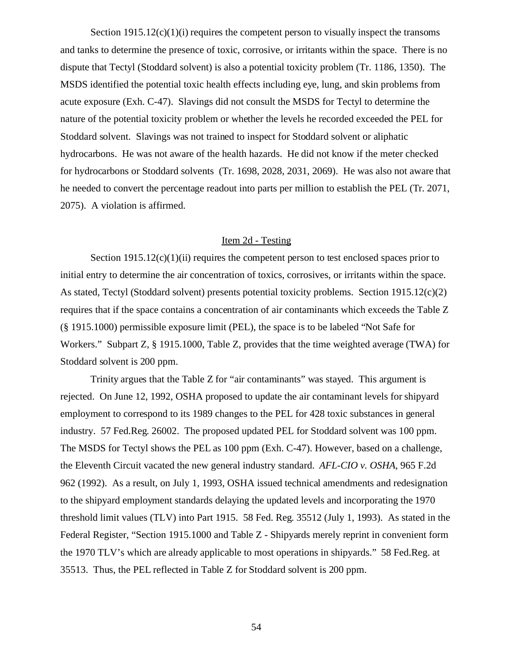Section  $1915.12(c)(1)(i)$  requires the competent person to visually inspect the transoms and tanks to determine the presence of toxic, corrosive, or irritants within the space. There is no dispute that Tectyl (Stoddard solvent) is also a potential toxicity problem (Tr. 1186, 1350). The MSDS identified the potential toxic health effects including eye, lung, and skin problems from acute exposure (Exh. C-47). Slavings did not consult the MSDS for Tectyl to determine the nature of the potential toxicity problem or whether the levels he recorded exceeded the PEL for Stoddard solvent. Slavings was not trained to inspect for Stoddard solvent or aliphatic hydrocarbons. He was not aware of the health hazards. He did not know if the meter checked for hydrocarbons or Stoddard solvents (Tr. 1698, 2028, 2031, 2069). He was also not aware that he needed to convert the percentage readout into parts per million to establish the PEL (Tr. 2071, 2075). A violation is affirmed.

## Item 2d - Testing

Section  $1915.12(c)(1)(ii)$  requires the competent person to test enclosed spaces prior to initial entry to determine the air concentration of toxics, corrosives, or irritants within the space. As stated, Tectyl (Stoddard solvent) presents potential toxicity problems. Section 1915.12(c)(2) requires that if the space contains a concentration of air contaminants which exceeds the Table Z (§ 1915.1000) permissible exposure limit (PEL), the space is to be labeled "Not Safe for Workers." Subpart Z, § 1915.1000, Table Z, provides that the time weighted average (TWA) for Stoddard solvent is 200 ppm.

Trinity argues that the Table Z for "air contaminants" was stayed. This argument is rejected. On June 12, 1992, OSHA proposed to update the air contaminant levels for shipyard employment to correspond to its 1989 changes to the PEL for 428 toxic substances in general industry. 57 Fed.Reg. 26002. The proposed updated PEL for Stoddard solvent was 100 ppm. The MSDS for Tectyl shows the PEL as 100 ppm (Exh. C-47). However, based on a challenge, the Eleventh Circuit vacated the new general industry standard. *AFL-CIO v. OSHA*, 965 F.2d 962 (1992). As a result, on July 1, 1993, OSHA issued technical amendments and redesignation to the shipyard employment standards delaying the updated levels and incorporating the 1970 threshold limit values (TLV) into Part 1915. 58 Fed. Reg. 35512 (July 1, 1993). As stated in the Federal Register, "Section 1915.1000 and Table Z - Shipyards merely reprint in convenient form the 1970 TLV's which are already applicable to most operations in shipyards." 58 Fed.Reg. at 35513. Thus, the PEL reflected in Table Z for Stoddard solvent is 200 ppm.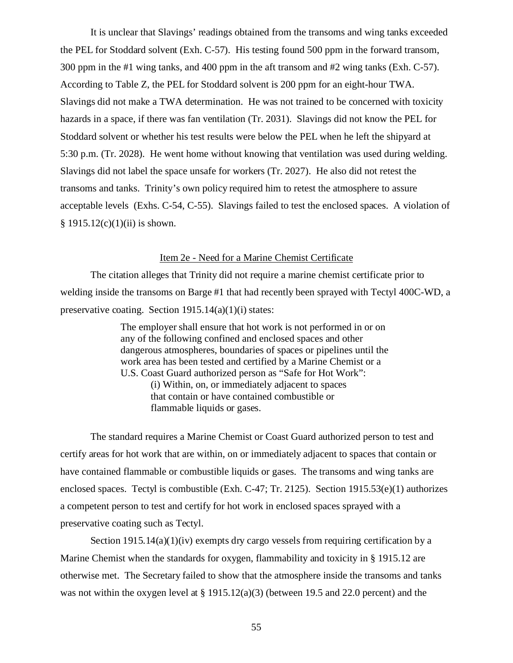It is unclear that Slavings' readings obtained from the transoms and wing tanks exceeded the PEL for Stoddard solvent (Exh. C-57). His testing found 500 ppm in the forward transom, 300 ppm in the #1 wing tanks, and 400 ppm in the aft transom and #2 wing tanks (Exh. C-57). According to Table Z, the PEL for Stoddard solvent is 200 ppm for an eight-hour TWA. Slavings did not make a TWA determination. He was not trained to be concerned with toxicity hazards in a space, if there was fan ventilation (Tr. 2031). Slavings did not know the PEL for Stoddard solvent or whether his test results were below the PEL when he left the shipyard at 5:30 p.m. (Tr. 2028). He went home without knowing that ventilation was used during welding. Slavings did not label the space unsafe for workers (Tr. 2027). He also did not retest the transoms and tanks. Trinity's own policy required him to retest the atmosphere to assure acceptable levels (Exhs. C-54, C-55). Slavings failed to test the enclosed spaces. A violation of  $§ 1915.12(c)(1)(ii)$  is shown.

# Item 2e - Need for a Marine Chemist Certificate

The citation alleges that Trinity did not require a marine chemist certificate prior to welding inside the transoms on Barge #1 that had recently been sprayed with Tectyl 400C-WD, a preservative coating. Section  $1915.14(a)(1)(i)$  states:

> The employer shall ensure that hot work is not performed in or on any of the following confined and enclosed spaces and other dangerous atmospheres, boundaries of spaces or pipelines until the work area has been tested and certified by a Marine Chemist or a U.S. Coast Guard authorized person as "Safe for Hot Work": (i) Within, on, or immediately adjacent to spaces that contain or have contained combustible or flammable liquids or gases.

The standard requires a Marine Chemist or Coast Guard authorized person to test and certify areas for hot work that are within, on or immediately adjacent to spaces that contain or have contained flammable or combustible liquids or gases. The transoms and wing tanks are enclosed spaces. Tectyl is combustible (Exh. C-47; Tr. 2125). Section 1915.53(e)(1) authorizes a competent person to test and certify for hot work in enclosed spaces sprayed with a preservative coating such as Tectyl.

Section  $1915.14(a)(1)(iv)$  exempts dry cargo vessels from requiring certification by a Marine Chemist when the standards for oxygen, flammability and toxicity in § 1915.12 are otherwise met. The Secretary failed to show that the atmosphere inside the transoms and tanks was not within the oxygen level at § 1915.12(a)(3) (between 19.5 and 22.0 percent) and the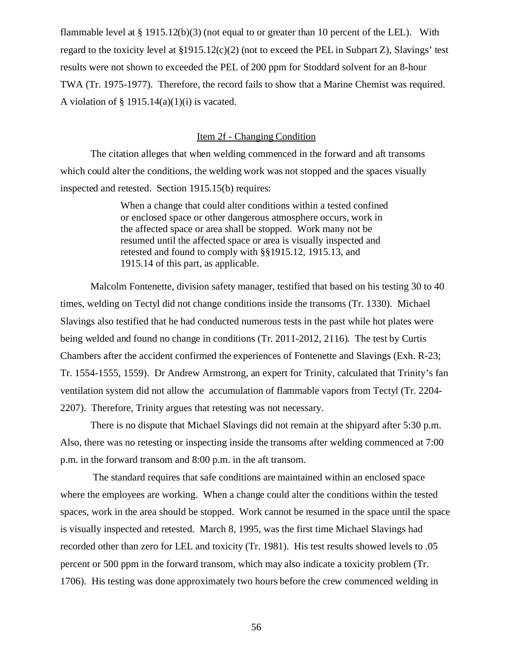flammable level at  $\S 1915.12(b)(3)$  (not equal to or greater than 10 percent of the LEL). With regard to the toxicity level at  $\S1915.12(c)(2)$  (not to exceed the PEL in Subpart Z), Slavings' test results were not shown to exceeded the PEL of 200 ppm for Stoddard solvent for an 8-hour TWA (Tr. 1975-1977). Therefore, the record fails to show that a Marine Chemist was required. A violation of  $\S$  1915.14(a)(1)(i) is vacated.

### Item 2f - Changing Condition

The citation alleges that when welding commenced in the forward and aft transoms which could alter the conditions, the welding work was not stopped and the spaces visually inspected and retested. Section 1915.15(b) requires:

> When a change that could alter conditions within a tested confined or enclosed space or other dangerous atmosphere occurs, work in the affected space or area shall be stopped. Work many not be resumed until the affected space or area is visually inspected and retested and found to comply with §§1915.12, 1915.13, and 1915.14 of this part, as applicable.

Malcolm Fontenette, division safety manager, testified that based on his testing 30 to 40 times, welding on Tectyl did not change conditions inside the transoms (Tr. 1330). Michael Slavings also testified that he had conducted numerous tests in the past while hot plates were being welded and found no change in conditions (Tr. 2011-2012, 2116). The test by Curtis Chambers after the accident confirmed the experiences of Fontenette and Slavings (Exh. R-23; Tr. 1554-1555, 1559). Dr Andrew Armstrong, an expert for Trinity, calculated that Trinity's fan ventilation system did not allow the accumulation of flammable vapors from Tectyl (Tr. 2204- 2207). Therefore, Trinity argues that retesting was not necessary.

There is no dispute that Michael Slavings did not remain at the shipyard after 5:30 p.m. Also, there was no retesting or inspecting inside the transoms after welding commenced at 7:00 p.m. in the forward transom and 8:00 p.m. in the aft transom.

 The standard requires that safe conditions are maintained within an enclosed space where the employees are working. When a change could alter the conditions within the tested spaces, work in the area should be stopped. Work cannot be resumed in the space until the space is visually inspected and retested. March 8, 1995, was the first time Michael Slavings had recorded other than zero for LEL and toxicity (Tr. 1981). His test results showed levels to .05 percent or 500 ppm in the forward transom, which may also indicate a toxicity problem (Tr. 1706). His testing was done approximately two hours before the crew commenced welding in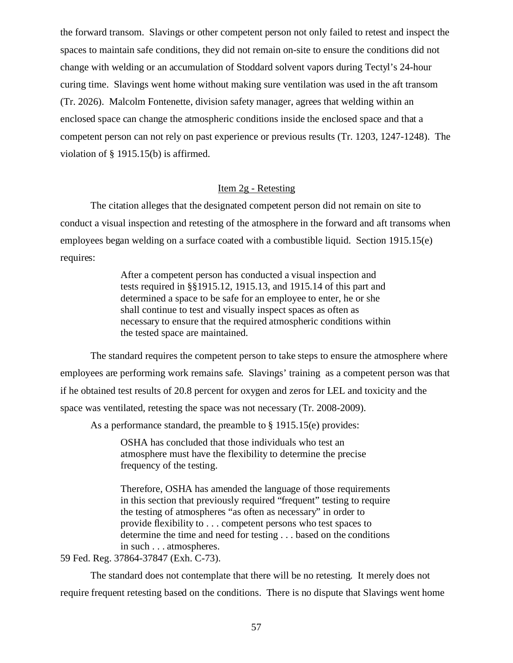the forward transom. Slavings or other competent person not only failed to retest and inspect the spaces to maintain safe conditions, they did not remain on-site to ensure the conditions did not change with welding or an accumulation of Stoddard solvent vapors during Tectyl's 24-hour curing time. Slavings went home without making sure ventilation was used in the aft transom (Tr. 2026). Malcolm Fontenette, division safety manager, agrees that welding within an enclosed space can change the atmospheric conditions inside the enclosed space and that a competent person can not rely on past experience or previous results (Tr. 1203, 1247-1248). The violation of § 1915.15(b) is affirmed.

# Item 2g - Retesting

The citation alleges that the designated competent person did not remain on site to conduct a visual inspection and retesting of the atmosphere in the forward and aft transoms when employees began welding on a surface coated with a combustible liquid. Section 1915.15(e) requires:

> After a competent person has conducted a visual inspection and tests required in §§1915.12, 1915.13, and 1915.14 of this part and determined a space to be safe for an employee to enter, he or she shall continue to test and visually inspect spaces as often as necessary to ensure that the required atmospheric conditions within the tested space are maintained.

The standard requires the competent person to take steps to ensure the atmosphere where employees are performing work remains safe. Slavings' training as a competent person was that if he obtained test results of 20.8 percent for oxygen and zeros for LEL and toxicity and the space was ventilated, retesting the space was not necessary (Tr. 2008-2009).

As a performance standard, the preamble to § 1915.15(e) provides:

OSHA has concluded that those individuals who test an atmosphere must have the flexibility to determine the precise frequency of the testing.

Therefore, OSHA has amended the language of those requirements in this section that previously required "frequent" testing to require the testing of atmospheres "as often as necessary" in order to provide flexibility to . . . competent persons who test spaces to determine the time and need for testing . . . based on the conditions in such . . . atmospheres.

59 Fed. Reg. 37864-37847 (Exh. C-73).

The standard does not contemplate that there will be no retesting. It merely does not require frequent retesting based on the conditions. There is no dispute that Slavings went home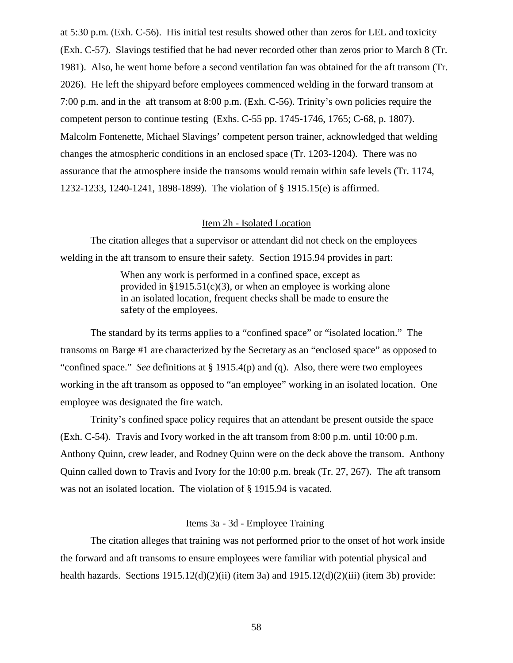at 5:30 p.m. (Exh. C-56). His initial test results showed other than zeros for LEL and toxicity (Exh. C-57). Slavings testified that he had never recorded other than zeros prior to March 8 (Tr. 1981). Also, he went home before a second ventilation fan was obtained for the aft transom (Tr. 2026). He left the shipyard before employees commenced welding in the forward transom at 7:00 p.m. and in the aft transom at 8:00 p.m. (Exh. C-56). Trinity's own policies require the competent person to continue testing (Exhs. C-55 pp. 1745-1746, 1765; C-68, p. 1807). Malcolm Fontenette, Michael Slavings' competent person trainer, acknowledged that welding changes the atmospheric conditions in an enclosed space (Tr. 1203-1204). There was no assurance that the atmosphere inside the transoms would remain within safe levels (Tr. 1174, 1232-1233, 1240-1241, 1898-1899). The violation of § 1915.15(e) is affirmed.

# Item 2h - Isolated Location

The citation alleges that a supervisor or attendant did not check on the employees welding in the aft transom to ensure their safety. Section 1915.94 provides in part:

> When any work is performed in a confined space, except as provided in  $\S 1915.51(c)(3)$ , or when an employee is working alone in an isolated location, frequent checks shall be made to ensure the safety of the employees.

The standard by its terms applies to a "confined space" or "isolated location." The transoms on Barge #1 are characterized by the Secretary as an "enclosed space" as opposed to "confined space." *See* definitions at § 1915.4(p) and (q). Also, there were two employees working in the aft transom as opposed to "an employee" working in an isolated location. One employee was designated the fire watch.

Trinity's confined space policy requires that an attendant be present outside the space (Exh. C-54). Travis and Ivory worked in the aft transom from 8:00 p.m. until 10:00 p.m. Anthony Quinn, crew leader, and Rodney Quinn were on the deck above the transom. Anthony Quinn called down to Travis and Ivory for the 10:00 p.m. break (Tr. 27, 267). The aft transom was not an isolated location. The violation of § 1915.94 is vacated.

## Items 3a - 3d - Employee Training

The citation alleges that training was not performed prior to the onset of hot work inside the forward and aft transoms to ensure employees were familiar with potential physical and health hazards. Sections 1915.12(d)(2)(ii) (item 3a) and 1915.12(d)(2)(iii) (item 3b) provide: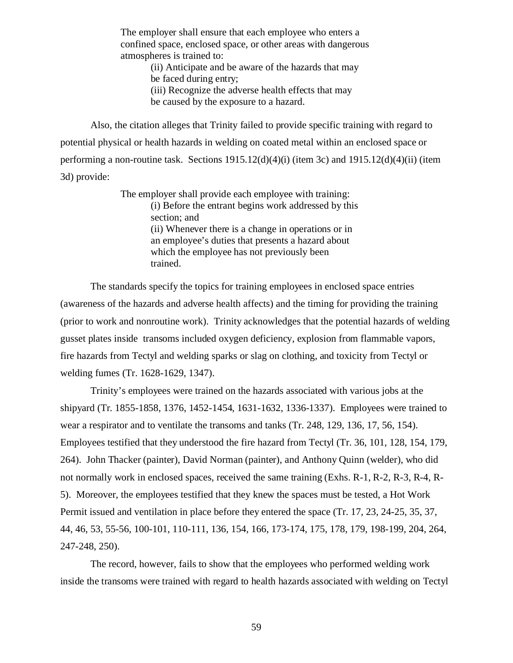The employer shall ensure that each employee who enters a confined space, enclosed space, or other areas with dangerous atmospheres is trained to:

> (ii) Anticipate and be aware of the hazards that may be faced during entry; (iii) Recognize the adverse health effects that may

be caused by the exposure to a hazard.

Also, the citation alleges that Trinity failed to provide specific training with regard to potential physical or health hazards in welding on coated metal within an enclosed space or performing a non-routine task. Sections 1915.12(d)(4)(i) (item 3c) and 1915.12(d)(4)(ii) (item 3d) provide:

> The employer shall provide each employee with training: (i) Before the entrant begins work addressed by this section; and (ii) Whenever there is a change in operations or in an employee's duties that presents a hazard about which the employee has not previously been trained.

The standards specify the topics for training employees in enclosed space entries (awareness of the hazards and adverse health affects) and the timing for providing the training (prior to work and nonroutine work). Trinity acknowledges that the potential hazards of welding gusset plates inside transoms included oxygen deficiency, explosion from flammable vapors, fire hazards from Tectyl and welding sparks or slag on clothing, and toxicity from Tectyl or welding fumes (Tr. 1628-1629, 1347).

Trinity's employees were trained on the hazards associated with various jobs at the shipyard (Tr. 1855-1858, 1376, 1452-1454, 1631-1632, 1336-1337). Employees were trained to wear a respirator and to ventilate the transoms and tanks (Tr. 248, 129, 136, 17, 56, 154). Employees testified that they understood the fire hazard from Tectyl (Tr. 36, 101, 128, 154, 179, 264). John Thacker (painter), David Norman (painter), and Anthony Quinn (welder), who did not normally work in enclosed spaces, received the same training (Exhs. R-1, R-2, R-3, R-4, R-5). Moreover, the employees testified that they knew the spaces must be tested, a Hot Work Permit issued and ventilation in place before they entered the space (Tr. 17, 23, 24-25, 35, 37, 44, 46, 53, 55-56, 100-101, 110-111, 136, 154, 166, 173-174, 175, 178, 179, 198-199, 204, 264, 247-248, 250).

The record, however, fails to show that the employees who performed welding work inside the transoms were trained with regard to health hazards associated with welding on Tectyl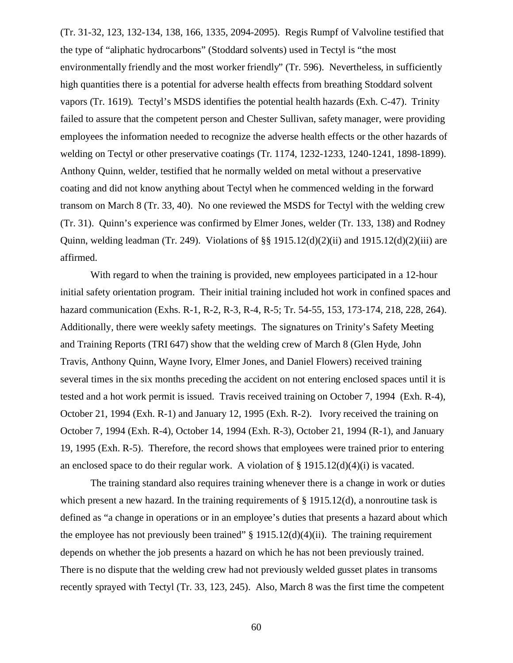(Tr. 31-32, 123, 132-134, 138, 166, 1335, 2094-2095). Regis Rumpf of Valvoline testified that the type of "aliphatic hydrocarbons" (Stoddard solvents) used in Tectyl is "the most environmentally friendly and the most worker friendly" (Tr. 596). Nevertheless, in sufficiently high quantities there is a potential for adverse health effects from breathing Stoddard solvent vapors (Tr. 1619). Tectyl's MSDS identifies the potential health hazards (Exh. C-47). Trinity failed to assure that the competent person and Chester Sullivan, safety manager, were providing employees the information needed to recognize the adverse health effects or the other hazards of welding on Tectyl or other preservative coatings (Tr. 1174, 1232-1233, 1240-1241, 1898-1899). Anthony Quinn, welder, testified that he normally welded on metal without a preservative coating and did not know anything about Tectyl when he commenced welding in the forward transom on March 8 (Tr. 33, 40). No one reviewed the MSDS for Tectyl with the welding crew (Tr. 31). Quinn's experience was confirmed by Elmer Jones, welder (Tr. 133, 138) and Rodney Quinn, welding leadman (Tr. 249). Violations of  $\S$  1915.12(d)(2)(ii) and 1915.12(d)(2)(iii) are affirmed.

With regard to when the training is provided, new employees participated in a 12-hour initial safety orientation program. Their initial training included hot work in confined spaces and hazard communication (Exhs. R-1, R-2, R-3, R-4, R-5; Tr. 54-55, 153, 173-174, 218, 228, 264). Additionally, there were weekly safety meetings. The signatures on Trinity's Safety Meeting and Training Reports (TRI 647) show that the welding crew of March 8 (Glen Hyde, John Travis, Anthony Quinn, Wayne Ivory, Elmer Jones, and Daniel Flowers) received training several times in the six months preceding the accident on not entering enclosed spaces until it is tested and a hot work permit is issued. Travis received training on October 7, 1994 (Exh. R-4), October 21, 1994 (Exh. R-1) and January 12, 1995 (Exh. R-2). Ivory received the training on October 7, 1994 (Exh. R-4), October 14, 1994 (Exh. R-3), October 21, 1994 (R-1), and January 19, 1995 (Exh. R-5). Therefore, the record shows that employees were trained prior to entering an enclosed space to do their regular work. A violation of  $\S 1915.12(d)(4)(i)$  is vacated.

The training standard also requires training whenever there is a change in work or duties which present a new hazard. In the training requirements of  $\S$  1915.12(d), a nonroutine task is defined as "a change in operations or in an employee's duties that presents a hazard about which the employee has not previously been trained"  $\S 1915.12(d)(4)(ii)$ . The training requirement depends on whether the job presents a hazard on which he has not been previously trained. There is no dispute that the welding crew had not previously welded gusset plates in transoms recently sprayed with Tectyl (Tr. 33, 123, 245). Also, March 8 was the first time the competent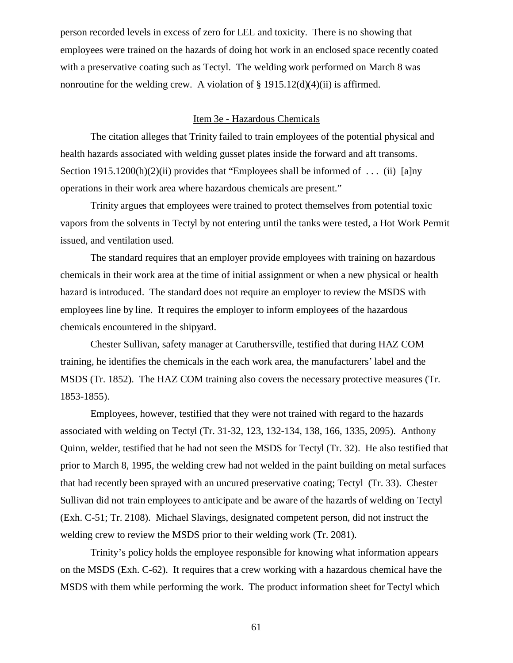person recorded levels in excess of zero for LEL and toxicity. There is no showing that employees were trained on the hazards of doing hot work in an enclosed space recently coated with a preservative coating such as Tectyl. The welding work performed on March 8 was nonroutine for the welding crew. A violation of  $\S$  1915.12(d)(4)(ii) is affirmed.

### Item 3e - Hazardous Chemicals

The citation alleges that Trinity failed to train employees of the potential physical and health hazards associated with welding gusset plates inside the forward and aft transoms. Section 1915.1200(h)(2)(ii) provides that "Employees shall be informed of ... (ii) [a]ny operations in their work area where hazardous chemicals are present."

Trinity argues that employees were trained to protect themselves from potential toxic vapors from the solvents in Tectyl by not entering until the tanks were tested, a Hot Work Permit issued, and ventilation used.

The standard requires that an employer provide employees with training on hazardous chemicals in their work area at the time of initial assignment or when a new physical or health hazard is introduced. The standard does not require an employer to review the MSDS with employees line by line. It requires the employer to inform employees of the hazardous chemicals encountered in the shipyard.

Chester Sullivan, safety manager at Caruthersville, testified that during HAZ COM training, he identifies the chemicals in the each work area, the manufacturers' label and the MSDS (Tr. 1852). The HAZ COM training also covers the necessary protective measures (Tr. 1853-1855).

Employees, however, testified that they were not trained with regard to the hazards associated with welding on Tectyl (Tr. 31-32, 123, 132-134, 138, 166, 1335, 2095). Anthony Quinn, welder, testified that he had not seen the MSDS for Tectyl (Tr. 32). He also testified that prior to March 8, 1995, the welding crew had not welded in the paint building on metal surfaces that had recently been sprayed with an uncured preservative coating; Tectyl (Tr. 33). Chester Sullivan did not train employees to anticipate and be aware of the hazards of welding on Tectyl (Exh. C-51; Tr. 2108). Michael Slavings, designated competent person, did not instruct the welding crew to review the MSDS prior to their welding work (Tr. 2081).

Trinity's policy holds the employee responsible for knowing what information appears on the MSDS (Exh. C-62). It requires that a crew working with a hazardous chemical have the MSDS with them while performing the work. The product information sheet for Tectyl which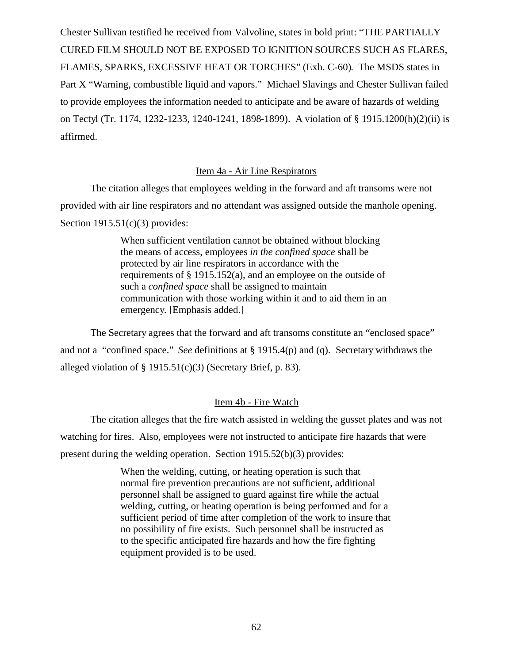Chester Sullivan testified he received from Valvoline, states in bold print: "THE PARTIALLY CURED FILM SHOULD NOT BE EXPOSED TO IGNITION SOURCES SUCH AS FLARES, FLAMES, SPARKS, EXCESSIVE HEAT OR TORCHES" (Exh. C-60). The MSDS states in Part X "Warning, combustible liquid and vapors." Michael Slavings and Chester Sullivan failed to provide employees the information needed to anticipate and be aware of hazards of welding on Tectyl (Tr. 1174, 1232-1233, 1240-1241, 1898-1899). A violation of § 1915.1200(h)(2)(ii) is affirmed.

# Item 4a - Air Line Respirators

The citation alleges that employees welding in the forward and aft transoms were not provided with air line respirators and no attendant was assigned outside the manhole opening. Section  $1915.51(c)(3)$  provides:

> When sufficient ventilation cannot be obtained without blocking the means of access, employees *in the confined space* shall be protected by air line respirators in accordance with the requirements of § 1915.152(a), and an employee on the outside of such a *confined space* shall be assigned to maintain communication with those working within it and to aid them in an emergency. [Emphasis added.]

The Secretary agrees that the forward and aft transoms constitute an "enclosed space" and not a "confined space." *See* definitions at § 1915.4(p) and (q). Secretary withdraws the alleged violation of  $\S$  1915.51(c)(3) (Secretary Brief, p. 83).

### Item 4b - Fire Watch

The citation alleges that the fire watch assisted in welding the gusset plates and was not watching for fires. Also, employees were not instructed to anticipate fire hazards that were present during the welding operation. Section 1915.52(b)(3) provides:

> When the welding, cutting, or heating operation is such that normal fire prevention precautions are not sufficient, additional personnel shall be assigned to guard against fire while the actual welding, cutting, or heating operation is being performed and for a sufficient period of time after completion of the work to insure that no possibility of fire exists. Such personnel shall be instructed as to the specific anticipated fire hazards and how the fire fighting equipment provided is to be used.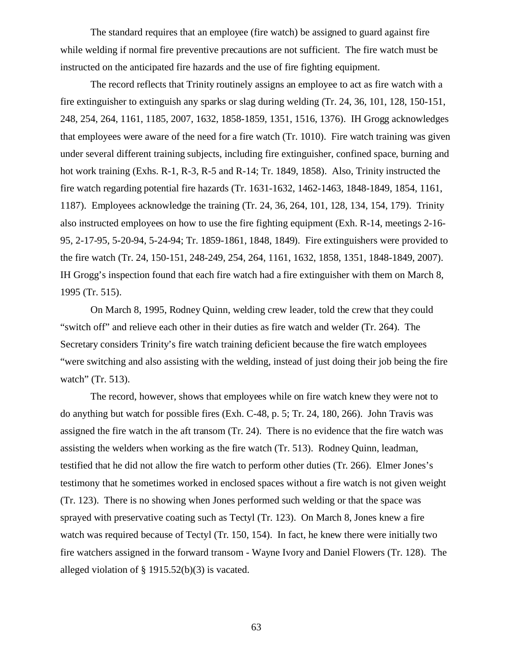The standard requires that an employee (fire watch) be assigned to guard against fire while welding if normal fire preventive precautions are not sufficient. The fire watch must be instructed on the anticipated fire hazards and the use of fire fighting equipment.

The record reflects that Trinity routinely assigns an employee to act as fire watch with a fire extinguisher to extinguish any sparks or slag during welding (Tr. 24, 36, 101, 128, 150-151, 248, 254, 264, 1161, 1185, 2007, 1632, 1858-1859, 1351, 1516, 1376). IH Grogg acknowledges that employees were aware of the need for a fire watch (Tr. 1010). Fire watch training was given under several different training subjects, including fire extinguisher, confined space, burning and hot work training (Exhs. R-1, R-3, R-5 and R-14; Tr. 1849, 1858). Also, Trinity instructed the fire watch regarding potential fire hazards (Tr. 1631-1632, 1462-1463, 1848-1849, 1854, 1161, 1187). Employees acknowledge the training (Tr. 24, 36, 264, 101, 128, 134, 154, 179). Trinity also instructed employees on how to use the fire fighting equipment (Exh. R-14, meetings 2-16- 95, 2-17-95, 5-20-94, 5-24-94; Tr. 1859-1861, 1848, 1849). Fire extinguishers were provided to the fire watch (Tr. 24, 150-151, 248-249, 254, 264, 1161, 1632, 1858, 1351, 1848-1849, 2007). IH Grogg's inspection found that each fire watch had a fire extinguisher with them on March 8, 1995 (Tr. 515).

On March 8, 1995, Rodney Quinn, welding crew leader, told the crew that they could "switch off" and relieve each other in their duties as fire watch and welder (Tr. 264). The Secretary considers Trinity's fire watch training deficient because the fire watch employees "were switching and also assisting with the welding, instead of just doing their job being the fire watch" (Tr. 513).

The record, however, shows that employees while on fire watch knew they were not to do anything but watch for possible fires (Exh. C-48, p. 5; Tr. 24, 180, 266). John Travis was assigned the fire watch in the aft transom (Tr. 24). There is no evidence that the fire watch was assisting the welders when working as the fire watch (Tr. 513). Rodney Quinn, leadman, testified that he did not allow the fire watch to perform other duties (Tr. 266). Elmer Jones's testimony that he sometimes worked in enclosed spaces without a fire watch is not given weight (Tr. 123). There is no showing when Jones performed such welding or that the space was sprayed with preservative coating such as Tectyl (Tr. 123). On March 8, Jones knew a fire watch was required because of Tectyl (Tr. 150, 154). In fact, he knew there were initially two fire watchers assigned in the forward transom - Wayne Ivory and Daniel Flowers (Tr. 128). The alleged violation of § 1915.52(b)(3) is vacated.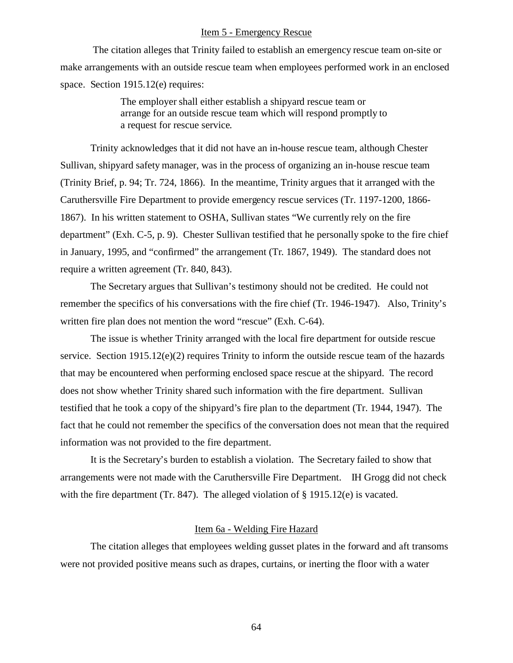## Item 5 - Emergency Rescue

 The citation alleges that Trinity failed to establish an emergency rescue team on-site or make arrangements with an outside rescue team when employees performed work in an enclosed space. Section 1915.12(e) requires:

> The employer shall either establish a shipyard rescue team or arrange for an outside rescue team which will respond promptly to a request for rescue service.

Trinity acknowledges that it did not have an in-house rescue team, although Chester Sullivan, shipyard safety manager, was in the process of organizing an in-house rescue team (Trinity Brief, p. 94; Tr. 724, 1866). In the meantime, Trinity argues that it arranged with the Caruthersville Fire Department to provide emergency rescue services (Tr. 1197-1200, 1866- 1867). In his written statement to OSHA, Sullivan states "We currently rely on the fire department" (Exh. C-5, p. 9). Chester Sullivan testified that he personally spoke to the fire chief in January, 1995, and "confirmed" the arrangement (Tr. 1867, 1949). The standard does not require a written agreement (Tr. 840, 843).

The Secretary argues that Sullivan's testimony should not be credited. He could not remember the specifics of his conversations with the fire chief (Tr. 1946-1947). Also, Trinity's written fire plan does not mention the word "rescue" (Exh. C-64).

The issue is whether Trinity arranged with the local fire department for outside rescue service. Section 1915.12(e)(2) requires Trinity to inform the outside rescue team of the hazards that may be encountered when performing enclosed space rescue at the shipyard. The record does not show whether Trinity shared such information with the fire department. Sullivan testified that he took a copy of the shipyard's fire plan to the department (Tr. 1944, 1947). The fact that he could not remember the specifics of the conversation does not mean that the required information was not provided to the fire department.

It is the Secretary's burden to establish a violation. The Secretary failed to show that arrangements were not made with the Caruthersville Fire Department. IH Grogg did not check with the fire department (Tr. 847). The alleged violation of  $\S$  1915.12(e) is vacated.

#### Item 6a - Welding Fire Hazard

The citation alleges that employees welding gusset plates in the forward and aft transoms were not provided positive means such as drapes, curtains, or inerting the floor with a water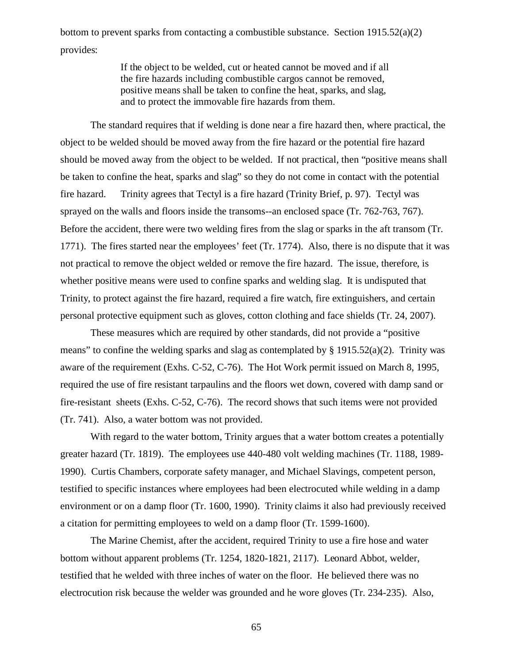bottom to prevent sparks from contacting a combustible substance. Section  $1915.52(a)(2)$ provides:

> If the object to be welded, cut or heated cannot be moved and if all the fire hazards including combustible cargos cannot be removed, positive means shall be taken to confine the heat, sparks, and slag, and to protect the immovable fire hazards from them.

The standard requires that if welding is done near a fire hazard then, where practical, the object to be welded should be moved away from the fire hazard or the potential fire hazard should be moved away from the object to be welded. If not practical, then "positive means shall be taken to confine the heat, sparks and slag" so they do not come in contact with the potential fire hazard. Trinity agrees that Tectyl is a fire hazard (Trinity Brief, p. 97). Tectyl was sprayed on the walls and floors inside the transoms--an enclosed space (Tr. 762-763, 767). Before the accident, there were two welding fires from the slag or sparks in the aft transom (Tr. 1771). The fires started near the employees' feet (Tr. 1774). Also, there is no dispute that it was not practical to remove the object welded or remove the fire hazard. The issue, therefore, is whether positive means were used to confine sparks and welding slag. It is undisputed that Trinity, to protect against the fire hazard, required a fire watch, fire extinguishers, and certain personal protective equipment such as gloves, cotton clothing and face shields (Tr. 24, 2007).

These measures which are required by other standards, did not provide a "positive means" to confine the welding sparks and slag as contemplated by § 1915.52(a)(2). Trinity was aware of the requirement (Exhs. C-52, C-76). The Hot Work permit issued on March 8, 1995, required the use of fire resistant tarpaulins and the floors wet down, covered with damp sand or fire-resistant sheets (Exhs. C-52, C-76). The record shows that such items were not provided (Tr. 741). Also, a water bottom was not provided.

With regard to the water bottom, Trinity argues that a water bottom creates a potentially greater hazard (Tr. 1819). The employees use 440-480 volt welding machines (Tr. 1188, 1989- 1990). Curtis Chambers, corporate safety manager, and Michael Slavings, competent person, testified to specific instances where employees had been electrocuted while welding in a damp environment or on a damp floor (Tr. 1600, 1990). Trinity claims it also had previously received a citation for permitting employees to weld on a damp floor (Tr. 1599-1600).

The Marine Chemist, after the accident, required Trinity to use a fire hose and water bottom without apparent problems (Tr. 1254, 1820-1821, 2117). Leonard Abbot, welder, testified that he welded with three inches of water on the floor. He believed there was no electrocution risk because the welder was grounded and he wore gloves (Tr. 234-235). Also,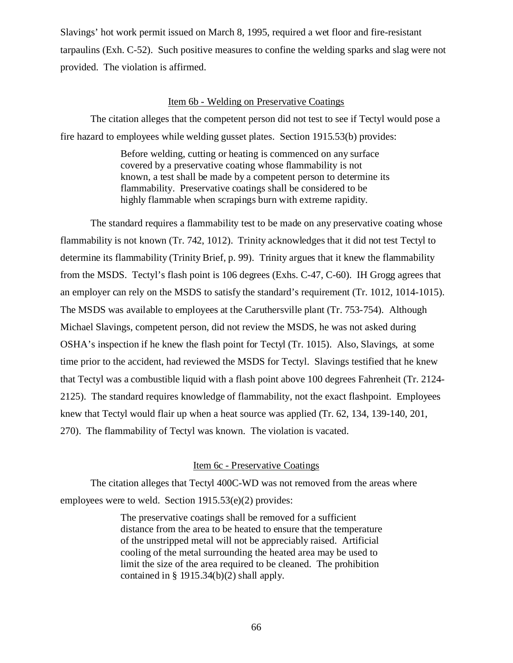Slavings' hot work permit issued on March 8, 1995, required a wet floor and fire-resistant tarpaulins (Exh. C-52). Such positive measures to confine the welding sparks and slag were not provided. The violation is affirmed.

### Item 6b - Welding on Preservative Coatings

The citation alleges that the competent person did not test to see if Tectyl would pose a fire hazard to employees while welding gusset plates. Section 1915.53(b) provides:

> Before welding, cutting or heating is commenced on any surface covered by a preservative coating whose flammability is not known, a test shall be made by a competent person to determine its flammability. Preservative coatings shall be considered to be highly flammable when scrapings burn with extreme rapidity.

The standard requires a flammability test to be made on any preservative coating whose flammability is not known (Tr. 742, 1012). Trinity acknowledges that it did not test Tectyl to determine its flammability (Trinity Brief, p. 99). Trinity argues that it knew the flammability from the MSDS. Tectyl's flash point is 106 degrees (Exhs. C-47, C-60). IH Grogg agrees that an employer can rely on the MSDS to satisfy the standard's requirement (Tr. 1012, 1014-1015). The MSDS was available to employees at the Caruthersville plant (Tr. 753-754). Although Michael Slavings, competent person, did not review the MSDS, he was not asked during OSHA's inspection if he knew the flash point for Tectyl (Tr. 1015). Also, Slavings, at some time prior to the accident, had reviewed the MSDS for Tectyl. Slavings testified that he knew that Tectyl was a combustible liquid with a flash point above 100 degrees Fahrenheit (Tr. 2124- 2125). The standard requires knowledge of flammability, not the exact flashpoint. Employees knew that Tectyl would flair up when a heat source was applied (Tr. 62, 134, 139-140, 201, 270). The flammability of Tectyl was known. The violation is vacated.

# Item 6c - Preservative Coatings

The citation alleges that Tectyl 400C-WD was not removed from the areas where employees were to weld. Section 1915.53(e)(2) provides:

> The preservative coatings shall be removed for a sufficient distance from the area to be heated to ensure that the temperature of the unstripped metal will not be appreciably raised. Artificial cooling of the metal surrounding the heated area may be used to limit the size of the area required to be cleaned. The prohibition contained in § 1915.34(b)(2) shall apply.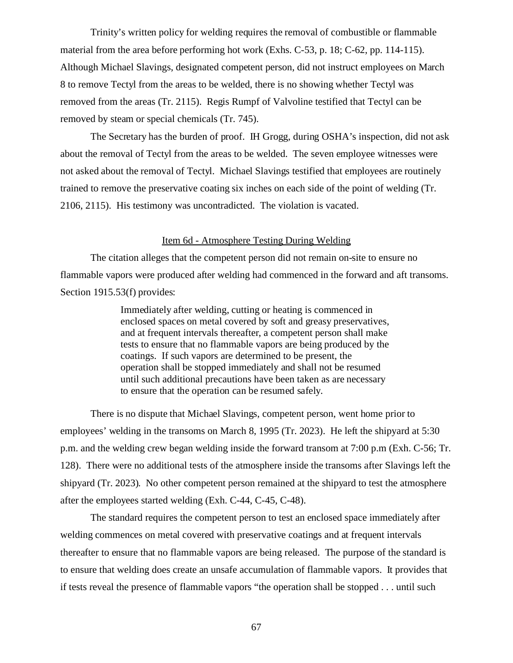Trinity's written policy for welding requires the removal of combustible or flammable material from the area before performing hot work (Exhs. C-53, p. 18; C-62, pp. 114-115). Although Michael Slavings, designated competent person, did not instruct employees on March 8 to remove Tectyl from the areas to be welded, there is no showing whether Tectyl was removed from the areas (Tr. 2115). Regis Rumpf of Valvoline testified that Tectyl can be removed by steam or special chemicals (Tr. 745).

The Secretary has the burden of proof. IH Grogg, during OSHA's inspection, did not ask about the removal of Tectyl from the areas to be welded. The seven employee witnesses were not asked about the removal of Tectyl. Michael Slavings testified that employees are routinely trained to remove the preservative coating six inches on each side of the point of welding (Tr. 2106, 2115). His testimony was uncontradicted. The violation is vacated.

#### Item 6d - Atmosphere Testing During Welding

The citation alleges that the competent person did not remain on-site to ensure no flammable vapors were produced after welding had commenced in the forward and aft transoms. Section 1915.53(f) provides:

> Immediately after welding, cutting or heating is commenced in enclosed spaces on metal covered by soft and greasy preservatives, and at frequent intervals thereafter, a competent person shall make tests to ensure that no flammable vapors are being produced by the coatings. If such vapors are determined to be present, the operation shall be stopped immediately and shall not be resumed until such additional precautions have been taken as are necessary to ensure that the operation can be resumed safely.

There is no dispute that Michael Slavings, competent person, went home prior to employees' welding in the transoms on March 8, 1995 (Tr. 2023). He left the shipyard at 5:30 p.m. and the welding crew began welding inside the forward transom at 7:00 p.m (Exh. C-56; Tr. 128). There were no additional tests of the atmosphere inside the transoms after Slavings left the shipyard (Tr. 2023). No other competent person remained at the shipyard to test the atmosphere after the employees started welding (Exh. C-44, C-45, C-48).

The standard requires the competent person to test an enclosed space immediately after welding commences on metal covered with preservative coatings and at frequent intervals thereafter to ensure that no flammable vapors are being released. The purpose of the standard is to ensure that welding does create an unsafe accumulation of flammable vapors. It provides that if tests reveal the presence of flammable vapors "the operation shall be stopped . . . until such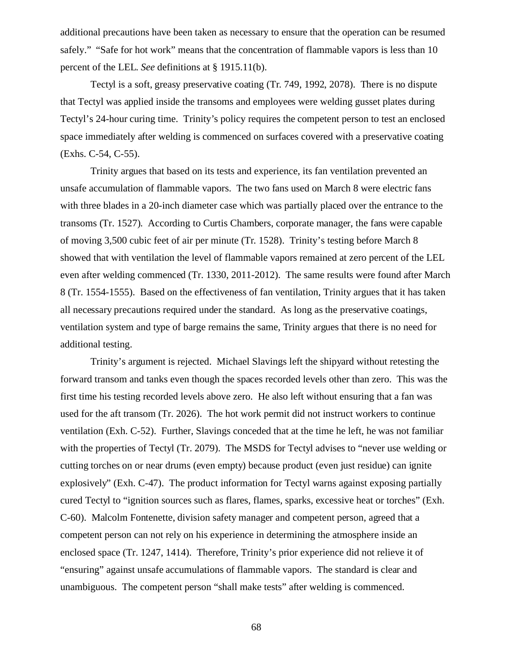additional precautions have been taken as necessary to ensure that the operation can be resumed safely." "Safe for hot work" means that the concentration of flammable vapors is less than 10 percent of the LEL. *See* definitions at § 1915.11(b).

Tectyl is a soft, greasy preservative coating (Tr. 749, 1992, 2078). There is no dispute that Tectyl was applied inside the transoms and employees were welding gusset plates during Tectyl's 24-hour curing time. Trinity's policy requires the competent person to test an enclosed space immediately after welding is commenced on surfaces covered with a preservative coating (Exhs. C-54, C-55).

Trinity argues that based on its tests and experience, its fan ventilation prevented an unsafe accumulation of flammable vapors. The two fans used on March 8 were electric fans with three blades in a 20-inch diameter case which was partially placed over the entrance to the transoms (Tr. 1527). According to Curtis Chambers, corporate manager, the fans were capable of moving 3,500 cubic feet of air per minute (Tr. 1528). Trinity's testing before March 8 showed that with ventilation the level of flammable vapors remained at zero percent of the LEL even after welding commenced (Tr. 1330, 2011-2012). The same results were found after March 8 (Tr. 1554-1555). Based on the effectiveness of fan ventilation, Trinity argues that it has taken all necessary precautions required under the standard. As long as the preservative coatings, ventilation system and type of barge remains the same, Trinity argues that there is no need for additional testing.

Trinity's argument is rejected. Michael Slavings left the shipyard without retesting the forward transom and tanks even though the spaces recorded levels other than zero. This was the first time his testing recorded levels above zero. He also left without ensuring that a fan was used for the aft transom (Tr. 2026). The hot work permit did not instruct workers to continue ventilation (Exh. C-52). Further, Slavings conceded that at the time he left, he was not familiar with the properties of Tectyl (Tr. 2079). The MSDS for Tectyl advises to "never use welding or cutting torches on or near drums (even empty) because product (even just residue) can ignite explosively" (Exh. C-47). The product information for Tectyl warns against exposing partially cured Tectyl to "ignition sources such as flares, flames, sparks, excessive heat or torches" (Exh. C-60). Malcolm Fontenette, division safety manager and competent person, agreed that a competent person can not rely on his experience in determining the atmosphere inside an enclosed space (Tr. 1247, 1414). Therefore, Trinity's prior experience did not relieve it of "ensuring" against unsafe accumulations of flammable vapors. The standard is clear and unambiguous. The competent person "shall make tests" after welding is commenced.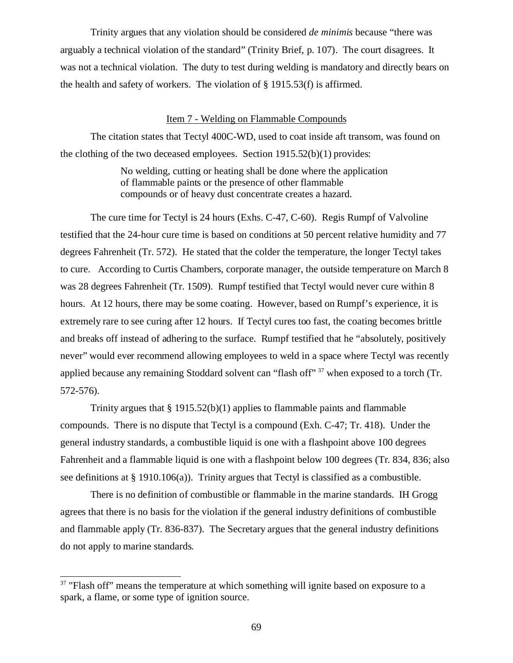Trinity argues that any violation should be considered *de minimis* because "there was arguably a technical violation of the standard" (Trinity Brief, p. 107). The court disagrees. It was not a technical violation. The duty to test during welding is mandatory and directly bears on the health and safety of workers. The violation of § 1915.53(f) is affirmed.

### Item 7 - Welding on Flammable Compounds

The citation states that Tectyl 400C-WD, used to coat inside aft transom, was found on the clothing of the two deceased employees. Section 1915.52(b)(1) provides:

> No welding, cutting or heating shall be done where the application of flammable paints or the presence of other flammable compounds or of heavy dust concentrate creates a hazard.

The cure time for Tectyl is 24 hours (Exhs. C-47, C-60). Regis Rumpf of Valvoline testified that the 24-hour cure time is based on conditions at 50 percent relative humidity and 77 degrees Fahrenheit (Tr. 572). He stated that the colder the temperature, the longer Tectyl takes to cure. According to Curtis Chambers, corporate manager, the outside temperature on March 8 was 28 degrees Fahrenheit (Tr. 1509). Rumpf testified that Tectyl would never cure within 8 hours. At 12 hours, there may be some coating. However, based on Rumpf's experience, it is extremely rare to see curing after 12 hours. If Tectyl cures too fast, the coating becomes brittle and breaks off instead of adhering to the surface. Rumpf testified that he "absolutely, positively never" would ever recommend allowing employees to weld in a space where Tectyl was recently applied because any remaining Stoddard solvent can "flash off"<sup>37</sup> when exposed to a torch (Tr. 572-576).

Trinity argues that  $\S 1915.52(b)(1)$  applies to flammable paints and flammable compounds. There is no dispute that Tectyl is a compound (Exh. C-47; Tr. 418). Under the general industry standards, a combustible liquid is one with a flashpoint above 100 degrees Fahrenheit and a flammable liquid is one with a flashpoint below 100 degrees (Tr. 834, 836; also see definitions at § 1910.106(a)). Trinity argues that Tectyl is classified as a combustible.

There is no definition of combustible or flammable in the marine standards. IH Grogg agrees that there is no basis for the violation if the general industry definitions of combustible and flammable apply (Tr. 836-837). The Secretary argues that the general industry definitions do not apply to marine standards.

 $37$  "Flash off" means the temperature at which something will ignite based on exposure to a spark, a flame, or some type of ignition source.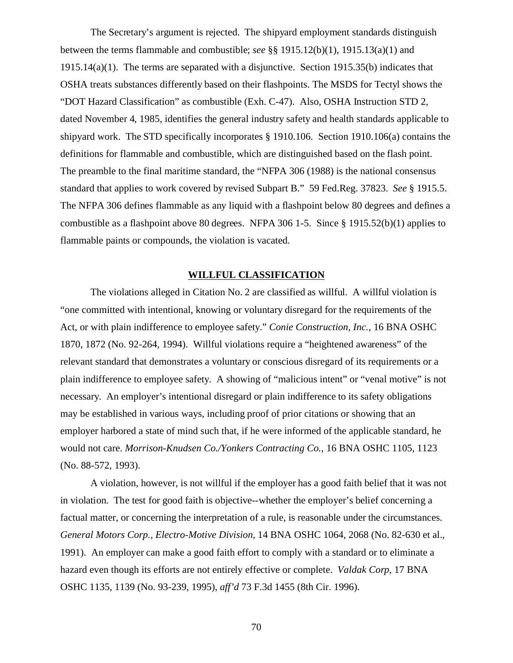The Secretary's argument is rejected. The shipyard employment standards distinguish between the terms flammable and combustible; *see* §§ 1915.12(b)(1), 1915.13(a)(1) and 1915.14(a)(1). The terms are separated with a disjunctive. Section 1915.35(b) indicates that OSHA treats substances differently based on their flashpoints. The MSDS for Tectyl shows the "DOT Hazard Classification" as combustible (Exh. C-47). Also, OSHA Instruction STD 2, dated November 4, 1985, identifies the general industry safety and health standards applicable to shipyard work. The STD specifically incorporates § 1910.106. Section 1910.106(a) contains the definitions for flammable and combustible, which are distinguished based on the flash point. The preamble to the final maritime standard, the "NFPA 306 (1988) is the national consensus standard that applies to work covered by revised Subpart B." 59 Fed.Reg. 37823. *See* § 1915.5. The NFPA 306 defines flammable as any liquid with a flashpoint below 80 degrees and defines a combustible as a flashpoint above 80 degrees. NFPA 306 1-5. Since  $\S$  1915.52(b)(1) applies to flammable paints or compounds, the violation is vacated.

#### **WILLFUL CLASSIFICATION**

The violations alleged in Citation No. 2 are classified as willful. A willful violation is "one committed with intentional, knowing or voluntary disregard for the requirements of the Act, or with plain indifference to employee safety." *Conie Construction, Inc.,* 16 BNA OSHC 1870, 1872 (No. 92-264, 1994). Willful violations require a "heightened awareness" of the relevant standard that demonstrates a voluntary or conscious disregard of its requirements or a plain indifference to employee safety. A showing of "malicious intent" or "venal motive" is not necessary. An employer's intentional disregard or plain indifference to its safety obligations may be established in various ways, including proof of prior citations or showing that an employer harbored a state of mind such that, if he were informed of the applicable standard, he would not care. *Morrison-Knudsen Co./Yonkers Contracting Co.,* 16 BNA OSHC 1105, 1123 (No. 88-572, 1993).

A violation, however, is not willful if the employer has a good faith belief that it was not in violation. The test for good faith is objective--whether the employer's belief concerning a factual matter, or concerning the interpretation of a rule, is reasonable under the circumstances. *General Motors Corp., Electro-Motive Division,* 14 BNA OSHC 1064, 2068 (No. 82-630 et al., 1991). An employer can make a good faith effort to comply with a standard or to eliminate a hazard even though its efforts are not entirely effective or complete. *Valdak Corp*, 17 BNA OSHC 1135, 1139 (No. 93-239, 1995), *aff'd* 73 F.3d 1455 (8th Cir. 1996).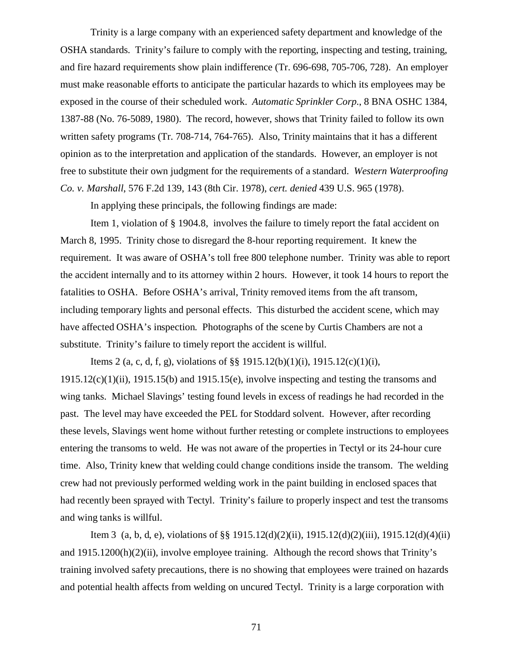Trinity is a large company with an experienced safety department and knowledge of the OSHA standards. Trinity's failure to comply with the reporting, inspecting and testing, training, and fire hazard requirements show plain indifference (Tr. 696-698, 705-706, 728). An employer must make reasonable efforts to anticipate the particular hazards to which its employees may be exposed in the course of their scheduled work. *Automatic Sprinkler Corp*., 8 BNA OSHC 1384, 1387-88 (No. 76-5089, 1980). The record, however, shows that Trinity failed to follow its own written safety programs (Tr. 708-714, 764-765). Also, Trinity maintains that it has a different opinion as to the interpretation and application of the standards. However, an employer is not free to substitute their own judgment for the requirements of a standard. *Western Waterproofing Co. v. Marshall*, 576 F.2d 139, 143 (8th Cir. 1978), *cert. denied* 439 U.S. 965 (1978).

In applying these principals, the following findings are made:

Item 1, violation of § 1904.8, involves the failure to timely report the fatal accident on March 8, 1995. Trinity chose to disregard the 8-hour reporting requirement. It knew the requirement. It was aware of OSHA's toll free 800 telephone number. Trinity was able to report the accident internally and to its attorney within 2 hours. However, it took 14 hours to report the fatalities to OSHA. Before OSHA's arrival, Trinity removed items from the aft transom, including temporary lights and personal effects. This disturbed the accident scene, which may have affected OSHA's inspection. Photographs of the scene by Curtis Chambers are not a substitute. Trinity's failure to timely report the accident is willful.

Items 2 (a, c, d, f, g), violations of §§ 1915.12(b)(1)(i), 1915.12(c)(1)(i),  $1915.12(c)(1)(ii)$ ,  $1915.15(b)$  and  $1915.15(e)$ , involve inspecting and testing the transoms and wing tanks. Michael Slavings' testing found levels in excess of readings he had recorded in the past. The level may have exceeded the PEL for Stoddard solvent. However, after recording these levels, Slavings went home without further retesting or complete instructions to employees entering the transoms to weld. He was not aware of the properties in Tectyl or its 24-hour cure time. Also, Trinity knew that welding could change conditions inside the transom. The welding crew had not previously performed welding work in the paint building in enclosed spaces that had recently been sprayed with Tectyl. Trinity's failure to properly inspect and test the transoms and wing tanks is willful.

Item 3 (a, b, d, e), violations of §§ 1915.12(d)(2)(ii), 1915.12(d)(2)(iii), 1915.12(d)(4)(ii) and 1915.1200(h)(2)(ii), involve employee training. Although the record shows that Trinity's training involved safety precautions, there is no showing that employees were trained on hazards and potential health affects from welding on uncured Tectyl. Trinity is a large corporation with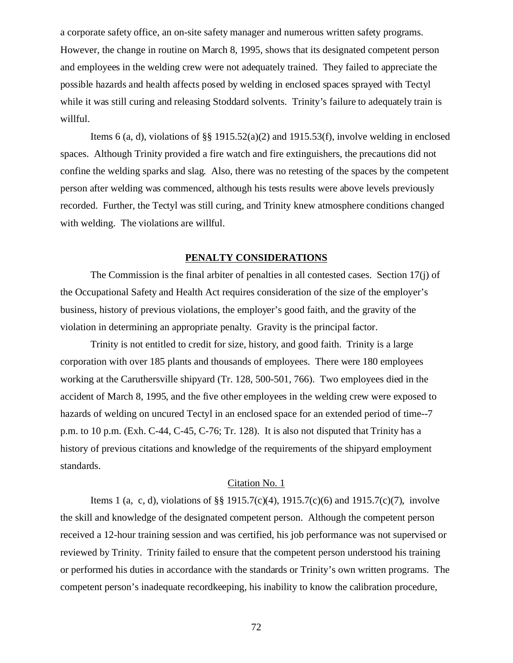a corporate safety office, an on-site safety manager and numerous written safety programs. However, the change in routine on March 8, 1995, shows that its designated competent person and employees in the welding crew were not adequately trained. They failed to appreciate the possible hazards and health affects posed by welding in enclosed spaces sprayed with Tectyl while it was still curing and releasing Stoddard solvents. Trinity's failure to adequately train is willful.

Items 6 (a, d), violations of §§ 1915.52(a)(2) and 1915.53(f), involve welding in enclosed spaces. Although Trinity provided a fire watch and fire extinguishers, the precautions did not confine the welding sparks and slag. Also, there was no retesting of the spaces by the competent person after welding was commenced, although his tests results were above levels previously recorded. Further, the Tectyl was still curing, and Trinity knew atmosphere conditions changed with welding. The violations are willful.

# **PENALTY CONSIDERATIONS**

The Commission is the final arbiter of penalties in all contested cases. Section 17(j) of the Occupational Safety and Health Act requires consideration of the size of the employer's business, history of previous violations, the employer's good faith, and the gravity of the violation in determining an appropriate penalty. Gravity is the principal factor.

Trinity is not entitled to credit for size, history, and good faith. Trinity is a large corporation with over 185 plants and thousands of employees. There were 180 employees working at the Caruthersville shipyard (Tr. 128, 500-501, 766). Two employees died in the accident of March 8, 1995, and the five other employees in the welding crew were exposed to hazards of welding on uncured Tectyl in an enclosed space for an extended period of time--7 p.m. to 10 p.m. (Exh. C-44, C-45, C-76; Tr. 128). It is also not disputed that Trinity has a history of previous citations and knowledge of the requirements of the shipyard employment standards.

## Citation No. 1

Items 1 (a, c, d), violations of §§ 1915.7(c)(4), 1915.7(c)(6) and 1915.7(c)(7), involve the skill and knowledge of the designated competent person. Although the competent person received a 12-hour training session and was certified, his job performance was not supervised or reviewed by Trinity. Trinity failed to ensure that the competent person understood his training or performed his duties in accordance with the standards or Trinity's own written programs. The competent person's inadequate recordkeeping, his inability to know the calibration procedure,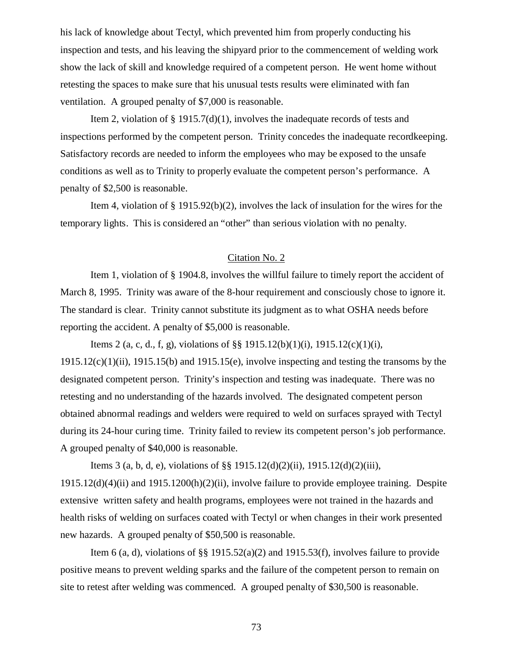his lack of knowledge about Tectyl, which prevented him from properly conducting his inspection and tests, and his leaving the shipyard prior to the commencement of welding work show the lack of skill and knowledge required of a competent person. He went home without retesting the spaces to make sure that his unusual tests results were eliminated with fan ventilation. A grouped penalty of \$7,000 is reasonable.

Item 2, violation of § 1915.7(d)(1), involves the inadequate records of tests and inspections performed by the competent person. Trinity concedes the inadequate recordkeeping. Satisfactory records are needed to inform the employees who may be exposed to the unsafe conditions as well as to Trinity to properly evaluate the competent person's performance. A penalty of \$2,500 is reasonable.

Item 4, violation of § 1915.92(b)(2), involves the lack of insulation for the wires for the temporary lights. This is considered an "other" than serious violation with no penalty.

#### Citation No. 2

Item 1, violation of § 1904.8, involves the willful failure to timely report the accident of March 8, 1995. Trinity was aware of the 8-hour requirement and consciously chose to ignore it. The standard is clear. Trinity cannot substitute its judgment as to what OSHA needs before reporting the accident. A penalty of \$5,000 is reasonable.

Items 2 (a, c, d., f, g), violations of §§ 1915.12(b)(1)(i), 1915.12(c)(1)(i), 1915.12(c)(1)(ii), 1915.15(b) and 1915.15(e), involve inspecting and testing the transoms by the designated competent person. Trinity's inspection and testing was inadequate. There was no retesting and no understanding of the hazards involved. The designated competent person obtained abnormal readings and welders were required to weld on surfaces sprayed with Tectyl during its 24-hour curing time. Trinity failed to review its competent person's job performance. A grouped penalty of \$40,000 is reasonable.

Items 3 (a, b, d, e), violations of §§ 1915.12(d)(2)(ii), 1915.12(d)(2)(iii), 1915.12(d)(4)(ii) and 1915.1200(h)(2)(ii), involve failure to provide employee training. Despite extensive written safety and health programs, employees were not trained in the hazards and health risks of welding on surfaces coated with Tectyl or when changes in their work presented new hazards. A grouped penalty of \$50,500 is reasonable.

Item 6 (a, d), violations of §§ 1915.52(a)(2) and 1915.53(f), involves failure to provide positive means to prevent welding sparks and the failure of the competent person to remain on site to retest after welding was commenced. A grouped penalty of \$30,500 is reasonable.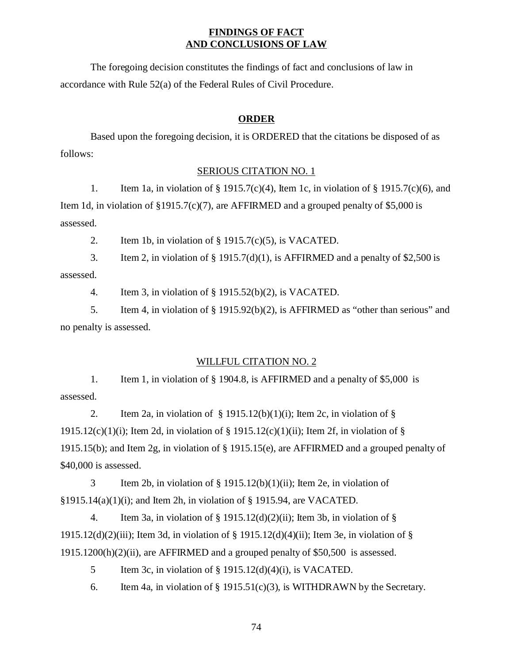# **FINDINGS OF FACT AND CONCLUSIONS OF LAW**

The foregoing decision constitutes the findings of fact and conclusions of law in accordance with Rule 52(a) of the Federal Rules of Civil Procedure.

## **ORDER**

Based upon the foregoing decision, it is ORDERED that the citations be disposed of as follows:

#### SERIOUS CITATION NO. 1

1. Item 1a, in violation of § 1915.7(c)(4), Item 1c, in violation of § 1915.7(c)(6), and Item 1d, in violation of  $$1915.7(c)(7)$ , are AFFIRMED and a grouped penalty of \$5,000 is assessed.

2. Item 1b, in violation of § 1915.7(c)(5), is VACATED.

3. Item 2, in violation of  $\S$  1915.7(d)(1), is AFFIRMED and a penalty of \$2,500 is assessed.

4. Item 3, in violation of § 1915.52(b)(2), is VACATED.

5. Item 4, in violation of § 1915.92(b)(2), is AFFIRMED as "other than serious" and no penalty is assessed.

## WILLFUL CITATION NO. 2

1. Item 1, in violation of § 1904.8, is AFFIRMED and a penalty of \$5,000 is assessed.

2. Item 2a, in violation of  $\S$  1915.12(b)(1)(i); Item 2c, in violation of  $\S$ 1915.12(c)(1)(i); Item 2d, in violation of  $\S$  1915.12(c)(1)(ii); Item 2f, in violation of  $\S$ 1915.15(b); and Item 2g, in violation of § 1915.15(e), are AFFIRMED and a grouped penalty of \$40,000 is assessed.

3 Item 2b, in violation of § 1915.12(b)(1)(ii); Item 2e, in violation of §1915.14(a)(1)(i); and Item 2h, in violation of § 1915.94, are VACATED.

4. Item 3a, in violation of  $\S$  1915.12(d)(2)(ii); Item 3b, in violation of  $\S$ 1915.12(d)(2)(iii); Item 3d, in violation of  $\S$  1915.12(d)(4)(ii); Item 3e, in violation of  $\S$ 1915.1200(h)(2)(ii), are AFFIRMED and a grouped penalty of \$50,500 is assessed.

5 Item 3c, in violation of § 1915.12(d)(4)(i), is VACATED.

6. Item 4a, in violation of  $\S$  1915.51(c)(3), is WITHDRAWN by the Secretary.

74